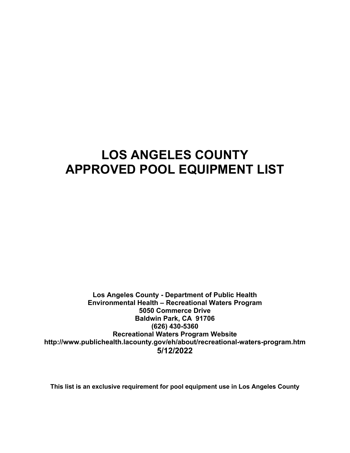# **LOS ANGELES COUNTY APPROVED POOL EQUIPMENT LIST**

**Los Angeles County - Department of Public Health Environmental Health – Recreational Waters Program 5050 Commerce Drive Baldwin Park, CA 91706 (626) 430-5360 Recreational Waters Program Website <http://www.publichealth.lacounty.gov/eh/about/recreational-waters-program.htm> 5/12/2022**

**This list is an exclusive requirement for pool equipment use in Los Angeles County**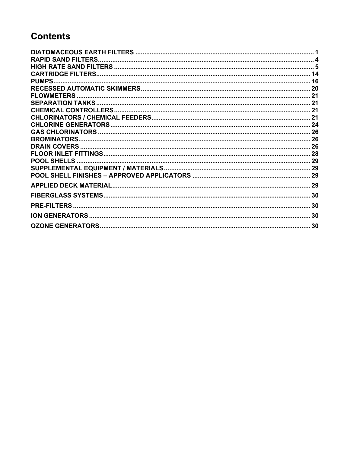## **Contents**

| <b>BROMINATORS</b> |  |
|--------------------|--|
|                    |  |
|                    |  |
|                    |  |
|                    |  |
|                    |  |
|                    |  |
|                    |  |
|                    |  |
|                    |  |
|                    |  |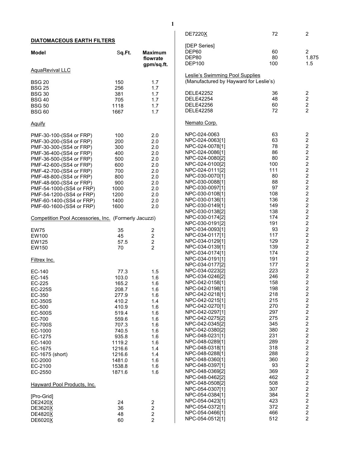<span id="page-2-0"></span>

|                                                       |        |                         | DE7220X                                | 72  | $\overline{2}$                             |
|-------------------------------------------------------|--------|-------------------------|----------------------------------------|-----|--------------------------------------------|
| <b>DIATOMACEOUS EARTH FILTERS</b>                     |        |                         |                                        |     |                                            |
|                                                       |        |                         | [DEP Series]                           |     |                                            |
| <b>Model</b>                                          | Sq.Ft. | <b>Maximum</b>          | DEP60                                  | 60  | $\overline{2}$                             |
|                                                       |        | flowrate                | DEP80                                  | 80  | 1.875                                      |
|                                                       |        | gpm/sq.ft.              | <b>DEP100</b>                          | 100 | 1.5                                        |
| AquaRevival LLC                                       |        |                         |                                        |     |                                            |
|                                                       |        |                         | <b>Leslie's Swimming Pool Supplies</b> |     |                                            |
| <b>BSG 20</b>                                         | 150    | 1.7                     | (Manufactured by Hayward for Leslie's) |     |                                            |
| <b>BSG 25</b>                                         | 256    | 1.7                     | <b>DELE42252</b>                       | 36  |                                            |
| <b>BSG 30</b>                                         | 381    | 1.7                     |                                        |     | $\overline{\mathbf{c}}$                    |
| <b>BSG 40</b>                                         | 705    | 1.7                     | <b>DELE42254</b>                       | 48  | $\sqrt{2}$                                 |
| <b>BSG 50</b>                                         | 1118   | 1.7                     | <b>DELE42256</b>                       | 60  | $\frac{2}{2}$                              |
| <b>BSG 60</b>                                         | 1667   | 1.7                     | <b>DELE42258</b>                       | 72  |                                            |
| <b>Aguify</b>                                         |        |                         | Nemato Corp.                           |     |                                            |
| PMF-30-100-(SS4 or FRP)                               | 100    |                         | NPC-024-0063                           | 63  |                                            |
|                                                       |        | 2.0                     | NPC-024-0063[1]                        | 63  | $2222$<br>$222$                            |
| PMF-30-200-(SS4 or FRP)                               | 200    | 2.0                     | NPC-024-0078[1]                        | 78  |                                            |
| PMF-30-300-(SS4 or FRP)                               | 300    | 2.0                     |                                        |     |                                            |
| PMF-36-400-(SS4 or FRP)                               | 400    | 2.0                     | NPC-024-0086[1]                        | 86  |                                            |
| PMF-36-500-(SS4 or FRP)                               | 500    | 2.0                     | NPC-024-0080[2]                        | 80  |                                            |
| PMF-42-600-(SS4 or FRP)                               | 600    | 2.0                     | NPC-024-0100[2]                        | 100 |                                            |
| PMF-42-700-(SS4 or FRP)                               | 700    | 2.0                     | NPC-024-0111[2]                        | 111 |                                            |
| PMF-48-800-(SS4 or FRP)                               | 800    | 2.0                     | NPC-030-0070[1]                        | 80  |                                            |
| PMF-48-900-(SS4 or FRP)                               | 900    | 2.0                     | NPC-030-0088[1]                        | 88  |                                            |
| PMF-54-1000-(SS4 or FRP)                              | 1000   | 2.0                     | NPC-030-0097[1]                        | 97  |                                            |
| PMF-54-1200-(SS4 or FRP)                              | 1200   | 2.0                     | NPC-030-0108[1]                        | 108 | $2222$<br>$222$                            |
| PMF-60-1400-(SS4 or FRP)                              | 1400   | 2.0                     | NPC-030-0136[1]                        | 136 | $\sqrt{2}$                                 |
| PMF-60-1600-(SS4 or FRP)                              | 1600   | 2.0                     | NPC-030-0149[1]                        | 149 |                                            |
|                                                       |        |                         | NPC-030-0138[2]                        | 138 |                                            |
| Competition Pool Accessories, Inc. (Formerly Jacuzzi) |        |                         | NPC-030-0174[2]                        | 174 |                                            |
|                                                       |        |                         | NPC-030-0191[2]                        | 191 |                                            |
|                                                       |        |                         | NPC-034-0093[1]                        | 93  | $2222$<br>$222$                            |
| <b>EW75</b>                                           | 35     | $\overline{\mathbf{c}}$ | NPC-034-0117[1]                        | 117 |                                            |
| EW100                                                 | 45     | $\boldsymbol{2}$        | NPC-034-0129[1]                        | 129 | $\frac{2}{2}$                              |
| EW125                                                 | 57.5   | $\boldsymbol{2}$        | NPC-034-0139[1]                        | 139 |                                            |
| EW150                                                 | 70     | $\overline{2}$          |                                        |     | $\begin{array}{c} 2 \\ 2 \\ 2 \end{array}$ |
|                                                       |        |                         | NPC-034-0174[1]                        | 174 |                                            |
| Filtrex Inc.                                          |        |                         | NPC-034-0191[1]                        | 191 |                                            |
|                                                       |        |                         | NPC-034-0177[2]                        | 177 | $\overline{c}$                             |
| EC-140                                                | 77.3   | 1.5                     | NPC-034-0223[2]                        | 223 | $\frac{2}{2}$                              |
| EC-145                                                | 103.0  | 1.6                     | NPC-034-0246[2]                        | 246 |                                            |
| EC-225                                                | 165.2  | 1.6                     | NPC-042-0158[1]                        | 158 | $\overline{2}$                             |
| EC-225S                                               | 208.7  | 1.6                     | NPC-042-0198[1]                        | 198 | $\boldsymbol{2}$                           |
| EC-350                                                | 277.9  | 1.6                     | NPC-042-0218[1]                        | 218 | $\overline{\mathbf{c}}$                    |
| EC-350S                                               | 410.2  | 1.4                     | NPC-042-0215[1]                        | 215 | $\overline{\mathbf{c}}$                    |
| EC-500                                                | 410.9  | 1.6                     | NPC-042-0270[1]                        | 270 | $\overline{a}$                             |
| <b>EC-500S</b>                                        | 519.4  | 1.6                     | NPC-042-0297[1]                        | 297 | 222222222                                  |
| EC-700                                                | 559.6  | 1.6                     | NPC-042-0275[2]                        | 275 |                                            |
| <b>EC-700S</b>                                        | 707.3  | 1.6                     | NPC-042-0345[2]                        | 345 |                                            |
| EC-1000                                               | 740.5  | 1.6                     | NPC-042-0380[2]                        | 380 |                                            |
| EC-1275                                               | 935.8  | 1.6                     | NPC-048-0231[1]                        | 231 |                                            |
| EC-1400                                               | 1119.2 | 1.6                     | NPC-048-0289[1]                        | 289 |                                            |
| EC-1675                                               | 1216.6 | 1.4                     | NPC-048-0318[1]                        | 318 |                                            |
| EC-1675 (short)                                       | 1216.6 | 1.4                     | NPC-048-0288[1]                        | 288 |                                            |
|                                                       |        |                         | NPC-048-0360[1]                        | 360 |                                            |
| EC-2000                                               | 1481.0 | 1.6                     | NPC-048-0397[1]                        | 93  |                                            |
| EC-2100                                               | 1538.8 | 1.6                     | NPC-048-0369[2]                        | 369 |                                            |
| EC-2550                                               | 1871.6 | 1.6                     |                                        | 462 | $2222$<br>$222$                            |
|                                                       |        |                         | NPC-048-0462[2]                        |     |                                            |
| Hayward Pool Products, Inc.                           |        |                         | NPC-048-0508[2]                        | 508 |                                            |
|                                                       |        |                         | NPC-054-0307[1]                        | 307 |                                            |
| [Pro-Grid]                                            |        |                         | NPC-054-0384[1]                        | 384 |                                            |
| DE2420X                                               | 24     | $\overline{c}$          | NPC-054-0423[1]                        | 423 | $\frac{2}{2}$                              |
| DE3620X                                               | 36     | $\overline{c}$          | NPC-054-0372[1]                        | 372 |                                            |
| <b>DE4820X</b>                                        | 48     | $\overline{c}$          | NPC-054-0466[1]                        | 466 | $\mathbf 2$                                |
| DE6020X                                               | 60     | $\overline{2}$          | NPC-054-0512[1]                        | 512 | 2                                          |
|                                                       |        |                         |                                        |     |                                            |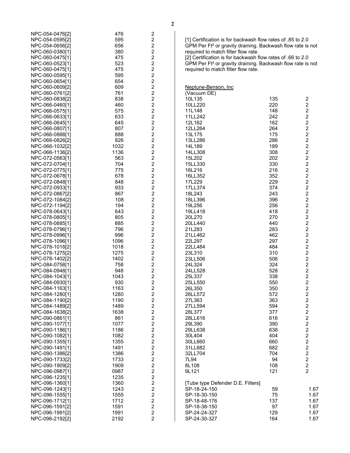| NPC-054-0476[2] | 476  | 2                       |
|-----------------|------|-------------------------|
| NPC-054-0595[2] | 595  | $\overline{\mathbf{c}}$ |
| NPC-054-0656[2] | 656  | $\overline{\mathbf{c}}$ |
| NPC-060-0380[1] | 380  | $\overline{\mathbf{c}}$ |
| NPC-060-0475[1] | 475  | $\overline{c}$          |
| NPC-060-0523[1] | 523  | $\overline{c}$          |
| NPC-060-0475[1] | 475  | $\overline{c}$          |
| NPC-060-0595[1] | 595  | $\overline{\mathbf{c}}$ |
| NPC-060-0654[1] | 654  | $\overline{c}$          |
| NPC-060-0609[2] | 609  | $\overline{c}$          |
| NPC-060-0761[2] | 761  | $\overline{c}$          |
| NPC-060-0838[2] | 838  | $\overline{c}$          |
| NPC-066-0460[1] | 460  | $\overline{c}$          |
| NPC-066-0575[1] | 575  | $\overline{c}$          |
| NPC-066-0633[1] | 633  | $\overline{c}$          |
| NPC-066-0645[1] | 645  | $\overline{c}$          |
| NPC-066-0807[1] | 807  | $\overline{c}$          |
| NPC-066-0888[1] | 888  | $\overline{c}$          |
| NPC-066-0826[2] | 826  | $\overline{c}$          |
| NPC-066-1032[2] | 1032 | $\overline{c}$          |
| NPC-066-1136[2] | 1136 | $\overline{\mathbf{c}}$ |
| NPC-072-0563[1] | 563  | $\overline{c}$          |
| NPC-072-0704[1] | 704  | $\overline{c}$          |
| NPC-072-0775[1] | 775  | $\overline{2}$          |
|                 |      |                         |

NPC -072 -0678[1] 678 2 NPC -072 -0848[1] 848 2 NPC -072 -0933[1] 933 2 NPC -072 -0867[2] 867 2 NPC -072 -1084[2] 108 2 NPC -072 -1194[2] 194 2 NPC -078 -0643[1] 643 2 NPC -078 -0805[1] 805 2 NP C -078 -0885[1] 885 2 NPC -078 -0796[1] 796 2 NPC -078 -0996[1] 996 2 NPC -078 -1096[1] 1096 2 NPC -078 -1018[2] 1018 2 NPC -078 -1275[2] 1275 2 NPC -078 -1402[2] 1402 2 NPC -084 -0758[1] 758 2 NPC -084 -0948[1] 948 2 NPC -084 -1043[1] 1043 2 NPC -084 -0930[1] 930 2 NPC -084 -1163[1] 1163 2 NPC -084 -1280[1] 1280 2 NPC -084 -1190[2] 1190 2 NPC -084 -1489[2] 1489 2 NPC -084 -1638[2] 1638 2 NPC -090 -0861[1] 861 2 NPC -090 -1077[1] 1077 2 NPC -090 -1186[1] 1186 2 NPC -090 -1082[1] 1082 2 NPC-090-1355[1] 1355 2 NPC -090 -1491[1] 1491 2 NPC-090-1386[2] 1386 2 NPC-090 -1733[2] 1733 2 NPC -090 -1909[2] 1909 2 NPC -096 -0987[1] 0987 2 NPC -096 -1235[1] 1235 2 NPC-096-1360[1] 1360 2 NPC -096 -1243[1] 1243 2 NPC -096 -1555[1] 1555 2 NPC -096 -1712[1] 1712 2 NP C -096 -1591[2] 1591 2 NPC -096 -1991[2] 1991 2 NPC -096 -2192[2] 2192 2 [1] Certification is for backwash flow rates of .85 to 2.0 GPM Per Ft² or gravity draining. Backwash flow rate is not required to match filter flow rate.

[2] Certification is for backwash flow rates of .66 to 2.0 GPM Per Ft² or gravity draining. Backwash flow rate is not required to match filter flow rate.

| Neptune-Benson, Inc               |            |                |
|-----------------------------------|------------|----------------|
| (Vacuum DE)                       |            |                |
| 10L135                            | 135        |                |
| 10LL220                           | 220        |                |
| 11L148                            | 148        |                |
| 11LL242                           | 242        |                |
| 12L162                            | 162        |                |
| 12LL264                           | 264        |                |
| 13L175                            | 175<br>286 |                |
| 13LL286                           | 189        |                |
| 14L189<br>14LL308                 | 308        |                |
| 15L202                            | 202        |                |
| 15LL330                           | 330        |                |
| 16L216                            | 216        |                |
| 16LL352                           | 352        |                |
| 17L229                            | 229        |                |
| 17LL374                           | 374        |                |
| 18L243                            | 243        |                |
| 18LL396                           | 396        |                |
| 19L256                            | 256        |                |
| 19LL418                           | 418        |                |
| 20L270                            | 270        |                |
| 20LL440                           | 440        |                |
| 21L283                            | 283        |                |
| 21LL462                           | 462        |                |
| 22L297                            | 297        |                |
| 22LL484                           | 484        |                |
| 23L310                            | 310        |                |
| 23LL506                           | 506        |                |
| 24L324                            | 324        |                |
| 24LL528                           | 528        |                |
| 25L337                            | 338        |                |
| 25LL550                           | 550        |                |
| 26L350                            | 350        |                |
| 26LL572                           | 572        |                |
| 27L363                            | 363        |                |
| 27LL594                           | 594        |                |
| 28L377                            | 377        |                |
| 28LL616                           | 616        |                |
| 29L390                            | 390        |                |
| 29LL638                           | 638        |                |
| 30L404                            | 404        |                |
| 30LL660                           | 660        |                |
| 31LL682                           | 682        | 2222           |
| 32LL704                           | 704        |                |
| 7L94                              | 94         |                |
| 8L108                             | 108        | $\overline{2}$ |
| 9L121                             | 121        |                |
| [Tube type Defender D.E. Filters] |            |                |
| SP-18-24-150                      | 59         | 1.67           |
| SP-18-30-150                      | 75         | 1.67           |
| SP-18-48-176                      | 137        | 1.67           |
| SP-18-38-150                      | 97         | 1.67           |
| SP-24-24-327                      | 129        | 1.67           |
| SP-24-30-327                      | 164        | 1.67           |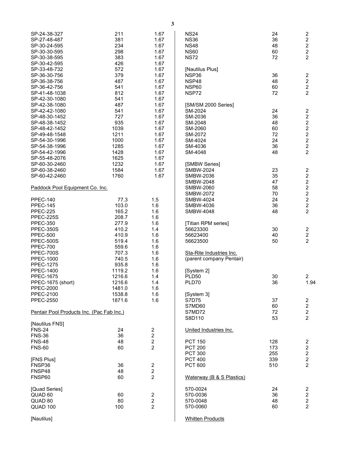| SP-24-38-327                              | 211    | 1.67           | <b>NS24</b>               | 24  | $\overline{\mathbf{c}}$                         |
|-------------------------------------------|--------|----------------|---------------------------|-----|-------------------------------------------------|
| SP-27-48-487                              | 381    | 1.67           | <b>NS36</b>               | 36  | $\boldsymbol{2}$                                |
| SP-30-24-595                              | 234    | 1.67           | <b>NS48</b>               | 48  | $\overline{c}$                                  |
| SP-30-30-595                              | 298    | 1.67           | <b>NS60</b>               | 60  | $\overline{c}$                                  |
| SP-30-38-595                              | 383    | 1.67           | <b>NS72</b>               | 72  | $\overline{2}$                                  |
| SP-30-42-595                              | 426    | 1.67           |                           |     |                                                 |
|                                           |        |                |                           |     |                                                 |
| SP-33-48-732                              | 572    | 1.67           | [Nautilus Plus]           |     |                                                 |
| SP-36-30-756                              | 379    | 1.67           | NSP36                     | 36  |                                                 |
| SP-36-38-756                              | 487    | 1.67           | NSP48                     | 48  |                                                 |
| SP-36-42-756                              | 541    | 1.67           | NSP60                     | 60  | $\begin{array}{c} 2 \\ 2 \\ 2 \end{array}$      |
|                                           | 812    | 1.67           |                           | 72  | $\overline{2}$                                  |
| SP-41-48-1038                             |        |                | NSP72                     |     |                                                 |
| SP-42-30-1080                             | 541    | 1.67           |                           |     |                                                 |
| SP-42-38-1080                             | 487    | 1.67           | [SM/SM 2000 Series]       |     |                                                 |
| SP-42-42-1080                             | 541    | 1.67           | SM-2024                   | 24  | $\overline{\mathbf{c}}$                         |
| SP-48-30-1452                             | 727    | 1.67           | SM-2036                   | 36  | $\overline{\mathbf{c}}$                         |
| SP-48-38-1452                             | 935    | 1.67           | SM-2048                   | 48  |                                                 |
|                                           |        |                |                           |     | $\begin{array}{c} 2 \\ 2 \\ 2 \\ 2 \end{array}$ |
| SP-48-42-1452                             | 1039   | 1.67           | SM-2060                   | 60  |                                                 |
| SP-49-48-1548                             | 1211   | 1.67           | SM-2072                   | 72  |                                                 |
| SP-54-30-1996                             | 1000   | 1.67           | SM-4024                   | 24  |                                                 |
| SP-54-38-1996                             | 1285   | 1.67           | SM-4036                   | 36  | $\overline{a}$                                  |
| SP-54-42-1996                             | 1428   | 1.67           | SM-4048                   | 48  | $\overline{2}$                                  |
|                                           |        |                |                           |     |                                                 |
| SP-55-48-2076                             | 1625   | 1.67           |                           |     |                                                 |
| SP-60-30-2460                             | 1232   | 1.67           | [SMBW Series]             |     |                                                 |
| SP-60-38-2460                             | 1584   | 1.67           | <b>SMBW-2024</b>          | 23  | $\overline{\mathbf{c}}$                         |
| SP-60-42-2460                             | 1760   | 1.67           | <b>SMBW-2036</b>          | 35  |                                                 |
|                                           |        |                | <b>SMBW-2048</b>          | 47  |                                                 |
|                                           |        |                |                           |     | $\begin{array}{c} 2 \\ 2 \\ 2 \end{array}$      |
| Paddock Pool Equipment Co. Inc.           |        |                | <b>SMBW-2060</b>          | 58  |                                                 |
|                                           |        |                | <b>SMBW-2072</b>          | 70  | $\overline{2}$                                  |
| <b>PPEC-140</b>                           | 77.3   | 1.5            | <b>SMBW-4024</b>          | 24  | $\boldsymbol{2}$                                |
| <b>PPEC-145</b>                           | 103.0  | 1.6            | SMBW-4036                 | 36  | $\overline{c}$                                  |
| <b>PPEC-225</b>                           | 165.2  | 1.6            | <b>SMBW-4048</b>          | 48  | $\overline{2}$                                  |
| <b>PPEC-225S</b>                          | 208.7  | 1.6            |                           |     |                                                 |
|                                           |        |                |                           |     |                                                 |
| <b>PPEC-350</b>                           | 277.9  | 1.6            | [Titian RPM series]       |     |                                                 |
| PPEC-350S                                 | 410.2  | 1.4            | 56623300                  | 30  | $\boldsymbol{2}$                                |
| <b>PPEC-500</b>                           | 410.9  | 1.6            | 56623400                  | 40  | $\overline{c}$                                  |
| <b>PPEC-500S</b>                          | 519.4  | 1.6            | 56623500                  | 50  | $\overline{2}$                                  |
| <b>PPEC-700</b>                           | 559.6  | 1.6            |                           |     |                                                 |
| PPEC-700S                                 | 707.3  | 1.6            | Sta-Rite Industries Inc.  |     |                                                 |
|                                           |        |                |                           |     |                                                 |
| <b>PPEC-1000</b>                          | 740.5  | 1.6            | (parent company Pentair)  |     |                                                 |
| <b>PPEC-1275</b>                          | 935.8  | 1.6            |                           |     |                                                 |
| <b>PPEC-1400</b>                          | 1119.2 | 1.6            | [System 2]                |     |                                                 |
| <b>PPEC-1675</b>                          | 1216.6 | 1.4            | <b>PLD50</b>              | 30  | $\overline{a}$                                  |
| PPEC-1675 (short)                         | 1216.6 | 1.4            | PLD70                     | 36  | 1.94                                            |
| <b>PPEC-2000</b>                          | 1481.0 | 1.6            |                           |     |                                                 |
|                                           |        |                |                           |     |                                                 |
| <b>PPEC-2100</b>                          | 1538.8 | 1.6            | [System 3]                |     |                                                 |
| <b>PPEC-2550</b>                          | 1871.6 | 1.6            | S7D75                     | 37  | $\overline{c}$                                  |
|                                           |        |                | S7MD60                    | 60  |                                                 |
| Pentair Pool Products Inc. (Pac Fab Inc.) |        |                | S7MD72                    | 72  |                                                 |
|                                           |        |                | S8D110                    | 53  | $\begin{array}{c} 2 \\ 2 \\ 2 \end{array}$      |
| [Nautilus FNS]                            |        |                |                           |     |                                                 |
|                                           |        |                |                           |     |                                                 |
| <b>FNS-24</b>                             | 24     | $\overline{c}$ | United Industries Inc.    |     |                                                 |
| <b>FNS-36</b>                             | 36     | $\overline{2}$ |                           |     |                                                 |
| <b>FNS-48</b>                             | 48     | $\overline{2}$ | <b>PCT 150</b>            | 128 | $\overline{\mathbf{c}}$                         |
| <b>FNS-60</b>                             | 60     | $\overline{2}$ | <b>PCT 200</b>            | 173 | $\overline{\mathbf{c}}$                         |
|                                           |        |                | <b>PCT 300</b>            | 255 |                                                 |
|                                           |        |                |                           |     |                                                 |
| [FNS Plus]                                |        |                | <b>PCT 400</b>            | 339 | $\begin{array}{c} 2 \\ 2 \\ 2 \end{array}$      |
| FNSP36                                    | 36     | $\overline{c}$ | <b>PCT 600</b>            | 510 |                                                 |
| FNSP48                                    | 48     | $\overline{c}$ |                           |     |                                                 |
| FNSP60                                    | 60     | $\overline{2}$ | Waterway (B & S Plastics) |     |                                                 |
|                                           |        |                |                           |     |                                                 |
| [Quad Series]                             |        |                | 570-0024                  | 24  | $\overline{c}$                                  |
| QUAD 60                                   | 60     | $\overline{c}$ | 570-0036                  | 36  | $\overline{\mathbf{c}}$                         |
| QUAD 80                                   | 80     | 2              | 570-0048                  | 48  |                                                 |
| QUAD 100                                  | 100    | 2              | 570-0060                  | 60  | $\frac{2}{2}$                                   |
|                                           |        |                |                           |     |                                                 |
|                                           |        |                |                           |     |                                                 |
| [Nautilus]                                |        |                | <b>Whitten Products</b>   |     |                                                 |

**3**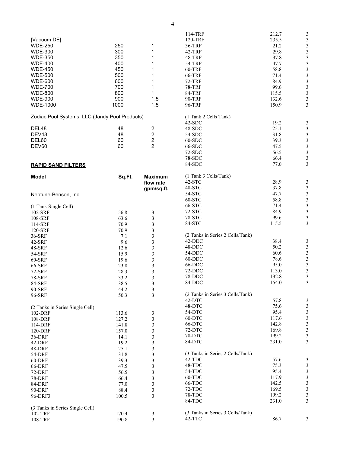<span id="page-5-0"></span>

|                                                |        |                         | 114-TRF                          | 212.7 | 3                       |
|------------------------------------------------|--------|-------------------------|----------------------------------|-------|-------------------------|
| [Vacuum DE]                                    |        |                         | 120-TRF                          | 235.5 | $\mathfrak{Z}$          |
| <b>WDE-250</b>                                 | 250    | 1                       | 36-TRF                           | 21.2  | $\mathfrak{Z}$          |
| <b>WDE-300</b>                                 | 300    | 1                       | <b>42-TRF</b>                    | 29.8  | 3                       |
|                                                |        |                         |                                  |       |                         |
| <b>WDE-350</b>                                 | 350    | 1                       | <b>48-TRF</b>                    | 37.8  | $\mathfrak{Z}$          |
| <b>WDE-400</b>                                 | 400    | 1                       | <b>54-TRF</b>                    | 47.7  | $\frac{3}{3}$           |
| <b>WDE-450</b>                                 | 450    | 1                       | 60-TRF                           | 58.8  |                         |
| <b>WDE-500</b>                                 | 500    | 1                       | 66-TRF                           | 71.4  | $\mathfrak{Z}$          |
|                                                |        |                         |                                  |       |                         |
| <b>WDE-600</b>                                 | 600    | 1                       | <b>72-TRF</b>                    | 84.9  | $\overline{\mathbf{3}}$ |
| <b>WDE-700</b>                                 | 700    | 1                       | <b>78-TRF</b>                    | 99.6  | $\overline{\mathbf{3}}$ |
| <b>WDE-800</b>                                 | 800    | 1                       | 84-TRF                           | 115.5 | $\overline{\mathbf{3}}$ |
| <b>WDE-900</b>                                 | 900    | 1.5                     | 90-TRF                           | 132.6 | $\mathfrak{Z}$          |
|                                                |        |                         |                                  |       |                         |
| <b>WDE-1000</b>                                | 1000   | 1.5                     | 96-TRF                           | 150.9 | 3                       |
|                                                |        |                         |                                  |       |                         |
| Zodiac Pool Systems, LLC (Jandy Pool Products) |        |                         | (1 Tank 2 Cells Tank)            |       |                         |
|                                                |        |                         | $42-SDC$                         | 19.2  | 3                       |
| DEL48                                          | 48     | 2                       | 48-SDC                           | 25.1  | $\mathfrak{Z}$          |
| DEV48                                          | 48     | $\boldsymbol{2}$        | 54-SDC                           | 31.8  | $\overline{3}$          |
| DEL60                                          | 60     | $\overline{c}$          | $60-SDC$                         | 39.3  | $\mathfrak{Z}$          |
|                                                | 60     | $\overline{2}$          |                                  |       |                         |
| DEV60                                          |        |                         | 66-SDC                           | 47.5  | $\overline{\mathbf{3}}$ |
|                                                |        |                         | $72-SDC$                         | 56.5  | $\overline{\mathbf{3}}$ |
|                                                |        |                         | 78-SDC                           | 66.4  | $\mathfrak{Z}$          |
| <b>RAPID SAND FILTERS</b>                      |        |                         | 84-SDC                           | 77.0  | 3                       |
|                                                |        |                         |                                  |       |                         |
| <b>Model</b>                                   | Sq.Ft. | <b>Maximum</b>          | (1 Tank 3 Cells/Tank)            |       |                         |
|                                                |        | flow rate               | 42-STC                           | 28.9  | $\mathfrak{Z}$          |
|                                                |        |                         | 48-STC                           | 37.8  | $\mathfrak{Z}$          |
|                                                |        | gpm/sq.ft.              |                                  |       |                         |
| Neptune-Benson, Inc.                           |        |                         | 54-STC                           | 47.7  | $\overline{\mathbf{3}}$ |
|                                                |        |                         | 60-STC                           | 58.8  | $\overline{\mathbf{3}}$ |
| (1 Tank Single Cell)                           |        |                         | 66-STC                           | 71.4  | $\mathfrak{Z}$          |
|                                                |        |                         | 72-STC                           | 84.9  | $\overline{\mathbf{3}}$ |
| 102-SRF                                        | 56.8   | 3                       |                                  |       | $\overline{\mathbf{3}}$ |
| 108-SRF                                        | 63.6   | 3                       | 78-STC                           | 99.6  |                         |
| 114-SRF                                        | 70.9   | $\overline{\mathbf{3}}$ | 84-STC                           | 115.5 | 3                       |
| 120-SRF                                        | 70.9   | 3                       |                                  |       |                         |
| 36-SRF                                         | 7.1    | 3                       | (2 Tanks in Series 2 Cells/Tank) |       |                         |
|                                                |        |                         | 42-DDC                           | 38.4  | $\mathfrak{Z}$          |
| 42-SRF                                         | 9.6    | 3                       |                                  |       |                         |
| 48-SRF                                         | 12.6   | $\mathfrak{Z}$          | 48-DDC                           | 50.2  | $\sqrt{3}$              |
| 54-SRF                                         | 15.9   | 3                       | 54-DDC                           | 60.6  |                         |
| 60-SRF                                         | 19.6   | 3                       | 60-DDC                           | 78.6  | $\frac{3}{3}$           |
|                                                |        |                         | 66-DDC                           | 95.0  | $\overline{\mathbf{3}}$ |
| 66-SRF                                         | 23.8   | 3                       |                                  |       |                         |
| <b>72-SRF</b>                                  | 28.3   | 3                       | 72-DDC                           | 113.0 | $\mathfrak{Z}$          |
| <b>78-SRF</b>                                  | 33.2   | 3                       | 78-DDC                           | 132.8 | 3                       |
| 84-SRF                                         | 38.5   | 3                       | 84-DDC                           | 154.0 | 3                       |
| 90-SRF                                         | 44.2   |                         |                                  |       |                         |
|                                                |        | 3                       |                                  |       |                         |
| 96-SRF                                         | 50.3   | 3                       | (2 Tanks in Series 3 Cells/Tank) |       |                         |
|                                                |        |                         | 42-DTC                           | 57.8  | $\mathfrak{Z}$          |
| (2 Tanks in Series Single Cell)                |        |                         | 48-DTC                           | 75.6  | $\overline{\mathbf{3}}$ |
| 102-DRF                                        | 113.6  | 3                       | 54-DTC                           | 95.4  | $\sqrt{3}$              |
|                                                | 127.2  | 3                       | 60-DTC                           | 117.6 | $\mathfrak{Z}$          |
| 108-DRF                                        |        |                         |                                  |       |                         |
| 114-DRF                                        | 141.8  | 3                       | 66-DTC                           | 142.8 | 3                       |
| 120-DRF                                        | 157.0  | 3                       | 72-DTC                           | 169.8 | 3                       |
| 36-DRF                                         | 14.1   | 3                       | 78-DTC                           | 199.2 | $\mathfrak{Z}$          |
| 42-DRF                                         | 19.2   | 3                       | 84-DTC                           | 231.0 | 3                       |
|                                                |        |                         |                                  |       |                         |
| 48-DRF                                         | 25.1   | 3                       |                                  |       |                         |
| 54-DRF                                         | 31.8   | $\mathfrak{Z}$          | (3 Tanks in Series 2 Cells/Tank) |       |                         |
| 60-DRF                                         | 39.3   | 3                       | 42-TDC                           | 57.6  | 3                       |
| 66-DRF                                         | 47.5   | 3                       | 48-TDC                           | 75.3  | $\mathfrak{Z}$          |
|                                                | 56.5   | 3                       | 54-TDC                           | 95.4  | $\sqrt{3}$              |
| <b>72-DRF</b>                                  |        |                         |                                  |       |                         |
| <b>78-DRF</b>                                  | 66.4   | $\mathfrak{Z}$          | 60-TDC                           | 117.9 | $\mathfrak{Z}$          |
| 84-DRF                                         | 77.0   | 3                       | 66-TDC                           | 142.5 | $\mathfrak{Z}$          |
| 90-DRF                                         | 88.4   | 3                       | 72-TDC                           | 169.5 | $\overline{\mathbf{3}}$ |
| 96-DRF3                                        | 100.5  | 3                       | 78-TDC                           | 199.2 | $\mathfrak{Z}$          |
|                                                |        |                         | 84-TDC                           | 231.0 | 3                       |
|                                                |        |                         |                                  |       |                         |
| (3 Tanks in Series Single Cell)                |        |                         |                                  |       |                         |
| 102-TRF                                        | 170.4  | 3                       | (3 Tanks in Series 3 Cells/Tank) |       |                         |
| 108-TRF                                        | 190.8  | $\overline{3}$          | 42-TTC                           | 86.7  | 3                       |
|                                                |        |                         |                                  |       |                         |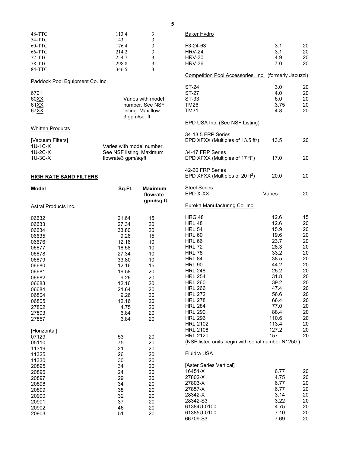|   | ÷ |        |         |  |
|---|---|--------|---------|--|
|   |   | ٥      |         |  |
| × |   | ۱<br>٧ | ł<br>۰, |  |

<span id="page-6-0"></span>

| 48-TTC                          | 113.4                     | 3                       | <b>Baker Hydro</b>                                    |        |    |
|---------------------------------|---------------------------|-------------------------|-------------------------------------------------------|--------|----|
| 54-TTC                          | 143.1                     | 3                       |                                                       |        |    |
| 60-TTC                          | 176.4                     | 3                       | F3-24-63                                              | 3.1    | 20 |
| 66-TTC                          | 214.2                     | $\mathfrak{Z}$          | <b>HRV-24</b>                                         | 3.1    | 20 |
| 72-TTC                          | 254.7                     | $\overline{\mathbf{3}}$ | <b>HRV-30</b>                                         | 4.9    | 20 |
| 78-TTC                          | 298.8                     | 3                       | <b>HRV-36</b>                                         | 7.0    | 20 |
| 84-TTC                          | 346.5                     | 3                       |                                                       |        |    |
| Paddock Pool Equipment Co. Inc. |                           |                         | Competition Pool Accessories, Inc. (formerly Jacuzzi) |        |    |
|                                 |                           |                         | ST-24                                                 | 3.0    | 20 |
| 6701                            |                           |                         | ST-27                                                 | 4.0    | 20 |
| 60 <u>XX</u>                    |                           | Varies with model       | ST-33                                                 | 6.0    | 20 |
| 61XX                            |                           | number. See NSF         | <b>TM26</b>                                           | 3.75   | 20 |
| 67 <u>XX</u>                    |                           | listing. Max flow       | <b>TM31</b>                                           | 4.8    | 20 |
|                                 | 3 gpm/sq. ft.             |                         |                                                       |        |    |
|                                 |                           |                         | <b>EPD USA Inc. (See NSF Listing)</b>                 |        |    |
| <b>Whitten Products</b>         |                           |                         | 34-13.5 FRP Series                                    |        |    |
| [Vacuum Filters]                |                           |                         | EPD XFXX (Multiples of 13.5 ft <sup>2</sup> )         | 13.5   | 20 |
| 1U-1C-X                         | Varies with model number. |                         |                                                       |        |    |
| 1U-2C-X                         | See NSF listing. Maximum  |                         | 34-17 FRP Series                                      |        |    |
|                                 |                           |                         |                                                       |        |    |
| 1U-3C-X                         | flowrate3 gpm/sq/ft       |                         | EPD XFXX (Multiples of 17 ft <sup>2</sup> )           | 17.0   | 20 |
|                                 |                           |                         | 42-20 FRP Series                                      |        |    |
| <b>HIGH RATE SAND FILTERS</b>   |                           |                         | EPD XFXX (Multiples of 20 ft <sup>2</sup> )           | 20.0   | 20 |
| <b>Model</b>                    | Sq.Ft.                    | <b>Maximum</b>          | <b>Steel Series</b>                                   |        |    |
|                                 |                           | flowrate                | EPD X-XX                                              | Varies | 20 |
|                                 |                           | gpm/sq.ft.              | Eureka Manufacturing Co. Inc.                         |        |    |
| <u> Astral Products Inc.</u>    |                           |                         |                                                       |        |    |
| 06632                           | 21.64                     | 15                      | <b>HRG 48</b>                                         | 12.6   | 15 |
| 06633                           | 27.34                     | 20                      | <b>HRL 48</b>                                         | 12.6   | 20 |
| 06634                           | 33.80                     | 20                      | <b>HRL 54</b>                                         | 15.9   | 20 |
| 06635                           | 9.26                      | 15                      | <b>HRL 60</b>                                         | 19.6   | 20 |
| 06676                           | 12.16                     | 10                      | <b>HRL 66</b>                                         | 23.7   | 20 |
| 06677                           | 16.58                     | 10                      | <b>HRL 72</b>                                         | 28.3   | 20 |
| 06678                           | 27.34                     | 10                      | <b>HRL 78</b>                                         | 33.2   | 20 |
|                                 |                           |                         | <b>HRL 84</b>                                         | 38.5   | 20 |
| 06679                           | 33.80                     | 10                      | <b>HRL 90</b>                                         | 44.2   | 20 |
| 06680                           | 12.16                     | 15                      | <b>HRL 248</b>                                        | 25.2   | 20 |
| 06681                           | 16.58                     | 20                      |                                                       |        |    |
| 06682                           | 9.26                      | 20                      | <b>HRL 254</b>                                        | 31.8   | 20 |
| 06683                           | 12.16                     | 20                      | <b>HRL 260</b>                                        | 39.2   | 20 |
| 06684                           | 21.64                     | 20                      | <b>HRL 266</b>                                        | 47.4   | 20 |
| 06804                           | 9.26                      | 20                      | <b>HRL 272</b>                                        | 56.6   | 20 |
| 06805                           | 12.16                     | 20                      | <b>HRL 278</b>                                        | 66.4   | 20 |
| 27802                           | 4.75                      | 20                      | <b>HRL 284</b>                                        | 77.0   | 20 |
| 27803                           | 6.84                      | 20                      | <b>HRL 290</b>                                        | 88.4   | 20 |
| 27857                           | 6.84                      | 20                      | <b>HRL 296</b>                                        | 110.6  | 20 |
|                                 |                           |                         | <b>HRL 2102</b>                                       | 113.4  | 20 |
| [Horizontal]                    |                           |                         | <b>HRL 2108</b>                                       | 127.2  | 20 |
| 07129                           | 53                        | 20                      | <b>HRL 2120</b>                                       | 157    | 20 |
| 05110                           | 75                        | 20                      | (NSF listed units begin with serial number N1250)     |        |    |
| 11319                           | 21                        | 20                      |                                                       |        |    |
| 11325                           | 26                        | 20                      | Fluidra USA                                           |        |    |
| 11330                           | 30                        | 20                      |                                                       |        |    |
|                                 |                           |                         | [Aster Series Vertical]                               |        |    |
| 20895                           | 34                        | 20                      | 16451-X                                               | 6.77   | 20 |
| 20896                           | 24                        | 20                      |                                                       |        |    |
| 20897                           | 29                        | 20                      | 27802-X                                               | 4.75   | 20 |
| 20898                           | 34                        | 20                      | 27803-X                                               | 6.77   | 20 |
| 20899                           | 38                        | 20                      | 27857-X                                               | 6.77   | 20 |
| 20900                           | 32                        | 20                      | 28342-X                                               | 3.14   | 20 |
| 20901                           | 37                        | 20                      | 28342-S3                                              | 3.22   | 20 |
| 20902                           | 46                        | 20                      | 61384U-0100                                           | 4.75   | 20 |
| 20903                           | 51                        | 20                      | 61385U-0100                                           | 7.10   | 20 |
|                                 |                           |                         | 66709-S3                                              | 7.69   | 20 |
|                                 |                           |                         |                                                       |        |    |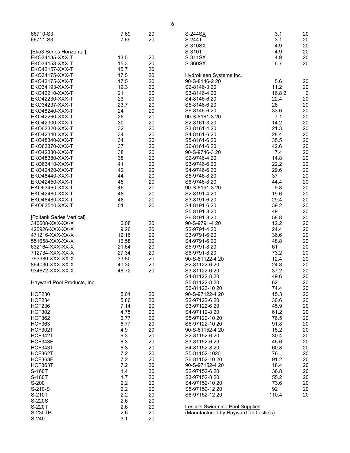| 66710-S3<br>66711-S3               | 7.69<br>7.69  | 20<br>20 | S-244SX<br>S-244T<br>S-310SX              | 3.1<br>3.1<br>4.9 | 20<br>20<br>20 |
|------------------------------------|---------------|----------|-------------------------------------------|-------------------|----------------|
| [Eko3 Series Horizontal]           |               |          | S-310T                                    | 4.9               | 20             |
| EK034135-XXX-T                     | 13.5          | 20       | S-311SX                                   | 4.9               | 20             |
| EKO34153-XXX-T                     | 15.3          | 20       | S-360SX                                   | 6.7               | 20             |
| EKO42157-XXX-T                     | 15.7          | 20       |                                           |                   |                |
| EKO34175-XXX-T<br>EK042175-XXX-T   | 17.5<br>17.5  | 20<br>20 | Hydrokleen Systems Inc.<br>90-S-8146-2 20 | 5.6               | 20             |
| EKO34193-XXX-T                     | 19.3          | 20       | S2-8146-3 20                              | 11.2              | 20             |
| EKO42210-XXX-T                     | 21            | 20       | S3-8146-4 20                              | 16.82             | $\mathbf 0$    |
| EKO42230-XXX-T                     | 23            | 20       | S4-8146-6 20                              | 22.4              | 20             |
| EKO34237-XXX-T                     | 23.7          | 20       | S5-8146-6 20                              | 28                | 20             |
| EK048240-XXX-T                     | 24            | 20       | S6-8146-6 20                              | 33.6              | 20             |
| EK042260-XXX-T                     | 26            | 20       | 90-S-8161-3 20                            | 7.1               | 20             |
| EKO42300-XXX-T                     | 30            | 20       | S2-8161-3 20                              | 14.2              | 20             |
| EK063320-XXX-T                     | 32            | 20       | S3-8161-4 20                              | 21.3              | 20             |
| EKO42340-XXX-T                     | 34            | 20       | S4-8161-6 20                              | 28.4              | 20             |
| EKO48340-XXX-T                     | 34            | 20       | S5-8161-6 20                              | 35.5              | 20             |
| EKO63370-XXX-T                     | 37            | 20       | S6-8161-6 20                              | 42.6              | 20             |
| EKO42380-XXX-T<br>EKO48380-XXX-T   | 38<br>38      | 20<br>20 | 90-S-9746-3 20<br>S2-9746-4 20            | 7.4<br>14.8       | 20<br>20       |
| EKO63410-XXX-T                     | 41            | 20       | S3-9746-6 20                              | 22.2              | 20             |
| EKO42420-XXX-T                     | 42            | 20       | S4-9746-6 20                              | 29.6              | 20             |
| EKO48440-XXX-T                     | 44            | 20       | S5-9746-8 20                              | 37                | 20             |
| EKO42450-XXX-T                     | 45            | 20       | S6-9746-8 20                              | 44.4              | 20             |
| EKO63460-XXX-T                     | 46            | 20       | 90-S-8191-3 20                            | 9.8               | 20             |
| EKO42480-XXX-T                     | 48            | 20       | S2-8191-4 20                              | 19.6              | 20             |
| EK048480-XXX-T                     | 48            | 20       | S3-8191-6 20                              | 29.4              | 20             |
| EK063510-XXX-T                     | 51            | 20       | S4-8191-6 20                              | 39.2              | 20             |
|                                    |               |          | S5-8191-8 20                              | 49                | 20             |
| [Poltank Series Vertical]          |               |          | S6-8191-8 20                              | 58.8              | 20             |
| 340608-XXX-XX-X                    | 6.08          | 20       | 90-S-9791-4 20                            | 12.2              | 20             |
| 420926-XXX-XX-X<br>471216-XXX-XX-X | 9.26<br>12.16 | 20<br>20 | S2-9791-4 20<br>S3-9791-6 20              | 24.4<br>36.6      | 20<br>20       |
| 551658-XXX-XX-X                    | 16.58         | 20       | S4-9791-6 20                              | 48.8              | 20             |
| 632164-XXX-XX-X                    | 21.64         | 20       | S5-9791-8 20                              | 61                | 20             |
| 712734-XXX-XX-X                    | 27.34         | 20       | S6-9791-8 20                              | 73.2              | 20             |
| 793380-XXX-XX-X                    | 33.80         | 20       | 90-S-81122-4 20                           | 12.4              | 20             |
| 864030-XXX-XX-X                    | 40.30         | 20       | S2-81122-6 20                             | 24.8              | 20             |
| 934672-XXX-XX-X                    | 46.72         | 20       | S3-81122-6 20                             | 37.2              | 20             |
|                                    |               |          | S4-81122-8 20                             | 49.6              | 20             |
| Hayward Pool Products, Inc.        |               |          | S5-81122-8 20                             | 62                | 20             |
|                                    |               |          | S6-81122-10 20                            | 74.4              | 20             |
| <b>HCF230</b><br><b>HCF234</b>     | 5.01<br>5.86  | 20<br>20 | 90-S-97122-4 20<br>S2-97122-6 20          | 15.3<br>30.6      | 20<br>20       |
| <b>HCF236</b>                      | 7.14          | 20       | S3-97122-6 20                             | 45.9              | 20             |
| <b>HCF302</b>                      | 4.75          | 20       | S4-97112-8 20                             | 61.2              | 20             |
| <b>HCF362</b>                      | 6.77          | 20       | S5-97122-10 20                            | 76.5              | 20             |
| <b>HCF363</b>                      | 6.77          | 20       | S6-97122-10 20                            | 91.8              | 20             |
| HCF302T                            | 4.9           | 20       | 90-S-81152-4 20                           | 15.2              | 20             |
| HCF342T                            | 6.3           | 20       | S2-81152-6 20                             | 30.4              | 20             |
| HCF343F                            | 6.3           | 20       | S3-81152-6 20                             | 45.6              | 20             |
| HCF343T                            | 6.3           | 20       | S4-81152-8 20                             | 60.8              | 20             |
| HCF362T                            | 7.2           | 20       | S5-81152-1020                             | 76                | 20             |
| HCF363F                            | 7.2<br>7.2    | 20       | S6-81152-10 20                            | 91.2<br>18.4      | 20             |
| HCF363T<br>S-160T                  | 1.4           | 20<br>20 | 90-S-97152-4 20<br>S2-97152-6 20          | 36.8              | 20<br>20       |
| S-180T                             | 1.7           | 20       | S3-97152-8 20                             | 55.2              | 20             |
| S-200                              | 2.2           | 20       | S4-97152-10 20                            | 73.6              | 20             |
| S-210-S                            | 2.2           | 20       | S5-97152-12 20                            | 92                | 20             |
| S-210T                             | 2.2           | 20       | S6-97152-12 20                            | 110.4             | 20             |
| S-220S                             | 2.6           | 20       |                                           |                   |                |
| S-220T                             | 2.6           | 20       | Leslie's Swimming Pool Supplies           |                   |                |
| S-230TPL                           | 2.6           | 20       | (Manufactured by Hayward for Leslie's)    |                   |                |
| S-240                              | 3.1           | 20       |                                           |                   |                |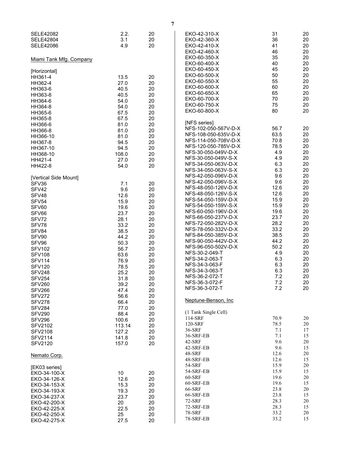| <b>SELE42082</b><br><b>SELE42804</b><br><b>SELE42086</b> | 2.2.<br>3.1<br>4.9 | 20<br>20<br>20 | EKO-42-310-X<br>EKO-42-360-X<br>EKO-42-410-X<br>EKO-42-460-X | 31<br>36<br>41<br>46 | 20<br>20<br>20<br>20 |
|----------------------------------------------------------|--------------------|----------------|--------------------------------------------------------------|----------------------|----------------------|
| Miami Tank Mfg. Company                                  |                    |                | EKO-60-350-X<br>EKO-60-400-X                                 | 35<br>40             | 20<br>20             |
| [Horizontal]<br>HH361-4<br>HH362-4                       | 13.5<br>27.0       | 20<br>20       | EKO-60-450-X<br>EKO-60-500-X<br>EKO-60-550-X                 | 45<br>50<br>55       | 20<br>20<br>20       |
| HH363-6                                                  | 40.5               | 20             | EKO-60-600-X<br>EKO-60-650-X                                 | 60<br>65             | 20<br>20             |
| HH363-8                                                  | 40.5               | 20             | EKO-60-700-X                                                 | 70                   | 20                   |
| HH364-6<br>HH364-8                                       | 54.0<br>54.0       | 20<br>20       | EKO-60-750-X                                                 | 75                   | 20                   |
| HH365-6                                                  | 67.5               | 20             | EKO-60-800-X                                                 | 80                   | 20                   |
| HH365-8                                                  | 67.5               | 20             | [NFS series]                                                 |                      |                      |
| HH366-6                                                  | 81.0<br>81.0       | 20<br>20       | NFS-102-050-567V-D-X                                         | 56.7                 | 20                   |
| HH366-8<br>HH366-10                                      | 81.0               | 20             | NFS-108-050-635V-D-X                                         | 63.5                 | 20                   |
| HH367-8                                                  | 94.5               | 20             | NFS-114-050-708V-D-X                                         | 70.8                 | 20                   |
| HH367-10                                                 | 94.5               | 20             | NFS-120-050-785V-D-X<br>NFS-30-050-049V-D-X                  | 78.5<br>4.9          | 20<br>20             |
| HH368-10                                                 | 108.0<br>27.0      | 20             | NFS-30-050-049V-S-X                                          | 4.9                  | 20                   |
| HH421-4<br>HH422-8                                       | 54.0               | 20<br>20       | NFS-34-050-063V-D-X                                          | 6.3                  | 20                   |
|                                                          |                    |                | NFS-34-050-063V-S-X                                          | 6.3                  | 20                   |
| [Vertical Side Mount]                                    |                    |                | NFS-42-050-096V-D-X<br>NFS-42-050-096V-S-X                   | 9.6<br>9.6           | 20<br>20             |
| SFV36<br>SFV42                                           | 7.1<br>9.6         | 20<br>20       | NFS-48-050-126V-D-X                                          | 12.6                 | 20                   |
| SFV48                                                    | 12.6               | 20             | NFS-48-050-126V-S-X                                          | 12.6                 | 20                   |
| SFV54                                                    | 15.9               | 20             | NFS-54-050-159V-D-X                                          | 15.9                 | 20                   |
| SFV60                                                    | 19.6               | 20             | NFS-54-050-159V-S-X<br>NFS-60-050-196V-D-X                   | 15.9<br>19.6         | 20<br>20             |
| SFV66                                                    | 23.7               | 20             | NFS-66-050-237V-D-X                                          | 23.7                 | 20                   |
| SFV72<br>SFV78                                           | 28.1<br>33.2       | 20<br>20       | NFS-72-050-282V-D-X                                          | 28.2                 | 20                   |
| SFV84                                                    | 38.5               | 20             | NFS-78-050-332V-D-X                                          | 33.2                 | 20                   |
| SFV90                                                    | 44.2               | 20             | NFS-84-050-385V-D-X                                          | 38.5                 | 20                   |
| SFV96                                                    | 50.3               | 20             | NFS-90-050-442V-D-X<br>NFS-96-050-502V-D-X                   | 44.2<br>50.2         | 20<br>20             |
| <b>SFV102</b>                                            | 56.7<br>63.6       | 20             | NFS-30-2-049-T                                               | 4.9                  | 20                   |
| <b>SFV108</b><br><b>SFV114</b>                           | 76.9               | 20<br>20       | NFS-34-2-063-T                                               | 6.3                  | 20                   |
| <b>SFV120</b>                                            | 78.5               | 20             | NFS-34-3-063-F                                               | 6.3                  | 20                   |
| <b>SFV248</b>                                            | 25.2               | 20             | NFS-34-3-063-T                                               | 6.3                  | 20                   |
| <b>SFV254</b>                                            | 31.8               | 20             | NFS-36-2-072-T<br>NFS-36-3-072-F                             | 7.2<br>7.2           | 20<br>20             |
| <b>SFV260</b><br>SFV266                                  | 39.2<br>47.4       | 20<br>20       | NFS-36-3-072-T                                               | 7.2                  | 20                   |
| <b>SFV272</b>                                            | 56.6               | 20             |                                                              |                      |                      |
| <b>SFV278</b>                                            | 66.4               | 20             | Neptune-Benson, Inc.                                         |                      |                      |
| <b>SFV284</b>                                            | 77.0               | 20             | (1 Tank Single Cell)                                         |                      |                      |
| <b>SFV290</b><br><b>SFV296</b>                           | 88.4               | 20             | 114-SRF                                                      | 70.9                 | 20                   |
| <b>SFV2102</b>                                           | 100.6<br>113.14    | 20<br>20       | 120-SRF                                                      | 78.5                 | 20                   |
| <b>SFV2108</b>                                           | 127.2              | 20             | 36-SRF                                                       | 7.1                  | 17                   |
| <b>SFV2114</b>                                           | 141.8              | 20             | 36-SRF-EB                                                    | 7.1                  | 15                   |
| <b>SFV2120</b>                                           | 157.0              | 20             | 42-SRF<br>42-SRF-EB                                          | 9.6<br>9.6           | 20<br>15             |
| Nemato Corp.                                             |                    |                | <b>48-SRF</b>                                                | 12.6                 | 20                   |
|                                                          |                    |                | 48-SRF-EB                                                    | 12.6                 | 15                   |
| [EK03 series]                                            |                    |                | 54-SRF                                                       | 15.9                 | 20                   |
| EKO-34-100-X                                             | 10                 | 20             | 54-SRF-EB<br>60-SRF                                          | 15.9<br>19.6         | 15<br>20             |
| EKO-34-126-X                                             | 12.6               | 20             | 60-SRF-EB                                                    | 19.6                 | 15                   |
| EKO-34-153-X<br>EKO-34-193-X                             | 15.3<br>19.3       | 20<br>20       | 66-SRF                                                       | 23.8                 | 20                   |
| EKO-34-237-X                                             | 23.7               | 20             | 66-SRF-EB                                                    | 23.8                 | 15                   |
| EKO-42-200-X                                             | 20                 | 20             | 72-SRF                                                       | 28.3                 | 20                   |
| EKO-42-225-X                                             | 22.5               | 20             | 72-SRF-EB<br><b>78-SRF</b>                                   | 28.3<br>33.2         | 15<br>20             |
| EKO-42-250-X<br>EKO-42-275-X                             | 25<br>27.5         | 20<br>20       | 78-SRF-EB                                                    | 33.2                 | 15                   |
|                                                          |                    |                |                                                              |                      |                      |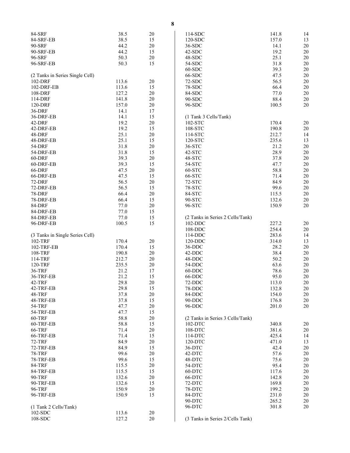| 84-SRF                          | 38.5  | 20     | 114-SDC                          | 141.8 | 14 |
|---------------------------------|-------|--------|----------------------------------|-------|----|
|                                 | 38.5  | 15     | 120-SDC                          | 157.0 | 13 |
| 84-SRF-EB                       |       |        |                                  |       |    |
| 90-SRF                          | 44.2  | 20     | 36-SDC                           | 14.1  | 20 |
| 90-SRF-EB                       | 44.2  | 15     | 42-SDC                           | 19.2  | 20 |
| 96-SRF                          | 50.3  | 20     | 48-SDC                           | 25.1  | 20 |
| 96-SRF-EB                       | 50.3  | 15     | 54-SDC                           | 31.8  | 20 |
|                                 |       |        | $60-SDC$                         | 39.3  | 20 |
|                                 |       |        |                                  |       |    |
| (2 Tanks in Series Single Cell) |       |        | 66-SDC                           | 47.5  | 20 |
| 102-DRF                         | 113.6 | 20     | 72-SDC                           | 56.5  | 20 |
| 102-DRF-EB                      | 113.6 | 15     | 78-SDC                           | 66.4  | 20 |
| 108-DRF                         | 127.2 | 20     | 84-SDC                           | 77.0  | 20 |
| 114-DRF                         | 141.8 | 20     | 90-SDC                           | 88.4  | 20 |
| 120-DRF                         | 157.0 | 20     | 96-SDC                           | 100.5 | 20 |
|                                 |       |        |                                  |       |    |
| 36-DRF                          | 14.1  | 17     |                                  |       |    |
| 36-DRF-EB                       | 14.1  | 15     | (1 Tank 3 Cells/Tank)            |       |    |
| 42-DRF                          | 19.2  | 20     | 102-STC                          | 170.4 | 20 |
| 42-DRF-EB                       | 19.2  | 15     | 108-STC                          | 190.8 | 20 |
| 48-DRF                          | 25.1  | 20     | 114-STC                          | 212.7 | 14 |
|                                 |       |        |                                  |       |    |
| 48-DRF-EB                       | 25.1  | 15     | 120-STC                          | 235.6 | 13 |
| 54-DRF                          | 31.8  | $20\,$ | 36-STC                           | 21.2  | 20 |
| 54-DRF-EB                       | 31.8  | 15     | 42-STC                           | 28.9  | 20 |
| 60-DRF                          | 39.3  | $20\,$ | 48-STC                           | 37.8  | 20 |
| 60-DRF-EB                       | 39.3  | 15     | 54-STC                           | 47.7  | 20 |
| 66-DRF                          | 47.5  | $20\,$ | 60-STC                           | 58.8  | 20 |
|                                 |       |        |                                  |       |    |
| 66-DRF-EB                       | 47.5  | 15     | 66-STC                           | 71.4  | 20 |
| 72-DRF                          | 56.5  | $20\,$ | 72-STC                           | 84.9  | 20 |
| 72-DRF-EB                       | 56.5  | 15     | 78-STC                           | 99.6  | 20 |
| <b>78-DRF</b>                   | 66.4  | 20     | 84-STC                           | 115.5 | 20 |
| 78-DRF-EB                       | 66.4  | 15     | 90-STC                           | 132.6 | 20 |
| 84-DRF                          | 77.0  | 20     | 96-STC                           | 150.9 | 20 |
| 84-DRF-EB                       | 77.0  | 15     |                                  |       |    |
|                                 |       |        |                                  |       |    |
| 84-DRF-EB                       | 77.0  | 15     | (2 Tanks in Series 2 Cells/Tank) |       |    |
| 96-DRF-EB                       | 100.5 | 15     | 102-DDC                          | 227.2 | 20 |
|                                 |       |        | 108-DDC                          | 254.4 | 20 |
| (3 Tanks in Single Series Cell) |       |        | 114-DDC                          | 283.6 | 14 |
| 102-TRF                         | 170.4 | 20     | 120-DDC                          | 314.0 | 13 |
| 102-TRF-EB                      | 170.4 | 15     | 36-DDC                           | 28.2  | 20 |
|                                 |       |        |                                  |       |    |
| 108-TRF                         | 190.8 | 20     | 42-DDC                           | 38.4  | 20 |
| 114-TRF                         | 212.7 | $20\,$ | 48-DDC                           | 50.2  | 20 |
| 120-TRF                         | 235.5 | 20     | 54-DDC                           | 63.6  | 20 |
| 36-TRF                          | 21.2  | 17     | 60-DDC                           | 78.6  | 20 |
| 36-TRF-EB                       | 21.2  | 15     | 66-DDC                           | 95.0  | 20 |
| 42-TRF                          | 29.8  | 20     | 72-DDC                           | 113.0 | 20 |
| 42-TRF-EB                       | 29.8  | 15     | 78-DDC                           | 132.8 | 20 |
|                                 |       |        |                                  |       |    |
| 48-TRF                          | 37.8  | 20     | 84-DDC                           | 154.0 | 20 |
| 48-TRF-EB                       | 37.8  | 15     | 90-DDC                           | 176.8 | 20 |
| 54-TRF                          | 47.7  | 20     | 96-DDC                           | 201.0 | 20 |
| 54-TRF-EB                       | 47.7  | 15     |                                  |       |    |
| 60-TRF                          | 58.8  | 20     | (2 Tanks in Series 3 Cells/Tank) |       |    |
| 60-TRF-EB                       | 58.8  | 15     | 102-DTC                          | 340.8 | 20 |
| 66-TRF                          | 71.4  | 20     | 108-DTC                          | 381.6 | 20 |
|                                 |       |        |                                  |       |    |
| 66-TRF-EB                       | 71.4  | 15     | 114-DTC                          | 425.4 | 14 |
| <b>72-TRF</b>                   | 84.9  | 20     | 120-DTC                          | 471.0 | 13 |
| 72-TRF-EB                       | 84.9  | 15     | 36-DTC                           | 42.4  | 20 |
| <b>78-TRF</b>                   | 99.6  | 20     | 42-DTC                           | 57.6  | 20 |
| 78-TRF-EB                       | 99.6  | 15     | 48-DTC                           | 75.6  | 20 |
| <b>84-TRF</b>                   | 115.5 | $20\,$ | 54-DTC                           | 95.4  | 20 |
|                                 | 115.5 |        | 60-DTC                           | 117.6 | 20 |
| 84-TRF-EB                       |       | 15     |                                  |       |    |
| <b>90-TRF</b>                   | 132.6 | 20     | 66-DTC                           | 142.8 | 20 |
| 90-TRF-EB                       | 132.6 | 15     | 72-DTC                           | 169.8 | 20 |
| 96-TRF                          | 150.9 | 20     | 78-DTC                           | 199.2 | 20 |
| 96-TRF-EB                       | 150.9 | 15     | 84-DTC                           | 231.0 | 20 |
|                                 |       |        | 90-DTC                           | 265.2 | 20 |
| (1 Tank 2 Cells/Tank)           |       |        | 96-DTC                           | 301.8 | 20 |
|                                 |       |        |                                  |       |    |
| 102-SDC                         | 113.6 | 20     |                                  |       |    |
| 108-SDC                         | 127.2 | 20     | (3 Tanks in Series 2/Cells Tank) |       |    |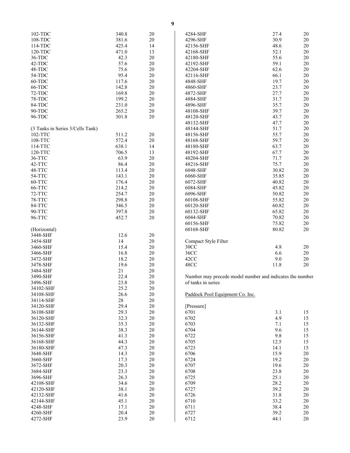| 102-TDC                          | 340.8 | 20 |
|----------------------------------|-------|----|
| 108-TDC                          | 381.6 | 20 |
| 114-TDC                          | 425.4 | 14 |
|                                  |       |    |
| 120-TDC                          | 471.0 | 13 |
| 36-TDC                           | 42.3  | 20 |
| 42-TDC                           | 57.6  | 20 |
| 48-TDC                           | 75.6  | 20 |
|                                  |       |    |
| 54-TDC                           | 95.4  | 20 |
| 60-TDC                           | 117.6 | 20 |
| 66-TDC                           | 142.8 | 20 |
|                                  |       |    |
| 72-TDC                           | 169.8 | 20 |
| 78-TDC                           | 199.2 | 20 |
| 84-TDC                           | 231.0 | 20 |
| 90-TDC                           | 265.2 | 20 |
|                                  |       |    |
| 96-TDC                           | 301.8 | 20 |
|                                  |       |    |
| (3 Tanks in Series 3/Cells Tank) |       |    |
|                                  |       |    |
| 102-TTC                          | 511.2 | 20 |
| 108-TTC                          | 572.4 | 20 |
| 114-TTC                          | 638.1 | 14 |
| 120-TTC                          | 706.5 | 13 |
|                                  |       |    |
| 36-TTC                           | 63.9  | 20 |
| 42-TTC                           | 86.4  | 20 |
| 48-TTC                           | 113.4 | 20 |
|                                  |       |    |
| 54-TTC                           | 143.1 | 20 |
| 60-TTC                           | 176.4 | 20 |
| 66-TTC                           | 214.2 | 20 |
| 72-TTC                           | 254.7 | 20 |
|                                  |       |    |
| 78-TTC                           | 298.8 | 20 |
| 84-TTC                           | 346.5 | 20 |
| 90-TTC                           | 397.8 | 20 |
|                                  |       |    |
| 96-TTC                           | 452.7 | 20 |
|                                  |       |    |
| (Horizontal)                     |       |    |
| 3448-SHF                         | 12.6  | 20 |
|                                  |       |    |
| 3454-SHF                         | 14    | 20 |
| 3460-SHF                         | 15.4  | 20 |
| 3466-SHF                         | 16.8  | 20 |
|                                  |       |    |
| 3472-SHF                         | 18.2  | 20 |
| 3478-SHF                         | 19.6  | 20 |
| 3484-SHF                         | 21    | 20 |
| 3490-SHF                         | 22.4  | 20 |
|                                  |       |    |
| 3496-SHF                         | 23.8  | 20 |
| 34102-SHF                        | 25.2  | 20 |
| 34108-SHF                        | 26.6  | 20 |
|                                  |       |    |
| 34114-SHF                        | 28    | 20 |
| 34120-SHF                        | 29.4  | 20 |
| 36108-SHF                        | 29.3  | 20 |
| 36120-SHF                        | 32.3  | 20 |
|                                  |       |    |
| 36132-SHF                        | 35.3  | 20 |
| 36144-SHF                        | 38.3  | 20 |
| 36156-SHF                        | 41.3  | 20 |
|                                  |       |    |
| 36168-SHF                        | 44.3  | 20 |
| 36180-SHF                        | 47.3  | 20 |
| 3648-SHF                         | 14.3  | 20 |
| 3660-SHF                         | 17.3  | 20 |
|                                  |       |    |
| 3672-SHF                         | 20.3  | 20 |
| 3684-SHF                         | 23.3  | 20 |
| 3696-SHF                         | 26.3  | 20 |
|                                  |       |    |
| 42108-SHF                        | 34.6  | 20 |
| 42120-SHF                        | 38.1  | 20 |
| 42132-SHF                        | 41.6  | 20 |
| 42144-SHF                        |       | 20 |
|                                  |       |    |
|                                  | 45.1  |    |
| 4248-SHF                         | 17.1  | 20 |
| 4260-SHF                         | 20.4  | 20 |
| 4272-SHF                         | 23.9  | 20 |

| 4284-SHF             | 27.4  | 20 |
|----------------------|-------|----|
| 4296-SHF             | 30.9  | 20 |
| 42156-SHF            | 48.6  | 20 |
| 42168-SHF            | 52.1  | 20 |
| 42180-SHF            | 55.6  | 20 |
| 42192-SHF            | 59.1  | 20 |
| 42204-SHF            | 62.6  | 20 |
| 42116-SHF            | 66.1  | 20 |
| 4848-SHF             | 19.7  | 20 |
| 4860-SHF             | 23.7  | 20 |
| 4872-SHF             | 27.7  | 20 |
| 4884-SHF             | 31.7  | 20 |
| 4896-SHF             | 35.7  | 20 |
| 48108-SHF            | 39.7  | 20 |
| 48120-SHF            | 43.7  | 20 |
| 48132-SHF            | 47.7  | 20 |
| 48144-SHF            | 51.7  | 20 |
| 48156-SHF            | 55.7  | 20 |
| 48168-SHF            | 59.7  | 20 |
| 48180-SHF            | 63.7  | 20 |
| 48192-SHF            | 67.7  | 20 |
| 48204-SHF            | 71.7  | 20 |
| 48216-SHF            | 75.7  | 20 |
| 6048-SHF             | 30.82 | 20 |
| 6060-SHF             | 35.85 | 20 |
| 6072-SHF             | 40.82 | 20 |
| 6084-SHF             | 45.82 | 20 |
| 6096-SHF             | 50.82 | 20 |
| 60108-SHF            | 55.82 | 20 |
| 60120-SHF            | 60.82 | 20 |
| 60132-SHF            | 65.82 | 20 |
| 6044-SHF             | 70.82 | 20 |
| 60156-SHF            | 75.82 | 20 |
| 60168-SHF            | 80.82 | 20 |
| Compact Style Filter |       |    |
| 30CC                 | 4.8   | 20 |
| 36CC                 | 6.6   | 20 |
| 42CC                 | 9.0   | 20 |
| 48CC                 | 11.8  | 20 |
|                      |       |    |

Number may precede model number and indicates the number of tanks in series

Paddock Pool Equipment Co. Inc.

| [Pressure] |      |    |
|------------|------|----|
| 6701       | 3.1  | 15 |
| 6702       | 4.9  | 15 |
| 6703       | 7.1  | 15 |
| 6704       | 9.6  | 15 |
| 6722       | 9.8  | 15 |
| 6705       | 12.5 | 15 |
| 6723       | 14.1 | 15 |
| 6706       | 15.9 | 20 |
| 6724       | 19.2 | 20 |
| 6707       | 19.6 | 20 |
| 6708       | 23.8 | 20 |
| 6725       | 25.1 | 20 |
| 6709       | 28.2 | 20 |
| 6727       | 39.2 | 20 |
| 6726       | 31.8 | 20 |
| 6710       | 33.2 | 20 |
| 6711       | 38.4 | 20 |
| 6727       | 39.2 | 20 |
| 6712       | 44.1 | 20 |
|            |      |    |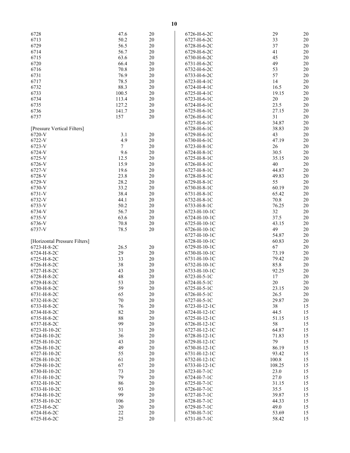| 6728                          | 47.6            | 20     | 6726-H-6-2C  | 29     | 20     |
|-------------------------------|-----------------|--------|--------------|--------|--------|
| 6713                          | 50.2            | $20\,$ | 6727-H-6-2C  | 33     | $20\,$ |
|                               |                 |        |              |        |        |
| 6729                          | 56.5            | $20\,$ | 6728-H-6-2C  | 37     | $20\,$ |
| 6714                          | 56.7            | $20\,$ | 6729-H-6-2C  | 41     | 20     |
| 6715                          | 63.6            | $20\,$ | 6730-H-6-2C  | 45     | 20     |
| 6720                          | 66.4            | 20     | 6731-H-6-2C  | 49     | $20\,$ |
|                               |                 |        |              |        |        |
| 6716                          | 70.8            | 20     | 6732-H-6-2C  | 53     | 20     |
| 6731                          | 76.9            | 20     | 6733-H-6-2C  | 57     | 20     |
| 6717                          | 78.5            | $20\,$ | 6723-H-4-1C  | 14     | $20\,$ |
| 6732                          | 88.3            | $20\,$ | 6724-H-4-1C  | 16.5   | $20\,$ |
|                               |                 |        |              |        |        |
| 6733                          | 100.5           | $20\,$ | 6725-H-4-1C  | 19.15  | 20     |
| 6734                          | 113.4           | $20\,$ | 6723-H-6-1C  | $20\,$ | 20     |
| 6735                          | 127.2           | $20\,$ | 6724-H-6-1C  | 23.5   | 20     |
|                               |                 |        |              |        |        |
| 6736                          | 141.7           | 20     | 6725-H-6-1C  | 27.15  | $20\,$ |
| 6737                          | 157             | 20     | 6726-H-6-1C  | 31     | 20     |
|                               |                 |        | 6727-H-6-1C  | 34.87  | 20     |
| [Pressure Vertical Filters]   |                 |        | 6728-H-6-1C  | 38.83  | $20\,$ |
|                               |                 |        |              |        |        |
| 6720-V                        | 3.1             | $20\,$ | 6729-H-6-1C  | 43     | 20     |
| 6722-V                        | 4.9             | $20\,$ | 6730-H-6-1C  | 47.19  | 20     |
| 6723-V                        | $7\overline{ }$ | $20\,$ | 6723-H-8-1C  | 26     | 20     |
| 6724-V                        | 9.6             | 20     | 6724-H-8-1C  | 30.5   | $20\,$ |
|                               |                 |        |              |        |        |
| 6725-V                        | 12.5            | 20     | 6725-H-8-1C  | 35.15  | 20     |
| 6726-V                        | 15.9            | 20     | 6726-H-8-1C  | 40     | 20     |
| 6727-V                        | 19.6            | 20     | 6727-H-8-1C  | 44.87  | $20\,$ |
|                               |                 |        |              |        |        |
| 6728-V                        | 23.8            | $20\,$ | 6728-H-8-1C  | 49.83  | $20\,$ |
| 6729-V                        | 28.2            | 20     | 6729-H-8-1C  | 55     | 20     |
| 6730-V                        | 33.2            | 20     | 6730-H-8-1C  | 60.19  | 20     |
| 6731-V                        | 38.4            | 20     | 6731-H-8-1C  | 65.42  | $20\,$ |
|                               |                 |        |              |        |        |
| 6732-V                        | 44.1            | $20\,$ | 6732-H-8-1C  | 70.8   | 20     |
| 6733-V                        | 50.2            | 20     | 6733-H-8-1C  | 76.25  | 20     |
| 6734-V                        | 56.7            | $20\,$ | 6723-H-10-1C | 32     | $20\,$ |
| 6735-V                        | 63.6            | $20\,$ | 6724-H-10-1C | 37.5   | $20\,$ |
|                               |                 |        |              |        |        |
| 6736-V                        | 70.8            | $20\,$ | 6725-H-10-1C | 43.15  | 20     |
| 6737-V                        | 78.5            | $20\,$ | 6726-H-10-1C | 49     | 20     |
|                               |                 |        | 6727-H-10-1C | 54.87  | $20\,$ |
|                               |                 |        |              | 60.83  | $20\,$ |
| [Horizontal Pressure Filters] |                 |        | 6728-H-10-1C |        |        |
| 6723-H-8-2C                   | 26.5            | 20     | 6729-H-10-1C | 67     | 20     |
| 6724-H-8-2C                   | 29              | $20\,$ | 6730-H-10-1C | 73.19  | 20     |
| 6725-H-8-2C                   | 33              | 20     | 6731-H-10-1C | 79.42  | $20\,$ |
|                               |                 |        |              |        |        |
| 6726-H-8-2C                   | 38              | $20\,$ | 6732-H-10-1C | 85.8   | 20     |
| 6727-H-8-2C                   | 43              | 20     | 6733-H-10-1C | 92.25  | 20     |
| 6728-H-8-2C                   | 48              | 20     | 6723-H-5-1C  | 17     | $20\,$ |
| 6729-H-8-2C                   | 53              | 20     | 6724-H-5-1C  | $20\,$ | 20     |
|                               |                 |        |              |        |        |
| 6730-H-8-2C                   | 59              | 20     | 6725-H-5-1C  | 23.15  | 20     |
| 6731-H-8-2C                   | 65              | $20\,$ | 6726-H-5-1C  | 26.5   | 20     |
| 6732-H-8-2C                   | 70              | $20\,$ | 6727-H-5-1C  | 29.87  | 20     |
| 6733-H-8-2C                   | 76              | 20     | 6723-H-12-1C | 38     | 15     |
|                               |                 |        |              |        |        |
| 6734-H-8-2C                   | 82              | 20     | 6724-H-12-1C | 44.5   | 15     |
| 6735-H-8-2C                   | 88              | 20     | 6725-H-12-1C | 51.15  | 15     |
| 6737-H-8-2C                   | 99              | 20     | 6726-H-12-1C | 58     | 15     |
| 6723-H-10-2C                  | 31              | 20     | 6727-H-12-1C | 64.87  | 15     |
|                               |                 |        |              |        |        |
| 6724-H-10-2C                  | 36              | $20\,$ | 6728-H-12-1C | 71.83  | 15     |
| 6725-H-10-2C                  | 43              | 20     | 6729-H-12-1C | 79     | 15     |
| 6726-H-10-2C                  | 49              | 20     | 6730-H-12-1C | 86.19  | 15     |
|                               |                 |        |              |        |        |
| 6727-H-10-2C                  | 55              | 20     | 6731-H-12-1C | 93.42  | 15     |
| 6728-H-10-2C                  | 61              | $20\,$ | 6732-H-12-1C | 100.8  | 15     |
| 6729-H-10-2C                  | 67              | 20     | 6733-H-12-1C | 108.25 | 15     |
| 6730-H-10-2C                  | 73              | $20\,$ | 6723-H-7-1C  | 23.0   | 15     |
|                               |                 |        |              |        |        |
| 6731-H-10-2C                  | 79              | 20     | 6724-H-7-1C  | 27.0   | 15     |
| 6732-H-10-2C                  | 86              | 20     | 6725-H-7-1C  | 31.15  | 15     |
| 6733-H-10-2C                  | 93              | 20     | 6726-H-7-1C  | 35.5   | 15     |
|                               |                 |        |              |        |        |
| 6734-H-10-2C                  | 99              | 20     | 6727-H-7-1C  | 39.87  | 15     |
| 6735-H-10-2C                  | 106             | 20     | 6728-H-7-1C  | 44.33  | 15     |
| 6723-H-6-2C                   | $20\,$          | 20     | 6729-H-7-1C  | 49.0   | 15     |
| 6724-H-6-2C                   | $22\,$          | 20     | 6730-H-7-1C  | 53.69  | 15     |
|                               |                 | 20     |              |        |        |
| 6725-H-6-2C                   | 25              |        | 6731-H-7-1C  | 58.42  | 15     |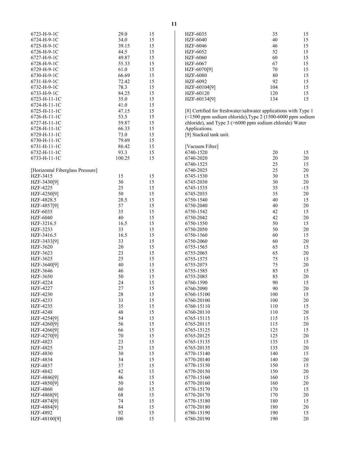| 6723-H-9-1C                      | 29.0   | 15 | HZF-6035                                                      | 35  | 15     |
|----------------------------------|--------|----|---------------------------------------------------------------|-----|--------|
| 6724-H-9-1C                      | 34.0   | 15 | <b>HZF-6040</b>                                               | 40  | 15     |
| 6725-H-9-1C                      | 39.15  | 15 | HZF-6046                                                      | 46  | 15     |
| 6726-H-9-1C                      | 44.5   | 15 | HZF-6052                                                      | 52  | 15     |
| 6727-H-9-1C                      | 49.87  | 15 | <b>HZF-6060</b>                                               | 60  | 15     |
| 6728-H-9-1C                      | 55.33  | 15 | <b>HZF-6067</b>                                               | 67  | 15     |
|                                  |        |    |                                                               |     |        |
| 6729-H-9-1C                      | 61.0   | 15 | HZF-6070[9]                                                   | 70  | 15     |
| 6730-H-9-1C                      | 66.69  | 15 | <b>HZF-6080</b>                                               | 80  | 15     |
| 6731-H-9-1C                      | 72.42  | 15 | HZF-6092                                                      | 92  | 15     |
| 6732-H-9-1C                      | 78.3   | 15 | HZF-60104[9]                                                  | 104 | 15     |
| 6733-H-9-1C                      | 84.25  | 15 | HZF-60120                                                     | 120 | 15     |
| 6723-H-11-1C                     | 35.0   | 15 | HZF-60134[9]                                                  | 134 | 15     |
| 6724-H-11-1C                     | 41.0   | 15 |                                                               |     |        |
| 6725-H-11-1C                     | 47.15  | 15 | [8] Certified for freshwater/saltwater applications with Type |     |        |
| 6726-H-11-1C                     | 53.5   | 15 | (<1500 ppm sodium chloride), Type 2 (1500-6000 ppm sodi       |     |        |
| 6727-H-11-1C                     | 59.87  | 15 | chloride), and Type 3 (>6000 ppm sodium chloride) Water       |     |        |
| 6728-H-11-1C                     | 66.33  | 15 | Applications.                                                 |     |        |
| 6729-H-11-1C                     | 73.0   | 15 | [9] Stacked tank unit.                                        |     |        |
| 6730-H-11-1C                     | 79.69  | 15 |                                                               |     |        |
| 6731-H-11-1C                     | 86.42  | 15 | [Vacuum Filter]                                               |     |        |
|                                  | 93.3   | 15 | 6740-1520                                                     | 20  | 15     |
| 6732-H-11-1C                     |        |    |                                                               | 20  |        |
| 6733-H-11-1C                     | 100.25 | 15 | 6740-2020                                                     |     | 20     |
|                                  |        |    | 6740-1525                                                     | 25  | 15     |
| [Horizontal Fiberglass Pressure] |        |    | 6740-2025                                                     | 25  | 20     |
| HZF-3415                         | 15     | 15 | 6745-1530                                                     | 30  | 15     |
| HZF-3430[9]                      | $30\,$ | 15 | 6745-2030                                                     | 30  | 20     |
| HZF-4225                         | 25     | 15 | 6745-1535                                                     | 35  | $-15$  |
| HZF-4250[9]                      | 50     | 15 | 6745-2035                                                     | 35  | 20     |
| HZF-4828.5                       | 28.5   | 15 | 6750-1540                                                     | 40  | 15     |
| HZF-4857[9]                      | 57     | 15 | 6750-2040                                                     | 40  | 20     |
| HZF-6035                         | 35     | 15 | 6750-1542                                                     | 42  | 15     |
| <b>HZF-6040</b>                  | 40     | 15 | 6750-2042                                                     | 42  | 20     |
| HZF-3216.5                       | 16.5   | 15 | 6750-1550                                                     | 50  | 15     |
| HZF-3233                         | 33     | 15 | 6750-2050                                                     | 50  | 20     |
| HZF-3416.5                       | 16.5   | 15 | 6750-1560                                                     | 60  | 15     |
| HZF-3433[9]                      | 33     | 15 | 6750-2060                                                     | 60  | 20     |
|                                  |        |    |                                                               |     |        |
| HZF-3620                         | $20\,$ | 15 | 6755-1565                                                     | 65  | 15     |
| HZF-3623                         | 23     | 15 | 6755-2065                                                     | 65  | 20     |
| HZF-3625                         | 25     | 15 | 6755-1575                                                     | 75  | 15     |
| HZF-3640[9]                      | 40     | 15 | 6755-2075                                                     | 75  | 20     |
| HZF-3646                         | 46     | 15 | 6755-1585                                                     | 85  | 15     |
| HZF-3650                         | 50     | 15 | 6755-2085                                                     | 85  | 20     |
| HZF-4224                         | 24     | 15 | 6760-1590                                                     | 90  | 15     |
| <b>HZF-4227</b>                  | $27\,$ | 15 | 6760-2090                                                     | 90  | 20     |
| HZF-4230                         | 28     | 15 | 6760-15100                                                    | 100 | 15     |
| HZF-4233                         | 33     | 15 | 6760-20100                                                    | 100 | 20     |
| HZF-4235                         | 35     | 15 | 6760-15110                                                    | 110 | 15     |
| <b>HZF-4248</b>                  | 48     | 15 | 6760-20110                                                    | 110 | 20     |
| HZF-4254[9]                      | 54     | 15 | 6765-15115                                                    | 115 | 15     |
| HZF-4260[9]                      | 56     | 15 | 6765-20115                                                    | 115 | 20     |
| HZF-4266[9]                      | 66     | 15 | 6765-15125                                                    | 125 | 15     |
| HZF-4270[9]                      | 70     | 15 | 6765-20125                                                    | 125 | 20     |
|                                  | 23     | 15 |                                                               | 135 |        |
| HZF-4823                         |        |    | 6765-15135                                                    |     | 15     |
| HZF-4825                         | 25     | 15 | 6765-20135                                                    | 135 | 20     |
| <b>HZF-4830</b>                  | 30     | 15 | 6770-15140                                                    | 140 | 15     |
| HZF-4834                         | 34     | 15 | 6770-20140                                                    | 140 | 20     |
| <b>HZF-4837</b>                  | 37     | 15 | 6770-15150                                                    | 150 | 15     |
| <b>HZF-4842</b>                  | 42     | 15 | 6770-20150                                                    | 150 | 20     |
| HZF-4846[9]                      | 46     | 15 | 6770-15160                                                    | 160 | 15     |
| HZF-4850[9]                      | 50     | 15 | 6770-20160                                                    | 160 | 20     |
| <b>HZF-4860</b>                  | 60     | 15 | 6770-15170                                                    | 170 | 15     |
| HZF-4868[9]                      | 68     | 15 | 6770-20170                                                    | 170 | 20     |
| HZF-4874[9]                      | 74     | 15 | 6770-15180                                                    | 180 | 15     |
| HZF-4884[9]                      | 84     | 15 | 6770-20180                                                    | 180 | 20     |
| <b>HZF-4892</b>                  | 92     | 15 | 6780-15190                                                    | 190 | 15     |
| HZF-48100[9]                     | 100    | 15 | 6780-20190                                                    | 190 | $20\,$ |
|                                  |        |    |                                                               |     |        |

| HZF-6035     | 35  | 15 |
|--------------|-----|----|
| HZF-6040     | 40  | 15 |
| HZF-6046     | 46  | 15 |
| HZF-6052     | 52  | 15 |
| HZF-6060     | 60  | 15 |
| HZF-6067     | 67  | 15 |
| HZF-6070[9]  | 70  | 15 |
| HZF-6080     | 80  | 15 |
| HZF-6092     | 92  | 15 |
| HZF-60104[9] | 104 | 15 |
| HZF-60120    | 120 | 15 |
| HZF-60134[9] | 134 | 15 |
|              |     |    |

| [Vacuum Filter] |     |       |
|-----------------|-----|-------|
| 6740-1520       | 20  | 15    |
| 6740-2020       | 20  | 20    |
| 6740-1525       | 25  | 15    |
| 6740-2025       | 25  | 20    |
| 6745-1530       | 30  | 15    |
| 6745-2030       | 30  | 20    |
| 6745-1535       | 35  | $-15$ |
| 6745-2035       | 35  | 20    |
| 6750-1540       | 40  | 15    |
| 6750-2040       | 40  | 20    |
| 6750-1542       | 42  | 15    |
| 6750-2042       | 42  | 20    |
| 6750-1550       | 50  | 15    |
| 6750-2050       | 50  | 20    |
| 6750-1560       | 60  | 15    |
| 6750-2060       | 60  | 20    |
| 6755-1565       | 65  | 15    |
| 6755-2065       | 65  | 20    |
| 6755-1575       | 75  | 15    |
| 6755-2075       | 75  | 20    |
| 6755-1585       | 85  | 15    |
| 6755-2085       | 85  | 20    |
| 6760-1590       | 90  | 15    |
| 6760-2090       | 90  | 20    |
| 6760-15100      | 100 | 15    |
| 6760-20100      | 100 | 20    |
| 6760-15110      | 110 | 15    |
| 6760-20110      | 110 | 20    |
| 6765-15115      | 115 | 15    |
| 6765-20115      | 115 | 20    |
| 6765-15125      | 125 | 15    |
| 6765-20125      | 125 | 20    |
| 6765-15135      | 135 | 15    |
| 6765-20135      | 135 | 20    |
| 6770-15140      | 140 | 15    |
| 6770-20140      | 140 | 20    |
| 6770-15150      | 150 | 15    |
| 6770-20150      | 150 | 20    |
| 6770-15160      | 160 | 15    |
| 6770-20160      | 160 | 20    |
| 6770-15170      | 170 | 15    |
| 6770-20170      | 170 | 20    |
| 6770-15180      | 180 | 15    |
| 6770-20180      | 180 | 20    |
| 6780-15190      | 190 | 15    |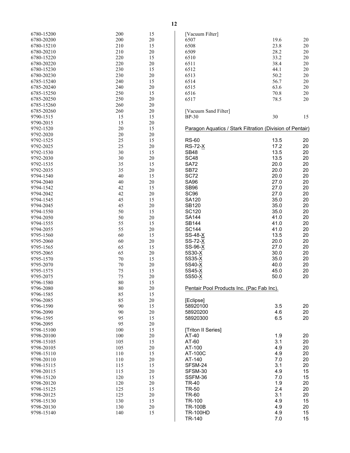| 6780-15200 | 200 | 15 |
|------------|-----|----|
| 6780-20200 | 200 | 20 |
| 6780-15210 | 210 | 15 |
|            |     |    |
| 6780-20210 | 210 | 20 |
| 6780-15220 | 220 | 15 |
| 6780-20220 | 220 | 20 |
|            |     |    |
| 6780-15230 | 230 | 15 |
| 6780-20230 | 230 | 20 |
| 6785-15240 | 240 | 15 |
|            |     |    |
| 6785-20240 | 240 | 20 |
| 6785-15250 | 250 | 15 |
| 6785-20250 | 250 | 20 |
|            |     |    |
| 6785-15260 | 260 | 20 |
| 6785-20260 | 260 | 20 |
| 9790-1515  | 15  | 15 |
|            |     |    |
| 9790-2015  | 15  | 20 |
| 9792-1520  | 20  | 15 |
| 9792-2020  | 20  | 20 |
|            |     |    |
| 9792-1525  | 25  | 15 |
| 9792-2025  | 25  | 20 |
| 9792-1530  | 30  | 15 |
|            |     |    |
| 9792-2030  | 30  | 20 |
| 9792-1535  | 35  | 15 |
| 9792-2035  | 35  | 20 |
|            |     |    |
| 9794-1540  | 40  | 15 |
| 9794-2040  | 40  | 20 |
| 9794-1542  |     |    |
|            | 42  | 15 |
| 9794-2042  | 42  | 20 |
| 9794-1545  | 45  | 15 |
|            |     |    |
| 9794-2045  | 45  | 20 |
| 9794-1550  | 50  | 15 |
| 9794-2050  | 50  | 20 |
|            |     |    |
| 9794-1555  | 55  | 15 |
| 9794-2055  | 55  | 20 |
| 9795-1560  | 60  | 15 |
|            |     |    |
| 9795-2060  | 60  | 20 |
| 9795-1565  | 65  | 15 |
| 9795-2065  | 65  | 20 |
|            |     |    |
| 9795-1570  | 70  | 15 |
| 9795-2070  | 70  | 20 |
| 9795-1575  | 75  | 15 |
|            |     |    |
| 9795-2075  | 75  | 20 |
| 9796-1580  | 80  | 15 |
| 9796-2080  | 80  | 20 |
|            |     |    |
| 9796-1585  | 85  | 15 |
| 9796-2085  | 85  | 20 |
| 9796-1590  | 90  | 15 |
| 9796-2090  | 90  | 20 |
|            |     |    |
| 9796-1595  | 95  | 15 |
| 9796-2095  | 95  | 20 |
|            |     |    |
| 9798-15100 | 100 | 15 |
| 9798-20100 | 100 | 20 |
| 9798-15105 | 105 | 15 |
| 9798-20105 | 105 |    |
|            |     | 20 |
| 9798-15110 | 110 | 15 |
| 9798-20110 | 110 | 20 |
| 9798-15115 | 115 | 15 |
|            |     |    |
| 9798-20115 | 115 | 20 |
| 9798-15120 | 120 | 15 |
| 9798-20120 | 120 | 20 |
|            |     |    |
| 9798-15125 | 125 | 15 |
| 9798-20125 | 125 | 20 |
| 9798-15130 | 130 | 15 |
|            |     |    |
| 9798-20130 | 130 | 20 |
| 9798-15140 | 140 | 15 |
|            |     |    |

| [Vacuum Filter]                                           |                      |                |
|-----------------------------------------------------------|----------------------|----------------|
| 6507<br>6508<br>6509                                      | 19.6<br>23.8<br>28.2 | 20<br>20<br>20 |
| 6510                                                      | 33.2                 | 20             |
| 6511<br>6512                                              | 38.4<br>44.1         | 20<br>20       |
| 6513                                                      | 50.2                 | 20             |
| 6514                                                      | 56.7                 | 20             |
| 6515                                                      | 63.6                 | 20             |
| 6516                                                      | 70.8                 | 20             |
| 6517                                                      | 78.5                 | 20             |
| [Vacuum Sand Filter]<br>$BP-30$                           | 30                   | 15             |
| Paragon Aquatics / Stark Filtration (Division of Pentair) |                      |                |
| <b>RS-60</b>                                              | 13.5                 | 20             |
| <b>RS-72-X</b>                                            | 17.2                 | 20             |
| SB48<br><b>SC48</b>                                       | 13.5                 | 20             |
| SA72                                                      | 13.5<br>20.0         | 20<br>20       |
| SB72                                                      | 20.0                 | 20             |
| SC72                                                      | 20.0                 | 20             |
| SA96                                                      | 27.0                 | 20             |
| <b>SB96</b>                                               | 27.0                 | 20             |
| SC96<br>SA120                                             | 27.0<br>35.0         | 20<br>20       |
| SB120                                                     | 35.0                 | 20             |
| SC120                                                     | 35.0                 | 20             |
| <b>SA144</b>                                              | 41.0                 | 20             |
| <b>SB144</b>                                              | 41.0                 | 20             |
| <b>SC144</b><br>SS-48-X                                   | 41.0<br>13.5         | 20<br>20       |
| SS-72-X                                                   | 20.0                 | 20             |
| SS-96-X                                                   | 27.0                 | 20             |
| 5S30- <u>X</u>                                            | 30.0                 | 20             |
| 5S35- <u>X</u>                                            | 35.0                 | 20             |
| 5S40-X<br>5S45-X                                          | 40.0<br>45.0         | 20<br>20       |
| 5S50-X                                                    | 50.0                 | 20             |
| Pentair Pool Products Inc. (Pac Fab Inc).                 |                      |                |
| [Eclipse]                                                 |                      |                |
| 58920100                                                  | 3.5                  | 20             |
| 58920200<br>58920300                                      | 4.6<br>6.5           | 20<br>20       |
| [Triton II Series]                                        |                      |                |
| AT-40                                                     | 1.9                  | 20             |
| AT-60                                                     | 3.1                  | 20             |
| AT-100                                                    | 4.9                  | 20             |
| AT-100C                                                   | 4.9<br>7.0           | 20             |
| AT-140<br>SFSM-24                                         | 3.1                  | 20<br>20       |
| SFSM-30                                                   | 4.9                  | 15             |
| SSFM-36                                                   | 7.0                  | 15             |
| TR-40                                                     | 1.9                  | 20             |
| TR-50                                                     | 2.4                  | 20             |
| TR-60<br>TR-100                                           | 3.1<br>4.9           | 20<br>15       |
| <b>TR-100B</b>                                            | 4.9                  | 20             |
| <b>TR-100HD</b>                                           | 4.9                  | 15             |
| TR-140                                                    | 7.0                  | 15             |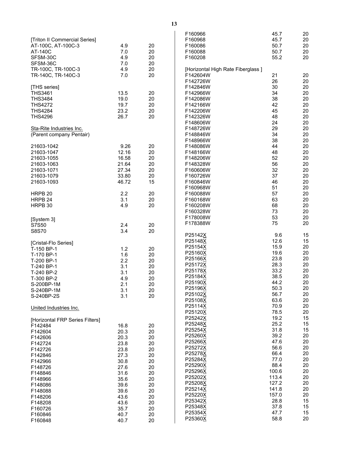|                                 |       |    | F160966                           | 45.7  | 20     |
|---------------------------------|-------|----|-----------------------------------|-------|--------|
| [Triton II Commercial Series]   |       |    | F160968                           | 45.7  | 20     |
| AT-100C, AT-100C-3              | 4.9   | 20 | F160086                           | 50.7  | 20     |
| AT-140C                         | 7.0   | 20 | F160088                           | 50.7  | 20     |
| SFSM-30C                        | 4.9   | 20 | F160208                           | 55.2  | 20     |
| SFSM-36C                        | 7.0   | 20 |                                   |       |        |
| TR-100C, TR-100C-3              | 4.9   | 20 | [Horizontal High Rate Fiberglass] |       |        |
| TR-140C, TR-140C-3              | 7.0   | 20 | F142604W                          | 21    | 20     |
|                                 |       |    | F142726W                          | 26    | 20     |
| [THS series]                    |       |    | F142846W                          | 30    | 20     |
| <b>THS3461</b>                  | 13.5  | 20 | F142966W                          | 34    | 20     |
| <b>THS3484</b>                  | 19.0  | 20 | F142086W                          | 38    | 20     |
| <b>THS4272</b>                  | 19.7  | 20 | F142166W                          | 42    | 20     |
| <b>THS4284</b>                  | 23.2  | 20 | F142206W                          | 45    | 20     |
| <b>THS4296</b>                  | 26.7  | 20 | F142326W                          | 48    | 20     |
|                                 |       |    | F148606W                          | 24    | 20     |
| Sta-Rite Industries Inc.        |       |    | F148726W                          | 29    | 20     |
| (Parent company Pentair)        |       |    | F148846W                          | 34    | 20     |
|                                 |       |    | F148966W                          | 38    | 20     |
| 21603-1042                      | 9.26  | 20 | F148086W                          | 44    | 20     |
| 21603-1047                      | 12.16 | 20 | F148166W                          | 48    | 20     |
| 21603-1055                      | 16.58 | 20 | F148206W                          | 52    | 20     |
| 21603-1063                      | 21.64 | 20 | F148328W                          | 56    | 20     |
| 21603-1071                      | 27.34 | 20 | F160606W                          | 32    | 20     |
| 21603-1079                      | 33.80 | 20 | F160726W                          | 37    | 20     |
| 21603-1093                      | 46.72 | 15 | F160846W                          | 46    | 20     |
|                                 |       |    | F160968W                          | 51    | 20     |
| HRPB <sub>20</sub>              | 2.2   | 20 | F160088W                          | 57    | 20     |
| HRPB 24                         | 3.1   | 20 | F160168W                          | 63    | 20     |
| HRPB 30                         | 4.9   | 20 | F160208W                          | 68    | 20     |
|                                 |       |    | F160328W                          | 73    | 20     |
| [System 3]                      |       |    | F178008W                          | 53    | 20     |
| S7S50                           | 2.4   | 20 | F178388W                          | 75    | 20     |
| S8S70                           | 3.4   | 20 |                                   |       |        |
|                                 |       |    | P25142X                           | 9.6   | 15     |
| [Cristal-Flo Series]            |       |    | P25148X                           | 12.6  | 15     |
| T-150 BP-1                      | 1.2   | 20 | P25154X                           | 15.9  | 20     |
| T-170 BP-1                      | 1.6   | 20 | P25160X                           | 19.6  | 20     |
| T-200 BP-1                      | 2.2   | 20 | P25166X                           | 23.8  | 20     |
| T-240 BP-1                      | 3.1   | 20 | P25172X                           | 28.3  | 20     |
| T-240 BP-2                      | 3.1   | 20 | P25178X                           | 33.2  | 20     |
| T-300 BP-2                      | 4.9   | 20 | P25184X                           | 38.5  | 20     |
| S-200BP-1M                      | 2.1   | 20 | P25190X                           | 44.2  | 20     |
| S-240BP-1M                      | 3.1   | 20 | P25196X                           | 50.3  | 20     |
| S-240BP-2S                      | 3.1   | 20 | P25102X                           | 56.7  | 20     |
|                                 |       |    | P25108X                           | 63.6  | $20\,$ |
| United Industries Inc.          |       |    | P25114X                           | 70.9  | 20     |
|                                 |       |    | P25120X                           | 78.5  | 20     |
| [Horizontal FRP Series Filters] |       |    | P25242X                           | 19.2  | 15     |
| F142484                         | 16.8  | 20 | P25248X                           | 25.2  | 15     |
| F142604                         | 20.3  | 20 | P25254X                           | 31.8  | 15     |
| F142606                         | 20.3  | 20 | P25260X                           | 39.2  | $20\,$ |
| F142724                         | 23.8  | 20 | P25266X                           | 47.6  | $20\,$ |
| F142726                         | 23.8  | 20 | P25272X                           | 56.6  | $20\,$ |
| F142846                         | 27.3  | 20 | P25278X                           | 66.4  | 20     |
| F142966                         | 30.8  | 20 | P25284X                           | 77.0  | 20     |
| F148726                         | 27.6  | 20 | P25290X                           | 88.4  | 20     |
| F148846                         | 31.6  | 20 | P25296X                           | 100.6 | 20     |
| F148966                         | 35.6  | 20 | P25202X                           | 113.4 | 20     |
| F148086                         | 39.6  | 20 | P25208X                           | 127.2 | $20\,$ |
| F148088                         | 39.6  | 20 | P25214X                           | 141.8 | $20\,$ |
| F148206                         | 43.6  | 20 | P25220X                           | 157.0 | 20     |
| F148208                         | 43.6  | 20 | P25342X                           | 28.8  | 15     |
| F160726                         | 35.7  | 20 | P25348X                           | 37.8  | 15     |
| F160846                         | 40.7  | 20 | P25354X                           | 47.7  | 15     |
| F160848                         | 40.7  | 20 | P25360X                           | 58.8  | 20     |
|                                 |       |    |                                   |       |        |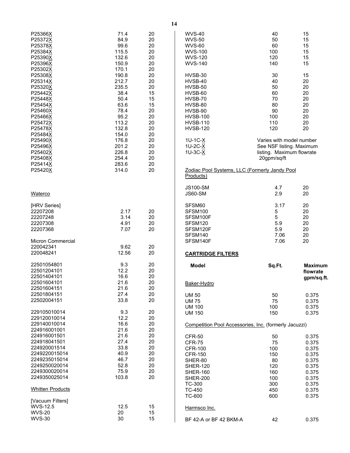| P25366X                  | 71.4           | 20       | <b>WVS-40</b>                                         | 40                                                   | 15       |
|--------------------------|----------------|----------|-------------------------------------------------------|------------------------------------------------------|----------|
| P25372X                  | 84.9<br>99.6   | 20       | <b>WVS-50</b>                                         | 50<br>60                                             | 15<br>15 |
| P25378X<br>P25384X       | 115.5          | 20<br>20 | <b>WVS-60</b><br><b>WVS-100</b>                       | 100                                                  | 15       |
| P25390X                  | 132.6          | 20       | <b>WVS-120</b>                                        | 120                                                  | 15       |
| P25396X                  | 150.9          | 20       | <b>WVS-140</b>                                        | 140                                                  | 15       |
| P25302X                  | 170.1          | 20       |                                                       |                                                      |          |
| P25308X                  | 190.8          | 20       | HVSB-30                                               | 30                                                   | 15       |
| P25314X                  | 212.7          | 20       | HVSB-40                                               | 40                                                   | 20       |
| P25320X                  | 235.5          | 20       | HVSB-50                                               | 50                                                   | 20       |
| P25442X                  | 38.4           | 15       | HVSB-60                                               | 60                                                   | 20       |
| P25448X                  | 50.4           | 15       | HVSB-70                                               | 70                                                   | 20       |
| P25454X                  | 63.6           | 15       | HVSB-80                                               | 80                                                   | 20       |
| P25460X                  | 78.4           | 20       | HVSB-90                                               | 90                                                   | 20       |
| P25466X                  | 95.2           | 20       | <b>HVSB-100</b>                                       | 100                                                  | 20       |
| P25472X                  | 113.2          | 20       | <b>HVSB-110</b>                                       | 110                                                  | 20       |
| P25478X                  | 132.8          | 20       | <b>HVSB-120</b>                                       | 120                                                  | 20       |
| P25484X                  | 154.0          | 20       |                                                       |                                                      |          |
| P25490X                  | 176.8<br>201.2 | 20       | 1U-1C-X                                               | Varies with model number<br>See NSF listing. Maximum |          |
| P25496X<br>P25402X       | 226.8          | 20<br>20 | 1U-2C-X<br>$1U-3C-X$                                  | listing. Maximum flowrate                            |          |
| P25408X                  | 254.4          | 20       |                                                       | 20gpm/sq/ft                                          |          |
| P25414X                  | 283.6          | 20       |                                                       |                                                      |          |
| P25420X                  | 314.0          | 20       | Zodiac Pool Systems, LLC (Formerly Jandy Pool         |                                                      |          |
|                          |                |          | Products)                                             |                                                      |          |
|                          |                |          | <b>JS100-SM</b>                                       | 4.7                                                  | 20       |
| Waterco                  |                |          | <b>JS60-SM</b>                                        | 2.9                                                  | 20       |
| [HRV Series]             |                |          | SFSM60                                                | 3.17                                                 | 20       |
| 22207208                 | 2.17           | 20       | SFSM100                                               | 5                                                    | 20       |
| 22207248                 | 3.14           | 20       | SFSM100F                                              | 5                                                    | 20       |
| 22207308                 | 4.91           | 20       | SFSM120                                               | 5.9                                                  | 20       |
| 22207368                 | 7.07           | 20       | SFSM120F                                              | 5.9                                                  | 20       |
|                          |                |          | SFSM140                                               | 7.06                                                 | 20       |
| <b>Micron Commercial</b> |                |          | SFSM140F                                              | 7.06                                                 | 20       |
| 220042341                | 9.62           | 20       |                                                       |                                                      |          |
| 220048241                | 12.56          | 20       | <b>CARTRIDGE FILTERS</b>                              |                                                      |          |
| 22501054801              | 9.3            | 20       | <b>Model</b>                                          | Sq.Ft.                                               | Maxim    |
| 22501204101              | 12.2           | 20       |                                                       |                                                      | flowra   |
| 22501404101              | 16.6           | 20       |                                                       |                                                      | gpm/s    |
| 22501604101              | 21.6           | 20       | Baker-Hydro                                           |                                                      |          |
| 22501604151              | 21.6           | 20       |                                                       |                                                      |          |
| 22501804151              | 27.4           | 20       | <b>UM 50</b>                                          | 50                                                   | 0.375    |
| 22502004151              | 33.8           | 20       | <b>UM 75</b>                                          | 75                                                   | 0.375    |
| 229105010014             |                |          | <b>UM 100</b>                                         | 100                                                  | 0.375    |
| 229120010014             | 9.3<br>12.2    | 20<br>20 | <b>UM 150</b>                                         | 150                                                  | 0.375    |
| 229140010014             | 16.6           | 20       |                                                       |                                                      |          |
| 224916001001             | 21.6           | 20       | Competition Pool Accessories, Inc. (formerly Jacuzzi) |                                                      |          |
| 224916001501             | 21.6           | 20       | <b>CFR-50</b>                                         | 50                                                   | 0.375    |
| 224918041501             | 27.4           | 20       | CFR-75                                                | 75                                                   | 0.375    |
| 224920001514             | 33.8           | 20       | <b>CFR-100</b>                                        | 100                                                  | 0.375    |
| 2249220015014            | 40.9           | 20       | <b>CFR-150</b>                                        | 150                                                  | 0.375    |
| 2249235015014            | 46.7           | 20       | SHER-80                                               | 80                                                   | 0.375    |
| 2249250020014            | 52.8           | 20       | <b>SHER-120</b>                                       | 120                                                  | 0.375    |
| 2249300020014            | 75.9           | 20       | SHER-160                                              | 160                                                  | 0.375    |
| 2249350025014            | 103.8          | 20       | <b>SHER-200</b>                                       | 100                                                  | 0.375    |
|                          |                |          | TC-300                                                | 300                                                  | 0.375    |
| <b>Whitten Products</b>  |                |          | <b>TC-450</b>                                         | 450                                                  | 0.375    |
| [Vacuum Filters]         |                |          | TC-600                                                | 600                                                  | 0.375    |
| WVS-12.5                 | 12.5           | 15       | Harmsco Inc.                                          |                                                      |          |
| <b>WVS-20</b>            | 20             | 15       |                                                       |                                                      |          |
| <b>WVS-30</b>            | 30             | 15       | BF 42-A or BF 42 BKM-A                                | 42                                                   | 0.375    |
|                          |                |          |                                                       |                                                      |          |

<span id="page-15-0"></span>**Model Sq.Ft. Maximum** 

**flowrate gpm/sq.ft.**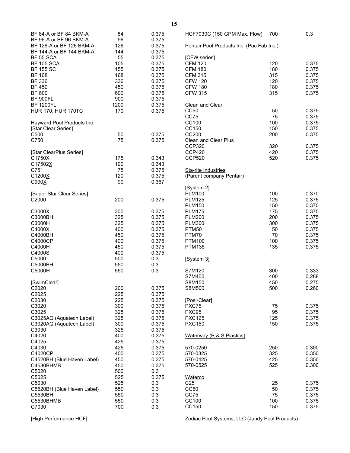| BF 84-A or BF 84 BKM-A                             | 84          | 0.375          | HCF7030C (150 GPM Max. Flow)                   | 700        | 0.3         |
|----------------------------------------------------|-------------|----------------|------------------------------------------------|------------|-------------|
| BF 96-A or BF 96 BKM-A<br>BF 126-A or BF 126 BKM-A | 96<br>126   | 0.375<br>0.375 | Pentair Pool Products Inc. (Pac Fab Inc.)      |            |             |
| BF 144-A or BF 144 BKM-A                           | 144         | 0.375          |                                                |            |             |
| <b>BF 55 SCA</b>                                   | 55          | 0.375          | [CFW series]                                   |            |             |
| <b>BF 105 SCA</b>                                  | 105         | 0.375          | <b>CFM 120</b>                                 | 120        | 0.3         |
| <b>BF 155 SC</b>                                   | 155         | 0.375          | <b>CFM 180</b>                                 | 180        | 0.3         |
| <b>BF 168</b>                                      | 168         | 0.375          | <b>CFM 315</b>                                 | 315        | 0.3         |
| <b>BF 336</b>                                      | 336         | 0.375          | <b>CFW 120</b>                                 | 120        | 0.3         |
| <b>BF 450</b>                                      | 450         | 0.375          | <b>CFW 180</b>                                 | 180        | 0.3         |
| <b>BF 600</b>                                      | 600         | 0.375<br>0.375 | <b>CFW 315</b>                                 | 315        | 0.3         |
| <b>BF 900FL</b><br><b>BF 1200FL</b>                | 900<br>1200 | 0.375          | Clean and Clear                                |            |             |
| <b>HUR 170, HUR 170TC</b>                          | 170         | 0.375          | <b>CC50</b>                                    | 50         | 0.3         |
|                                                    |             |                | <b>CC75</b>                                    | 75         | 0.3         |
| <b>Hayward Pool Products Inc.</b>                  |             |                | CC100                                          | 100        | 0.3         |
| [Star Clear Series]                                |             |                | CC150                                          | 150        | 0.3         |
| C <sub>500</sub>                                   | 50          | 0.375          | CC200                                          | 200        | 0.3         |
| C750                                               | 75          | 0.375          | <b>Clean and Clear Plus</b>                    |            |             |
|                                                    |             |                | <b>CCP320</b>                                  | 320        | 0.3         |
| [Star ClearPlus Series]                            |             |                | <b>CCP420</b>                                  | 420        | 0.3         |
| C1750X                                             | 175         | 0.343          | <b>CCP520</b>                                  | 520        | 0.3         |
| C17502X                                            | 190         | 0.343          |                                                |            |             |
| C751                                               | 75          | 0.375          | Sta-rite Industries                            |            |             |
| C1200X                                             | 120         | 0.375          | (Parent company Pentair)                       |            |             |
| C900X                                              | 90          | 0.367          |                                                |            |             |
|                                                    |             |                | [System 2]                                     |            | 0.3         |
| [Super Star Clear Series]<br>C <sub>2000</sub>     | 200         | 0.375          | <b>PLM100</b><br><b>PLM125</b>                 | 100<br>125 | 0.3         |
|                                                    |             |                | <b>PLM150</b>                                  | 150        | 0.3         |
| C3000X                                             | 300         | 0.375          | <b>PLM175</b>                                  | 175        | 0.3         |
| C3000BH                                            | 325         | 0.375          | <b>PLM200</b>                                  | 200        | 0.3         |
| C3000H                                             | 325         | 0.375          | <b>PLM300</b>                                  | 300        | 0.3         |
| C4000X                                             | 400         | 0.375          | PTM50                                          | 50         | 0.3         |
| C4000BH                                            | 450         | 0.375          | PTM70                                          | 70         | 0.3         |
| C4000CP                                            | 400         | 0.375          | <b>PTM100</b>                                  | 100        | 0.3         |
| C4000H                                             | 450         | 0.375          | <b>PTM135</b>                                  | 135        | 0.3         |
| C4000S                                             | 400         | 0.375          |                                                |            |             |
| C5000                                              | 500         | 0.3            | [System 3]                                     |            |             |
| C5000BH                                            | 550         | 0.3            |                                                |            |             |
| C5000H                                             | 550         | 0.3            | S7M120                                         | 300        | 0.33        |
|                                                    |             |                | S7M400                                         | 400        | 0.28<br>0.2 |
| [SwimClear]<br>C2020                               | 200         | 0.375          | S8M150<br>S8M500                               | 450<br>500 | 0.26        |
| C2025                                              | 225         | 0.375          |                                                |            |             |
| C2030                                              | 225         | 0.375          | [Posi-Clear]                                   |            |             |
| C3020                                              | 300         | 0.375          | PXC75                                          | 75         | 0.3         |
| C3025                                              | 325         | 0.375          | PXC95                                          | 95         | 0.3         |
| C3025AQ (Aquatech Label)                           | 325         | 0.375          | <b>PXC125</b>                                  | 125        | 0.3         |
| C3020AQ (Aquatech Label)                           | 300         | 0.375          | <b>PXC150</b>                                  | 150        | 0.3         |
| C3030                                              | 325         | 0.375          |                                                |            |             |
| C4020                                              | 400         | 0.375          | Waterway (B & S Plastics)                      |            |             |
| C4025                                              | 425         | 0.375          |                                                |            |             |
| C4030                                              | 425         | 0.375          | 570-0250                                       | 250        | 0.30        |
| C4020CP                                            | 400         | 0.375          | 570-0325                                       | 325        | 0.35        |
| C4520BH (Blue Haven Label)                         | 450         | 0.375          | 570-0425                                       | 425        | 0.35        |
| C4530BHMB                                          | 450         | 0.375          | 570-0525                                       | 525        | 0.30        |
| C5020<br>C5025                                     | 500<br>525  | 0.3<br>0.375   | Waterco                                        |            |             |
| C5030                                              | 525         | 0.3            | C <sub>25</sub>                                | 25         | 0.3         |
| C5520BH (Blue Haven Label)                         | 550         | 0.3            | CC50                                           | 50         | 0.3         |
| C5530BH                                            | 550         | 0.3            | CC75                                           | 75         | 0.3         |
| C5530BHMB                                          | 550         | 0.3            | CC100                                          | 100        | 0.3         |
| C7030                                              | 700         | 0.3            | CC150                                          | 150        | 0.3         |
|                                                    |             |                |                                                |            |             |
| [High Performance HCF]                             |             |                | Zodiac Pool Systems, LLC (Jandy Pool Products) |            |             |

| Pentair Pool Products Inc. (Pac Fab Inc.)                                                                                                                                   |                                                                  |                                                                                        |
|-----------------------------------------------------------------------------------------------------------------------------------------------------------------------------|------------------------------------------------------------------|----------------------------------------------------------------------------------------|
| [CFW series]<br><b>CFM 120</b><br><b>CFM 180</b><br><b>CFM 315</b><br><b>CFW 120</b><br><b>CFW 180</b><br><b>CFW 315</b>                                                    | 120<br>180<br>315<br>120<br>180<br>315                           | 0.375<br>0.375<br>0.375<br>0.375<br>0.375<br>0.375                                     |
| Clean and Clear<br>CC50<br>CC75<br>CC100<br>CC150<br>CC200<br><b>Clean and Clear Plus</b><br>CCP320<br><b>CCP420</b><br><b>CCP520</b>                                       | 50<br>75<br>100<br>150<br>200<br>320<br>420<br>520               | 0.375<br>0.375<br>0.375<br>0.375<br>0.375<br>0.375<br>0.375<br>0.375                   |
| Sta-rite Industries<br>(Parent company Pentair)                                                                                                                             |                                                                  |                                                                                        |
| [System 2]<br><b>PLM100</b><br><b>PLM125</b><br><b>PLM150</b><br><b>PLM175</b><br><b>PLM200</b><br><b>PLM300</b><br><b>PTM50</b><br>PTM70<br><b>PTM100</b><br><b>PTM135</b> | 100<br>125<br>150<br>175<br>200<br>300<br>50<br>70<br>100<br>135 | 0.370<br>0.375<br>0.370<br>0.375<br>0.375<br>0.375<br>0.375<br>0.375<br>0.375<br>0.375 |
| [System 3]                                                                                                                                                                  |                                                                  |                                                                                        |
| S7M120<br>S7M400<br>S8M150<br>S8M500                                                                                                                                        | 300<br>400<br>450<br>500                                         | 0.333<br>0.288<br>0.275<br>0.260                                                       |
| [Posi-Clear]<br>PXC75<br>PXC95<br><b>PXC125</b><br><b>PXC150</b>                                                                                                            | 75<br>95<br>125<br>150                                           | 0.375<br>0.375<br>0.375<br>0.375                                                       |
| <b>Waterway (B &amp; S Plastics)</b>                                                                                                                                        |                                                                  |                                                                                        |
| 570-0250<br>570-0325<br>570-0425<br>570-0525                                                                                                                                | 250<br>325<br>425<br>525                                         | 0.300<br>0.350<br>0.350<br>0.300                                                       |
| Waterco<br>C <sub>25</sub><br>CC50<br>CC75<br>CC100<br>CC150                                                                                                                | 25<br>50<br>75<br>100<br>150                                     | 0.375<br>0.375<br>0.375<br>0.375<br>0.375                                              |
| Zodiac Pool Systems, LLC (Jandy Pool Products)                                                                                                                              |                                                                  |                                                                                        |

**15**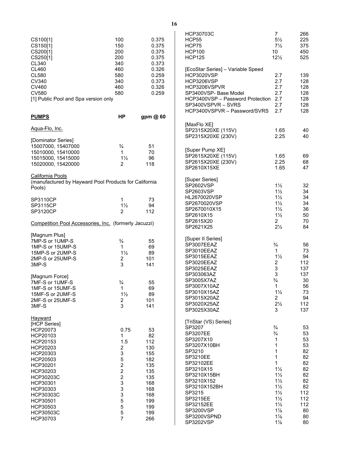<span id="page-17-0"></span>

|                                                       |                         |          | <b>HCP30703C</b>                     | $\overline{7}$            | 266    |
|-------------------------------------------------------|-------------------------|----------|--------------------------------------|---------------------------|--------|
| CS100[1]                                              | 100                     | 0.375    | HCP55                                | $5\frac{1}{2}$            | 225    |
| CS150[1]                                              | 150                     | 0.375    | HCP75                                | $7\frac{1}{2}$            | 375    |
| CS200[1]                                              | 200                     | 0.375    | <b>HCP100</b>                        | 10                        | 450    |
| CS250[1]                                              | 200                     | 0.375    | <b>HCP125</b>                        | $12\frac{1}{2}$           | 525    |
| CL340                                                 | 340                     | 0.373    |                                      |                           |        |
|                                                       |                         |          |                                      |                           |        |
| CL460                                                 | 460                     | 0.326    | [EcoStar Series] - Variable Speed    |                           |        |
| <b>CL580</b>                                          | 580                     | 0.259    | HCP3020VSP                           | 2.7                       | 139    |
| CV340                                                 | 340                     | 0.373    | <b>HCP3206VSP</b>                    | 2.7                       | 128    |
| CV460                                                 | 460                     | 0.326    | HCP3206VSPVR                         | 2.7                       | 128    |
| <b>CV580</b>                                          | 580                     | 0.259    | SP3400VSP- Base Model                | 2.7                       | 128    |
| [1] Public Pool and Spa version only                  |                         |          | HCP3400VSP - Password Protection 2.7 |                           | 128    |
|                                                       |                         |          | SP3400VSPVR - SVRS                   | 2.7                       | 128    |
|                                                       |                         |          | HCP3400VSPVR - Password/SVRS         | 2.7                       | 128    |
| <b>PUMPS</b>                                          | <b>HP</b>               | gpm @ 60 |                                      |                           |        |
|                                                       |                         |          |                                      |                           |        |
| <u> Aqua-Flo, Inc.</u>                                |                         |          | [MaxFlo XE]                          |                           |        |
|                                                       |                         |          | SP2315X20XE (115V)                   | 1.65                      | 40     |
|                                                       |                         |          | SP2315X20XE (230V)                   | 2.25                      | 40     |
| [Dominator Series]                                    |                         |          |                                      |                           |        |
| 15007000, 15407000                                    | $\frac{3}{4}$           | 51       | [Super Pump XE]                      |                           |        |
| 15010000, 15410000                                    | 1                       | 70       |                                      |                           |        |
| 15015000, 15415000                                    | $1\frac{1}{2}$          | 96       | SP2615X20XE (115V)                   | 1.65                      | 69     |
| 15020000, 15420000                                    | $\overline{2}$          | 118      | SP2615X20XE (230V)                   | 2.25                      | 68     |
|                                                       |                         |          | SP2610X15XE                          | 1.65                      | 47     |
| <b>California Pools</b>                               |                         |          |                                      |                           |        |
| (manufactured by Hayward Pool Products for California |                         |          | [Super Series]                       |                           |        |
|                                                       |                         |          | SP2602VSP                            | $1\frac{1}{2}$            | 32     |
| Pools)                                                |                         |          | SP2603VSP                            | $1\frac{1}{2}$            | 34     |
|                                                       |                         |          | HL2670020VSP                         | $1\frac{1}{2}$            | 34     |
| SP3110CP                                              | 1                       | 73       |                                      |                           |        |
| SP3115CP                                              | $1\frac{1}{2}$          | 94       | SP2670020VSP                         | $1\frac{1}{2}$            | 34     |
| <b>SP3120CP</b>                                       | $\overline{2}$          | 112      | SP2670010X15                         | $1\frac{1}{2}$            | 36     |
|                                                       |                         |          | SP2610X15                            | $1\frac{1}{2}$            | 50     |
| Competition Pool Accessories, Inc. (formerly Jacuzzi) |                         |          | SP2615X20                            | $\overline{2}$            | 70     |
|                                                       |                         |          | SP2621X25                            | $2\frac{1}{2}$            | 84     |
| [Magnum Plus]                                         |                         |          |                                      |                           |        |
| 7MP-S or 1UMP-S                                       | $\frac{3}{4}$           | 55       | [Super II Series]                    |                           |        |
|                                                       | $\mathbf{1}$            |          | SP3007EEAZ                           | $\frac{3}{4}$             | 56     |
| 1MP-S or 15UMP-S                                      |                         | 69       | SP3010EEAZ                           | $\mathbf{1}$              | 73     |
| 15MP-S or 2UMP-S                                      | $1\frac{1}{2}$          | 89       | SP3015EEAZ                           | $1\frac{1}{2}$            | 94     |
| 2MP-S or 25UMP-S                                      | $\overline{\mathbf{c}}$ | 101      | SP3020EEAZ                           | 2                         | 112    |
| 3MP-S                                                 | 3                       | 141      |                                      | $\ensuremath{\mathsf{3}}$ |        |
|                                                       |                         |          | SP3025EEAZ                           |                           | 137    |
| [Magnum Force]                                        |                         |          | SP303063AZ                           | $\ensuremath{\mathsf{3}}$ | 137    |
| 7MF-S or 1UMF-S                                       | $\frac{3}{4}$           | 55       | SP3005X7AZ                           | $\frac{3}{4}$             | $30\,$ |
| 1MF-S or 15UMF-S                                      | $\mathbf{1}$            | 69       | SP3007X10AZ                          | $\mathbf{1}$              | 56     |
| 15MF-S or 2UMF-S                                      | $1\frac{1}{2}$          | 89       | SP3010X15AZ                          | $1\frac{1}{2}$            | 73     |
|                                                       |                         |          | SP3015X20AZ                          | $\overline{c}$            | 94     |
| 2MF-S or 25UMF-S                                      | 2                       | 101      | SP3020X25AZ                          | $2\frac{1}{2}$            | 112    |
| 3MF-S                                                 | 3                       | 141      | SP3025X30AZ                          | 3                         | 137    |
|                                                       |                         |          |                                      |                           |        |
| Hayward                                               |                         |          |                                      |                           |        |
| [HCP Series]                                          |                         |          | [TriStar (VS) Series]                |                           |        |
| HCP20073                                              | 0.75                    | 53       | SP3207                               | $\frac{3}{4}$             | 53     |
| HCP20103                                              | 1                       | 82       | SP3207EE                             | $\frac{3}{4}$             | 53     |
| HCP20153                                              | 1.5                     | 112      | SP3207X10                            | 1                         | 53     |
|                                                       | $\overline{c}$          | 130      | SP3207X10BH                          | 1                         | 53     |
| HCP20203                                              |                         |          | SP3210                               | $\mathbf{1}$              | 82     |
| HCP20303                                              | 3                       | 155      | SP3210EE                             | $\mathbf{1}$              | 82     |
| HCP20503                                              | 5                       | 182      | SP32102EE                            | $\mathbf{1}$              | 82     |
| HCP30201                                              | $\overline{c}$          | 135      |                                      |                           |        |
| HCP30203                                              | $\overline{c}$          | 135      | SP3210X15                            | $1\frac{1}{2}$            | 82     |
| HCP30203C                                             | $\overline{\mathbf{c}}$ | 135      | SP3210X15BH                          | $1\frac{1}{2}$            | 82     |
| HCP30301                                              | 3                       | 168      | SP3210X152                           | $1\frac{1}{2}$            | 82     |
| HCP30303                                              | 3                       | 168      | SP3210X152BH                         | $1\frac{1}{2}$            | 82     |
|                                                       |                         |          | SP3215                               | $1\frac{1}{2}$            | 112    |
| HCP30303C                                             | 3                       | 168      | SP3215EE                             | $1\frac{1}{2}$            | 112    |
| HCP30501                                              | 5                       | 199      | SP32152EE                            | $1\frac{1}{2}$            | 112    |
| HCP30503                                              | 5                       | 199      |                                      |                           |        |
| HCP30503C                                             | 5                       | 199      | <b>SP3200VSP</b>                     | $1\frac{7}{8}$            | 80     |
| HCP30703                                              | $\overline{7}$          | 266      | SP3200VSPND                          | $1\frac{7}{8}$            | 80     |
|                                                       |                         |          | SP3202VSP                            | $1\frac{7}{8}$            | 80     |

**16**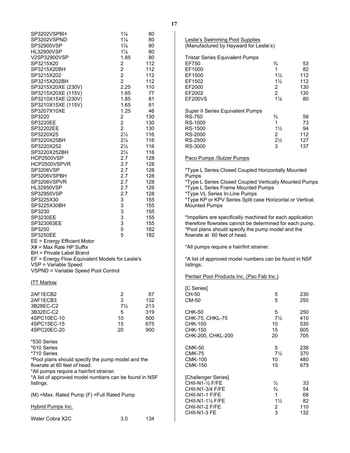| SP3202VSPBH<br>SP3202VSPND<br>SP32900VSP<br><b>HL32900VSP</b><br>V2SP32900VSP<br>SP3215X20<br>SP3215X20BH<br>SP3215X202<br>SP3215X202BH<br>SP3215X20XE (230V)<br>SP3215X20XE (115V)<br>SP3210X15XE (230V)<br>SP3210X15XE (115V)<br>SP3207X10XE<br>SP3220<br><b>SP3220EE</b><br>SP32202EE<br>SP3220X25<br>SP3220X25BH<br>SP3220X252<br>SP3220X252BH<br>HCP2500VSP<br>HCP2500VSPVR<br>SP3206VSP<br>SP3206VSPBH<br>SP3206VSPVR<br><b>HL32950VSP</b><br>SP32950VSP<br>SP3225X30<br>SP3225X30BH<br>SP3230<br>SP3230EE<br>SP323063EE<br>SP3250<br>SP3250EE<br>EE = Energy Efficient Motor<br>$X#$ = Max Rate HP Suffix<br>BH = Private Label Brand<br>EF = Energy Flow Equivalent Models for Leslie's<br>VSP = Variable Speed<br>VSPND = Variable Speed Pool Control | $1\frac{7}{8}$<br>$1\frac{7}{8}$<br>$1\frac{7}{8}$<br>$1\frac{7}{8}$<br>1.85<br>2<br>$\overline{2}$<br>$\overline{2}$<br>$\overline{c}$<br>2.25<br>1.65<br>1.85<br>1.65<br>1.25<br>2<br>$\overline{2}$<br>$\overline{2}$<br>$2\frac{1}{2}$<br>$2\frac{1}{2}$<br>$2\frac{1}{2}$<br>$2\frac{1}{2}$<br>2.7<br>2.7<br>2.7<br>2.7<br>2.7<br>2.7<br>2.7<br>3<br>3<br>3<br>3<br>3<br>5<br>5 | 80<br>80<br>80<br>80<br>80<br>112<br>112<br>112<br>112<br>110<br>77<br>81<br>81<br>46<br>130<br>130<br>130<br>116<br>116<br>116<br>116<br>128<br>128<br>128<br>128<br>128<br>128<br>128<br>155<br>155<br>155<br>155<br>155<br>182<br>182 |
|----------------------------------------------------------------------------------------------------------------------------------------------------------------------------------------------------------------------------------------------------------------------------------------------------------------------------------------------------------------------------------------------------------------------------------------------------------------------------------------------------------------------------------------------------------------------------------------------------------------------------------------------------------------------------------------------------------------------------------------------------------------|--------------------------------------------------------------------------------------------------------------------------------------------------------------------------------------------------------------------------------------------------------------------------------------------------------------------------------------------------------------------------------------|------------------------------------------------------------------------------------------------------------------------------------------------------------------------------------------------------------------------------------------|
| <b>ITT Marlow</b>                                                                                                                                                                                                                                                                                                                                                                                                                                                                                                                                                                                                                                                                                                                                              |                                                                                                                                                                                                                                                                                                                                                                                      |                                                                                                                                                                                                                                          |
| 2AF1ECB2<br>2AF1ECB3<br>3B28EC-C2<br>3B32EC-C2<br>4SPC10EC-10<br>4SPC15EC-15<br>4SPC20EC-20                                                                                                                                                                                                                                                                                                                                                                                                                                                                                                                                                                                                                                                                    | 2<br>3<br>$7\frac{1}{2}$<br>5<br>10<br>15<br>20                                                                                                                                                                                                                                                                                                                                      | 87<br>132<br>213<br>319<br>500<br>675<br>900                                                                                                                                                                                             |
| *530 Series<br>*610 Series<br>*710 Series<br>*Pool plans should specify the pump model and the<br>flowrate at 60 feet of head.<br>*All pumps require a hair/lint strainer.<br>*A list of approved model numbers can be found in NSF<br>listings.                                                                                                                                                                                                                                                                                                                                                                                                                                                                                                               |                                                                                                                                                                                                                                                                                                                                                                                      |                                                                                                                                                                                                                                          |
| (M) = Max. Rated Pump (F) = Full Rated Pump                                                                                                                                                                                                                                                                                                                                                                                                                                                                                                                                                                                                                                                                                                                    |                                                                                                                                                                                                                                                                                                                                                                                      |                                                                                                                                                                                                                                          |
| <b>Hybrid Pumps Inc.</b>                                                                                                                                                                                                                                                                                                                                                                                                                                                                                                                                                                                                                                                                                                                                       |                                                                                                                                                                                                                                                                                                                                                                                      |                                                                                                                                                                                                                                          |

| Water Cobra X2C | 3.0 | 134 |
|-----------------|-----|-----|
|                 |     |     |

| Leslie's Swimming Pool Supplies        |
|----------------------------------------|
| (Manufactured by Hayward for Leslie's) |

| <b>Tristar Series Equivalent Pumps</b>  |                |     |
|-----------------------------------------|----------------|-----|
| EF750                                   | $\frac{3}{4}$  | 53  |
| EF1000                                  | 1              | 82  |
| EF1500                                  | $1\frac{1}{2}$ | 112 |
| EF1502                                  | $1\frac{1}{2}$ | 112 |
| EF2000                                  | 2              | 130 |
| EF2002                                  | $\mathcal{P}$  | 130 |
| <b>EF200VS</b>                          | $1\frac{7}{8}$ | 80  |
| <b>Super II Series Equivalent Pumps</b> |                |     |
| <b>RS-750</b>                           | $\frac{3}{4}$  | 56  |
| RS-1000                                 | 1              | 73  |
| RS-1500                                 | $1\frac{1}{2}$ | 94  |
| RS-2000                                 | 2              | 112 |
| RS-2500                                 | $2\frac{1}{2}$ | 127 |
| RS-3000                                 | 3              | 137 |

Paco Pumps /Sulzer Pumps

\*Type L Series Closed Coupled Horizontally Mounted Pumps

\*Type L Series Closed Coupled Vertically Mounted Pumps \*Type L Series Frame Mounted Pumps

\*Type VL Series In-Line Pumps

\*Type KP or KPV Series Split case Horizontal or Vertical. Mounted Pumps

\*Impellers are specifically machined for each application therefore flowrates cannot be determined for each pump. \*Pool plans should specify the pump model and the flowrate at 60 feet of head.

\*All pumps require a hair/lint strainer.

\*A list of approved model numbers can be found in NSF listings.

| Pentair Pool Products Inc. (Pac Fab Inc.) |  |
|-------------------------------------------|--|
|                                           |  |

| [C Series]<br>CH-50<br>CM-50                                                                                                                          | 5<br>5                                                          | 230<br>250                         |
|-------------------------------------------------------------------------------------------------------------------------------------------------------|-----------------------------------------------------------------|------------------------------------|
| CHK-50                                                                                                                                                | 5                                                               | 250                                |
| CHK-75, CHKL-75                                                                                                                                       | $7\frac{1}{2}$                                                  | 410                                |
| CHK-100                                                                                                                                               | 10                                                              | 530                                |
| CHK-150                                                                                                                                               | 15                                                              | 605                                |
| CHK-200, CHKL-200                                                                                                                                     | 20                                                              | 705                                |
| CMK-50                                                                                                                                                | 5                                                               | 238                                |
| <b>CMK-75</b>                                                                                                                                         | $7\frac{1}{2}$                                                  | 370                                |
| <b>CMK-100</b>                                                                                                                                        | 10                                                              | 480                                |
| <b>CMK-150</b>                                                                                                                                        | 15                                                              | 675                                |
| [Challenger Series]<br>CHII-N1-1/ <sub>2</sub> F/FE<br><b>CHII-N1-3/4 F/FE</b><br>CHII-N1-1 F/FE<br>CHII-N1-1½ F/FE<br>CHII-N1-2 F/FE<br>CHII-N1-3 FE | $\frac{1}{2}$<br>$\frac{3}{4}$<br>1<br>$1\frac{1}{2}$<br>2<br>3 | 33<br>54<br>68<br>82<br>110<br>132 |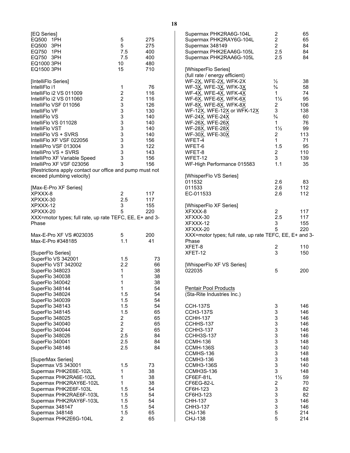| [EQ Series]<br>EQ500 1PH<br>EQ500 3PH<br>EQ750 1PH<br>EQ750<br>3PH<br>EQ1000 3PH<br>EQ1500 3PH                                                                                                                                                                                                                                                                                                                                                            | 5<br>5<br>7.5<br>7.5<br>10<br>15                                                                                            | 275<br>275<br>400<br>400<br>480<br>710                                                        |
|-----------------------------------------------------------------------------------------------------------------------------------------------------------------------------------------------------------------------------------------------------------------------------------------------------------------------------------------------------------------------------------------------------------------------------------------------------------|-----------------------------------------------------------------------------------------------------------------------------|-----------------------------------------------------------------------------------------------|
| [IntelliFlo Series]<br>IntelliFlo i1<br>IntelliFlo i2 VS 011009<br>IntelliFlo i2 VS 011060<br>IntelliFlo VSF 011056<br>IntelliFlo VF<br>IntelliFlo VS<br>IntelliFlo VS 011028<br>IntelliFlo VST<br>IntelliFlo VS + SVRS<br>IntelliFlo XF VSF 022056<br>IntelliPro VSF 013004<br>IntelliPro VS + SVRS<br>IntelliPro XF Variable Speed<br>IntelliPro XF VSF 023056<br>[Restrictions apply contact our office and pump must not<br>exceed plumbing velocity} | 1<br>$\overline{c}$<br>$\overline{c}$<br>3<br>3<br>3<br>3<br>3<br>3<br>3<br>$\begin{array}{c} 3 \\ 3 \\ 3 \end{array}$<br>3 | 76<br>116<br>116<br>126<br>130<br>140<br>140<br>140<br>140<br>156<br>122<br>143<br>156<br>156 |
| [Max-E-Pro XF Series]<br>XPXXX-8<br>XPXXX-30<br>XPXXX-12<br>XPXXX-20<br>XXX=motor types; full rate, up rate TEFC, EE, E+ and 3-<br>Phase                                                                                                                                                                                                                                                                                                                  | 2<br>2.5<br>3<br>5                                                                                                          | 117<br>117<br>155<br>220                                                                      |
| Max-E-Pro XF VS #023035<br>Max-E-Pro #348185                                                                                                                                                                                                                                                                                                                                                                                                              | 5<br>1.1                                                                                                                    | 200<br>41                                                                                     |
| [SuperFlo Series]<br>SuperFlo VS 342001<br>SuperFlo VST 342002<br>SuperFlo 348023<br>SuperFlo 340038<br>SuperFlo 340042<br>SuperFlo 348144<br>SuperFlo 348024<br>SuperFlo 340039<br>SuperFlo 348143<br>SuperFlo 348145<br>SuperFlo 348025<br>SuperFlo 340040<br>SuperFlo 340044<br>SuperFlo 348026<br>SuperFlo 340041<br>SuperFlo 348146                                                                                                                  | 1.5<br>2.2<br>1<br>1<br>1<br>1<br>1.5<br>1.5<br>1.5<br>1.5<br>2<br>$\overline{c}$<br>2<br>2.5<br>2.5<br>2.5                 | 73<br>66<br>38<br>38<br>38<br>54<br>54<br>54<br>54<br>65<br>65<br>65<br>65<br>84<br>84<br>84  |
| [SuperMax Series]<br>Supermax VS 343001<br>Supermax PHK2E6E-102L<br>Supermax PHK2RA6E-102L<br>Supermax PHK2RAY6E-102L<br>Supermax PHK2E6F-103L<br>Supermax PHK2RAE6F-103L<br>Supermax PHK2RAY6F-103L<br>Supermax 348147<br>Supermax 348148<br>Supermax PHK2E6G-104L                                                                                                                                                                                       | 1.5<br>1<br>1<br>1<br>1.5<br>1.5<br>1.5<br>1.5<br>1.5<br>$\overline{c}$                                                     | 73<br>38<br>38<br>38<br>54<br>54<br>54<br>54<br>65<br>65                                      |

| Supermax PHK2RA6G-104L<br>Supermax PHK2RAY6G-104L<br>Supermax 348149<br>Supermax PHK2EAA6G-105L<br>Supermax PHK2RAA6G-105L                                                                                                                                                                                                                                                                  | 2<br>$\overline{\mathbf{c}}$<br>$\overline{\mathbf{c}}$<br>2.5<br>2.5                                                                     | 65<br>65<br>84<br>84<br>84                                                                                                           |
|---------------------------------------------------------------------------------------------------------------------------------------------------------------------------------------------------------------------------------------------------------------------------------------------------------------------------------------------------------------------------------------------|-------------------------------------------------------------------------------------------------------------------------------------------|--------------------------------------------------------------------------------------------------------------------------------------|
| [WhisperFlo Series]<br>(full rate / energy efficient)<br>WF-2X, WFE-2X, WFK-2X<br>WF-3X, WFE-3X, WFK-3X<br>WF-4 <u>X,</u> WFE-4 <u>X,</u> WFK-4 <u>X</u><br>WF-6X, WFE-6X, WFK-6X<br>WF-8X, WFE-8X, WFK-8X<br>WF-12X, WFE-12X or WFK-12X<br>WF-24X, WFE-24X<br>WF-26X, WFE-26X<br>WF-28X, WFE-28X<br>WF-30X, WFE-30X<br>WFET-4<br>WFET-6<br>WFET-8<br>WFET-12<br>WF-High Performance 015583 | $\frac{1}{2}$<br>$\frac{3}{4}$<br>1<br>$1\frac{1}{2}$<br>2<br>3<br>$\frac{3}{4}$<br>1<br>$1\frac{1}{2}$<br>2<br>1<br>1.5<br>2<br>3<br>1.1 | 38<br>58<br>74<br>95<br>106<br>138<br>60<br>76<br>99<br>113<br>71<br>95<br>110<br>139<br>35                                          |
| [WhisperFlo VS Series]<br>011532<br>011533<br>EC-011533                                                                                                                                                                                                                                                                                                                                     | 2.6<br>2.6<br>2.6                                                                                                                         | 83<br>112<br>112                                                                                                                     |
| [WhisperFlo XF Series]<br>XFXXX-8<br>XFXXX-30<br>XFXXX-12<br>XFXXX-20<br>XXX=motor types; full rate, up rate TEFC, EE, E+ and 3-<br>Phase                                                                                                                                                                                                                                                   | $\begin{array}{c} 2 \\ 2.5 \end{array}$<br>3<br>5                                                                                         | 117<br>117<br>155<br>220                                                                                                             |
| XFET-8<br>XFET-12                                                                                                                                                                                                                                                                                                                                                                           | 2<br>3                                                                                                                                    | 110<br>150                                                                                                                           |
| [WhisperFlo XF VS Series]<br>022035                                                                                                                                                                                                                                                                                                                                                         | 5                                                                                                                                         | 200                                                                                                                                  |
| <b>Pentair Pool Products</b><br>(Sta-Rite Industries Inc.)                                                                                                                                                                                                                                                                                                                                  |                                                                                                                                           |                                                                                                                                      |
| <b>CCH-137S</b><br><b>CCH3-137S</b><br><b>CCHH-137</b><br>CCHHS-137<br><b>CCHH3-137</b><br><b>CCHH3S-137</b><br>CCMH-136<br>CCMH-136S<br>CCMHS-136<br>CCMH3-136<br><b>CCMH3-136S</b><br>CCMH3S-136<br>CF6EF-81L<br>CF6EG-82-L<br>CF6H-123<br>CF6H3-123<br>CHH-137<br>CHH3-137<br>CHJ-136<br>CHJ-138                                                                                         | 3<br>3<br>3<br>3<br>3<br>3<br>3<br>3<br>3<br>3<br>3<br>3<br>$1\frac{1}{2}$<br>$\overline{\mathbf{c}}$<br>3<br>3<br>3<br>3<br>5<br>5       | 146<br>146<br>146<br>146<br>146<br>146<br>148<br>140<br>148<br>148<br>140<br>148<br>59<br>70<br>82<br>82<br>146<br>146<br>214<br>214 |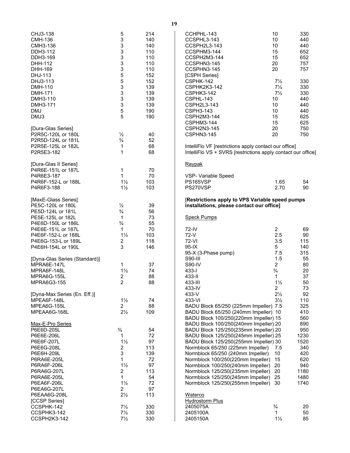| CHJ3-138<br>CMH-136<br>CMH3-136<br>DDH3-112<br>DDH3-169<br>DHH-112<br>DHH-169<br>DHJ-113<br>DHJ3-113<br>DMH-110<br><b>DMH-171</b><br>DMH3-110<br>DMH3-171<br>DMJ<br>DMJ3                           | 5<br>3<br>$\begin{array}{c} 3 \\ 3 \\ 3 \end{array}$<br>3<br>5<br>5<br>3<br>3<br>3<br>3<br>5<br>5                        | 214<br>140<br>140<br>110<br>110<br>110<br>110<br>152<br>152<br>139<br>139<br>139<br>139<br>190<br>190 |
|----------------------------------------------------------------------------------------------------------------------------------------------------------------------------------------------------|--------------------------------------------------------------------------------------------------------------------------|-------------------------------------------------------------------------------------------------------|
| [Dura-Glas Series]<br>P2R5C-120L or 180L<br>P2R5D-124L or 181L<br>P2R5E-125L or 182L<br>P2R5E3-182                                                                                                 | $\frac{1}{2}$<br>$\frac{3}{4}$<br>1<br>1                                                                                 | 40<br>52<br>68<br>68                                                                                  |
| [Dura-Glas II Series]<br>P4R6E-151L or 187L<br>P4R6E3-187<br>P4R6F-152-L or 188L<br>P4R6F3-188                                                                                                     | 1<br>1<br>$1\frac{1}{2}$<br>$1\frac{1}{2}$                                                                               | 70<br>70<br>103<br>103                                                                                |
| [MaxE-Glass Series]<br>PE5C-120L or 180L<br>PE5D-124L or 181L<br>PE5E-125L or 182L<br>P4E6D-150L or 186L<br>P4E6E-151L or 187L<br>P4E6F-152-L or 188L<br>P4E6G-153-L or 189L<br>P4E6H-154L or 190L | $\frac{1}{2}$<br>$\frac{3}{4}$<br>1<br>$\frac{3}{4}$<br>1<br>$1\frac{1}{2}$<br>2<br>3                                    | 39<br>56<br>73<br>55<br>70<br>103<br>118<br>146                                                       |
| [Dyna-Glas Series (Standard)]<br>MPRA6E-147L<br>MPRA6F-148L<br>MPRA6G-155L<br>MPRA6G3-155                                                                                                          | 1<br>$1\frac{1}{2}$<br>$\overline{c}$<br>$\overline{c}$                                                                  | 37<br>74<br>88<br>88                                                                                  |
| [Dyna-Max Series (En. Eff.)]<br>MPEA6F-148L<br>MPEA6G-155L<br>MPEAA6G-168L                                                                                                                         | $1\frac{1}{2}$<br>2<br>$2\frac{1}{2}$                                                                                    | 74<br>88<br>109                                                                                       |
| Max-E-Pro Series<br>P6E6D-205L<br>P6E6E-206L<br>P6E6F-207L<br>P6E6G-208L<br>P6E6H-209L<br>P6RA6E-205L<br>P6RA6F-206L<br>P6RA6G-207L<br>P6RA6E-205L<br>P6EA6F-206L<br>P6EA6G-207L<br>P6EAA6G-208L   | $\frac{3}{4}$<br>1<br>$1\frac{1}{2}$<br>2<br>3<br>1<br>$1\frac{1}{2}$<br>2<br>1<br>$1\frac{1}{2}$<br>2<br>$2\frac{1}{2}$ | 54<br>72<br>97<br>113<br>139<br>72<br>97<br>113<br>54<br>72<br>97<br>113                              |
| [CCSP Series]<br>CCSPHK-142<br>CCSPHK3-142<br>CCSPH2K3-142                                                                                                                                         | $7\frac{1}{2}$<br>$7\frac{1}{2}$<br>$7\frac{1}{2}$                                                                       | 330<br>330<br>330                                                                                     |

| CCHPHL-143                                                                                                                           | 10             | 330 |
|--------------------------------------------------------------------------------------------------------------------------------------|----------------|-----|
| CCSPHL3-143                                                                                                                          | 10             | 440 |
| CCSPH2L3-143                                                                                                                         | 10             | 440 |
| CCSPHM3-144                                                                                                                          | 15             | 652 |
| CCSPH2M3-144                                                                                                                         | 15             | 652 |
| CCSPHN3-145                                                                                                                          | 20             | 757 |
| CCSPHN3-145                                                                                                                          | 20             | 757 |
| [CSPH Series]                                                                                                                        |                |     |
| CSPHK-142                                                                                                                            | $7\frac{1}{2}$ | 330 |
| CSPHK2K3-142                                                                                                                         | $7\frac{1}{2}$ | 330 |
| CSPHK3-142                                                                                                                           | $7\frac{1}{2}$ | 330 |
| CSPHL-143                                                                                                                            | 10             | 440 |
| CSPH2L3-143                                                                                                                          | 10             | 440 |
| CSPH3-143                                                                                                                            | 10             | 440 |
| CSPH2M3-144                                                                                                                          | 15             | 625 |
| CSPHM3-144                                                                                                                           | 15             | 625 |
| CSPH2N3-145                                                                                                                          | 20             | 750 |
| CSPHN3-145                                                                                                                           | 20             | 750 |
| IntelliFlo VF [restrictions apply contact our office]                                                                                |                |     |
| $IntouE0$ $10o$ $10o$ $10o$ $Ino0$ $Ino0$ $Ino0$ $Ino0$ $Ino0$ $Ino0$ $Ino0$ $Ino0$ $Ino0$ $Ino0$ $Ino0$ $Ino0$ $Ino0$ $Ino0$ $Ino<$ |                |     |

IntelliFlo VS + SVRS [restrictions apply contact our office]

## Raypak

| VSP- Variable Speed |      |     |
|---------------------|------|-----|
| PS165VSP            | 1.65 | 54  |
| PS270VSP            | 2.70 | 90. |

#### [**Restrictions apply to VPS Variable speed pumps installations, please contact our office]**

Speck Pumps

| 72-IV<br>$72-V$<br>72-VI<br>$95 - IX$<br>95-X (3-Phase pump)<br>S90-III<br>S90-IV<br>433-l<br>433-II<br>433-III<br>433-IV<br>433-V<br>433-VI<br>BADU Block 65/250 (225mm Impeller) 7.5<br>BADU Block 65/250 (240mm Impeller) 10<br>BADU Block 100/250(220mm Impeller) 15<br>BADU Block 100/250(240mm Impeller) 20<br>BADU Block 125/250(235mm Impeller) 20<br>BADU Block 125/250(245mm Impeller) 25<br>BADU Block 125/250(255mm Impeller) 30<br>Normblock 65/250 (225mm Impeller)<br>Normblock 65/250 (240mm Impeller) | 2<br>2.5<br>3.5<br>5<br>7.5<br>1.5<br>$\overline{2}$<br>$\frac{3}{4}$<br>1<br>$1\frac{1}{2}$<br>2<br>$2\frac{1}{2}$<br>$3\frac{1}{2}$<br>7.5<br>10<br>15 | 69<br>90<br>115<br>140<br>315<br>55<br>80<br>20<br>37<br>50<br>73<br>92<br>110<br>325<br>410<br>560<br>890<br>950<br>1230<br>1520<br>340<br>420<br>620 |
|------------------------------------------------------------------------------------------------------------------------------------------------------------------------------------------------------------------------------------------------------------------------------------------------------------------------------------------------------------------------------------------------------------------------------------------------------------------------------------------------------------------------|----------------------------------------------------------------------------------------------------------------------------------------------------------|--------------------------------------------------------------------------------------------------------------------------------------------------------|
| Normblock 100/250(220mm Impeller)                                                                                                                                                                                                                                                                                                                                                                                                                                                                                      |                                                                                                                                                          |                                                                                                                                                        |
| Normblock 100/250(240mm Impeller)<br>Normblock 125/250(235mm Impeller)<br>Normblock 125/250(245mm Impeller)                                                                                                                                                                                                                                                                                                                                                                                                            | 20<br>20<br>25                                                                                                                                           | 940<br>1180<br>1480                                                                                                                                    |
| Normblock 125/250(255mm Impeller)<br>Waterco                                                                                                                                                                                                                                                                                                                                                                                                                                                                           | 30                                                                                                                                                       | 1740                                                                                                                                                   |
| Hydrostorm Plus<br>2405075A<br>2405100A<br>2405150A                                                                                                                                                                                                                                                                                                                                                                                                                                                                    | $\frac{3}{4}$<br>1<br>$1\frac{1}{2}$                                                                                                                     | 20<br>50<br>85                                                                                                                                         |

**19**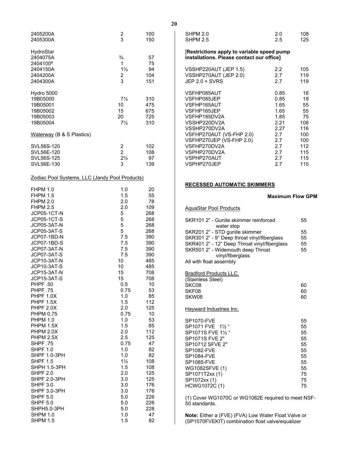| 2405200A<br>2405300A                                                                                                                                                                                                                                                                                                                                                                                                                                                                                                                                                                                                                                                                     | $\frac{2}{3}$                                                                                                                                                                                                                                                                          | 100<br>150                                                                                                                                                                                                                                                             |
|------------------------------------------------------------------------------------------------------------------------------------------------------------------------------------------------------------------------------------------------------------------------------------------------------------------------------------------------------------------------------------------------------------------------------------------------------------------------------------------------------------------------------------------------------------------------------------------------------------------------------------------------------------------------------------------|----------------------------------------------------------------------------------------------------------------------------------------------------------------------------------------------------------------------------------------------------------------------------------------|------------------------------------------------------------------------------------------------------------------------------------------------------------------------------------------------------------------------------------------------------------------------|
| HydroStar<br>2404075A<br>2404100 <sup>a</sup><br>2404150A<br>2404200A<br>2404300A                                                                                                                                                                                                                                                                                                                                                                                                                                                                                                                                                                                                        | $\frac{3}{4}$<br>1<br>$1\frac{1}{2}$<br>2<br>3                                                                                                                                                                                                                                         | 57<br>75<br>94<br>104<br>151                                                                                                                                                                                                                                           |
| Hydro 5000<br>19B05000<br>19B05001<br>19B05002<br>19B05003<br>19B05004                                                                                                                                                                                                                                                                                                                                                                                                                                                                                                                                                                                                                   | $7\frac{1}{2}$<br>10<br>15<br>20<br>$7\frac{1}{2}$                                                                                                                                                                                                                                     | 310<br>475<br>675<br>725<br>310                                                                                                                                                                                                                                        |
| Waterway (B & S Plastics)                                                                                                                                                                                                                                                                                                                                                                                                                                                                                                                                                                                                                                                                |                                                                                                                                                                                                                                                                                        |                                                                                                                                                                                                                                                                        |
| SVL56S-120<br>SVL56E-120<br>SVL56S-125<br>SVL56E-130                                                                                                                                                                                                                                                                                                                                                                                                                                                                                                                                                                                                                                     | $\overline{\mathbf{c}}$<br>$\overline{c}$<br>$2\frac{1}{2}$<br>3                                                                                                                                                                                                                       | 102<br>108<br>97<br>139                                                                                                                                                                                                                                                |
| Zodiac Pool Systems, LLC (Jandy Pool Products)                                                                                                                                                                                                                                                                                                                                                                                                                                                                                                                                                                                                                                           |                                                                                                                                                                                                                                                                                        |                                                                                                                                                                                                                                                                        |
| <b>FHPM 1.0</b><br><b>FHPM 1.5</b><br><b>FHPM 2.0</b><br><b>FHPM 2.5</b><br>JCP05-1CT-N<br>JCP05-1CT-S<br>JCP05-3AT-N<br>JCP05-3AT-S<br>JCP07-1BD-N<br>JCP07-1BD-S<br>JCP07-3AT-N<br>JCP07-3AT-S<br>JCP10-3AT-N<br>JCP10-3AT-S<br>JCP15-3AT-N<br>JCP15-3AT-S<br>PHPF .50<br><b>PHPF .75</b><br>PHPF 1.0X<br>PHPF 1.5X<br>PHPF 2.0X<br><b>PHPM 0.75</b><br><b>PHPM 1.0</b><br>PHPM 1.5X<br>PHPM 2.0X<br>PHPM 2.5X<br><b>SHPF .75</b><br><b>SHPF 1.0</b><br><b>SHPF 1.0-3PH</b><br><b>SHPF 1.5</b><br>SHPH 1.5-3PH<br><b>SHPF 2.0</b><br><b>SHPF 2.0-3PH</b><br><b>SHPF 3.0</b><br>SHPF 3.0-3PH<br><b>SHPF 5.0</b><br><b>SHPF 5.0</b><br>SHPH5.0-3PH<br><b>SHPM 1.0</b><br><b>SHPM 1.5</b> | 1.0<br>1.5<br>2.0<br>2.0<br>5<br>5<br>5<br>5<br>7.5<br>7.5<br>7.5<br>7.5<br>10<br>10<br>15<br>15<br>0.5<br>0.75<br>1.0<br>1.5<br>2.0<br>0.75<br>1.0<br>1.5<br>2.0<br>2.5<br>0.75<br>1.0<br>1.0<br>$1\frac{1}{2}$<br>1.5<br>2.0<br>3.0<br>3.0<br>3.0<br>5.0<br>5.0<br>5.0<br>1.0<br>1.5 | 20<br>55<br>78<br>109<br>268<br>268<br>268<br>268<br>390<br>390<br>390<br>390<br>485<br>485<br>708<br>708<br>10<br>53<br>85<br>112<br>125<br>10<br>53<br>85<br>112<br>125<br>47<br>82<br>82<br>108<br>108<br>125<br>125<br>176<br>176<br>226<br>226<br>228<br>47<br>82 |

### [**Restrictions apply to variable speed pump installations. Please contact our office]**

| VSSHP220AUT (JEP 1.5)<br>VSSHP270AUT (JEP 2.0)<br>$JEP 2.0 + SVRS$ | 2.2<br>2.7<br>2.7 | 105<br>119<br>119 |
|--------------------------------------------------------------------|-------------------|-------------------|
| VSFHP085AUT                                                        | 0.85              | 18                |
| VSFHP085JEP                                                        | 0.85              | 18                |
| VSFHP165AUT                                                        | 1.65              | 55                |
| VSFHP165JEP                                                        | 1.65              | 55                |
| VSFHP185DV2A                                                       | 1.85              | 75                |
| VSSHP220DV2A                                                       | 2.21              | 108               |
| VSSHP270DV2A                                                       | 2.27              | 116               |
| VSFHP270AUT (VS-FHP 2.0)                                           | 2.7               | 100               |
| VSFHP270JEP (VS-FHP 2.0)                                           | 2.7               | 100               |
| VSFHP270DV2A                                                       | 2.7               | 112               |
| VSPHP270DV2A                                                       | 2.7               | 115               |
| VSPHP270AUT                                                        | 2.7               | 115               |
| VSPHP270JEP                                                        | 2.7               | 115               |

## <span id="page-21-0"></span>**RECESSED AUTOMATIC SKIMMERS**

#### **Maximum Flow GPM**

## AquaStar Pool Products

| SKR101 2" - Gunite skimmer reinforced<br>water stop   | 55       |
|-------------------------------------------------------|----------|
| SKR201 2" - STD gunite skimmer                        | 55       |
| SKR301 2" - 9" Deep throat vinyl/fiberglass           | 55       |
| SKR401 2" - 12" Deep Throat vinyl/fiberglass          | 55       |
| SKR501 2" - Widemouth deep Throat<br>vinyl/fiberglass | 55       |
| All with float assembly                               |          |
| <b>Bradford Products LLC.</b>                         |          |
| (Stainless Steel)                                     |          |
| SKC08                                                 | 60       |
| SKF08                                                 | 60       |
| SKW08                                                 | 60       |
| Hayward Industries Inc.                               |          |
| <b>SP1070-FVE</b>                                     | 55       |
| SP1071 FVE 11/2 "                                     | 55       |
| SP1071S FVE 11/ <sub>2</sub>                          | 55       |
| SP1071S FVE 2"                                        | 55       |
| SP10712 SFVE 2"                                       | 55       |
| <b>SP1082-FVE</b>                                     | 55       |
| <b>SP1084-FVE</b>                                     | 55       |
| <b>SP1085-FVE</b>                                     | 55       |
| WG1082SFVE (1)                                        | 55       |
| SP1071T2xx (1)                                        | 75<br>75 |
| SP1072xx (1)                                          |          |
| HCWG1072C (1)                                         | 75       |

(1) Cover WG1070C or WG1082E required to meet NSF-50 standards.

**Note:** Either a (FVE) (FVA) Low Water Float Valve or (SP1070FVEKIT) combination float valve/equalizer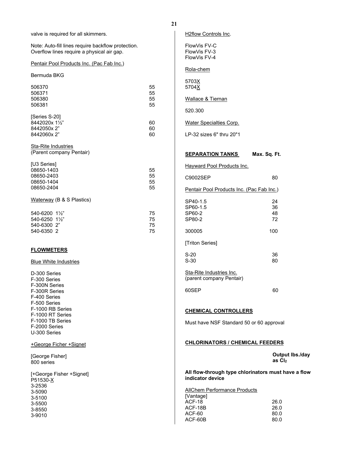<span id="page-22-3"></span><span id="page-22-2"></span><span id="page-22-1"></span><span id="page-22-0"></span>

| valve is required for all skimmers.                                                              |    | H2flow Controls Inc.                                                    |                                    |
|--------------------------------------------------------------------------------------------------|----|-------------------------------------------------------------------------|------------------------------------|
| Note: Auto-fill lines require backflow protection.<br>Overflow lines require a physical air gap. |    | FlowVis FV-C<br>FlowVis FV-3<br>FlowVis FV-4                            |                                    |
| Pentair Pool Products Inc. (Pac Fab Inc.)                                                        |    |                                                                         |                                    |
| Bermuda BKG                                                                                      |    | Rola-chem                                                               |                                    |
| 506370                                                                                           | 55 | 5703X<br>5704X                                                          |                                    |
| 506371                                                                                           | 55 |                                                                         |                                    |
| 506380                                                                                           | 55 | Wallace & Tiernan                                                       |                                    |
| 506381                                                                                           | 55 | 520.300                                                                 |                                    |
| [Series S-20]                                                                                    |    |                                                                         |                                    |
| 8442020x 11/2"                                                                                   | 60 | <b>Water Specialties Corp.</b>                                          |                                    |
| 8442050x2"                                                                                       | 60 |                                                                         |                                    |
| 8442060x2"                                                                                       | 60 | LP-32 sizes 6" thru 20"1                                                |                                    |
| <b>Sta-Rite Industries</b>                                                                       |    |                                                                         |                                    |
| (Parent company Pentair)                                                                         |    | <b>SEPARATION TANKS</b>                                                 | Max. Sq. Ft.                       |
| [U3 Series]                                                                                      |    | Hayward Pool Products Inc.                                              |                                    |
| 08650-1403                                                                                       | 55 |                                                                         |                                    |
| 08650-2403                                                                                       | 55 | C9002SEP                                                                | 80                                 |
| 08650-1404                                                                                       | 55 |                                                                         |                                    |
| 08650-2404                                                                                       | 55 | Pentair Pool Products Inc. (Pac Fab Inc.)                               |                                    |
| Waterway (B & S Plastics)                                                                        |    | SP40-1.5                                                                | 24                                 |
|                                                                                                  |    | SP60-1.5                                                                | 36                                 |
| 540-6200 11/2"                                                                                   | 75 | SP60-2                                                                  | 48                                 |
| 540-6250 11/2"                                                                                   | 75 | SP80-2                                                                  | 72                                 |
| 540-6300 2"                                                                                      | 75 |                                                                         |                                    |
| 540-6350 2                                                                                       | 75 | 300005                                                                  | 100                                |
|                                                                                                  |    | [Triton Series]                                                         |                                    |
| <b>FLOWMETERS</b>                                                                                |    |                                                                         |                                    |
| <b>Blue White Industries</b>                                                                     |    | $S-20$<br>$S-30$                                                        | 36<br>80                           |
| D-300 Series                                                                                     |    | <b>Sta-Rite Industries Inc.</b>                                         |                                    |
| F-300 Series                                                                                     |    | (parent company Pentair)                                                |                                    |
| F-300N Series                                                                                    |    |                                                                         |                                    |
| F-300R Series                                                                                    |    | 60SEP                                                                   | 60                                 |
| F-400 Series                                                                                     |    |                                                                         |                                    |
| F-500 Series                                                                                     |    |                                                                         |                                    |
| F-1000 RB Series                                                                                 |    | <b>CHEMICAL CONTROLLERS</b>                                             |                                    |
| F-1000 RT Series                                                                                 |    |                                                                         |                                    |
| F-1000 TB Series                                                                                 |    | Must have NSF Standard 50 or 60 approval                                |                                    |
| F-2000 Series                                                                                    |    |                                                                         |                                    |
| U-300 Series                                                                                     |    |                                                                         |                                    |
| +George Ficher +Signet                                                                           |    | <b>CHLORINATORS / CHEMICAL FEEDERS</b>                                  |                                    |
| [George Fisher]<br>800 series                                                                    |    |                                                                         | <b>Output Ibs./day</b><br>as $Cl2$ |
| [+George Fisher +Signet]<br>P51530-X                                                             |    | All flow-through type chlorinators must have a flow<br>indicator device |                                    |
| 3-2536                                                                                           |    | <b>AllChem Performance Products</b>                                     |                                    |
| 3-5090                                                                                           |    | [Vantage]                                                               |                                    |
| 3-5100                                                                                           |    | ACF-18                                                                  | 26.0                               |
| 3-5500                                                                                           |    | ACF-18B                                                                 | 26.0                               |
| 3-8550<br>3-9010                                                                                 |    | ACF-60                                                                  | 80.0                               |
|                                                                                                  |    | ACF-60B                                                                 | 80.0                               |
|                                                                                                  |    |                                                                         |                                    |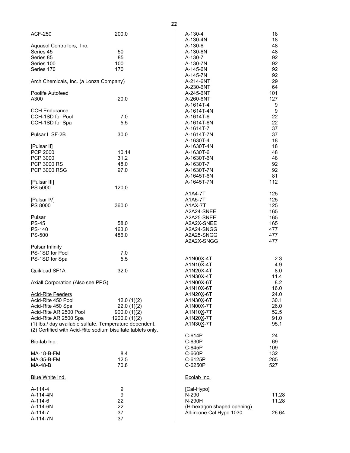| <b>ACF-250</b>                                              | 200.0        | A-130-4                    | 18               |
|-------------------------------------------------------------|--------------|----------------------------|------------------|
|                                                             |              | A-130-4N                   | 18               |
| Aquasol Controllers, Inc.<br>Series 45                      | 50           | A-130-6<br>A-130-6N        | 48<br>48         |
| Series 85                                                   | 85           | A-130-7                    | 92               |
| Series 100                                                  | 100          | A-130-7N                   | 92               |
| Series 170                                                  | 170          | A-145-6N                   | 92               |
|                                                             |              | A-145-7N                   | 92               |
| Arch Chemicals, Inc. (a Lonza Company)                      |              | A-214-6NT                  | 29               |
|                                                             |              | A-230-6NT                  | 64               |
| Poolife Autofeed                                            |              | A-245-6NT                  | 101              |
| A300                                                        | 20.0         | A-260-6NT                  | 127              |
|                                                             |              | A-1614T-4                  | 9                |
| <b>CCH Endurance</b>                                        |              | A-1614T-4N                 | $\boldsymbol{9}$ |
| CCH-1SD for Pool                                            | 7.0          | A-1614T-6                  | 22               |
| CCH-1SD for Spa                                             | 5.5          | A-1614T-6N                 | 22               |
|                                                             |              | A-1614T-7                  | 37               |
| Pulsar   SF-2B                                              | 30.0         | A-1614T-7N                 | 37               |
|                                                             |              | A-1630T-4                  | 18               |
| [Pulsar II]                                                 |              | A-1630T-4N                 | 18               |
| <b>PCP 2000</b>                                             | 10.14        | A-1630T-6                  | 48               |
| PCP 3000                                                    | 31.2         | A-1630T-6N                 | 48               |
| <b>PCP 3000 RS</b>                                          | 48.0         | A-1630T-7                  | 92               |
| <b>PCP 3000 RSG</b>                                         | 97.0         | A-1630T-7N                 | 92               |
|                                                             |              | A-1645T-6N                 | 81               |
| [Pulsar III]                                                |              | A-1645T-7N                 | 112              |
| <b>PS 5000</b>                                              | 120.0        |                            |                  |
|                                                             |              | A1A4-7T                    | 125              |
| [Pulsar IV]                                                 |              | A1A5-7T                    | 125              |
| PS 8000                                                     | 360.0        | A1AX-7T                    | 125              |
|                                                             |              | A2A24-SNEE                 | 165              |
| Pulsar                                                      |              | A2A25-SNEE                 | 165              |
| <b>PS-45</b>                                                | 58.0         | A2A2X-SNEE                 | 165              |
| <b>PS-140</b>                                               | 163.0        | A2A24-SNGG                 | 477              |
| PS-500                                                      | 486.0        | A2A25-SNGG<br>A2A2X-SNGG   | 477<br>477       |
| <b>Pulsar Infinity</b>                                      |              |                            |                  |
| PS-1SD for Pool                                             | 7.0          |                            |                  |
| PS-1SD for Spa                                              | 5.5          | A1N00X-4T                  | 2.3              |
|                                                             |              | A1N10X-4T                  | 4.9              |
| Quikload SF1A                                               | 32.0         | A1N20X-4T                  | 8.0              |
|                                                             |              | A1N30X-4T                  | 11.4             |
| <b>Axiall Corporation (Also see PPG)</b>                    |              | A1N00X-6T                  | 8.2              |
|                                                             |              | A1N10X-6T                  | 16.0             |
| <b>Acid-Rite Feeders</b>                                    |              | A1N20X-6T                  | 24.0             |
| Acid-Rite 450 Pool                                          | 12.0(1)(2)   | A1N30X-6T                  | 30.1             |
| Acid-Rite 450 Spa                                           | 22.0(1)(2)   | A1N00X-7T                  | 26.0             |
| Acid-Rite AR 2500 Pool                                      | 900.0(1)(2)  | A1N10X-7T                  | 52.5             |
| Acid-Rite AR 2500 Spa                                       | 1200.0(1)(2) | A1N20X-7T                  | 91.0             |
| (1) Ibs./ day available sulfate. Temperature dependent.     |              | A1N30X-7T                  | 95.1             |
| (2) Certified with Acid-Rite sodium bisulfate tablets only. |              |                            |                  |
|                                                             |              | C-614P                     | 24               |
| <u>Bio-lab Inc.</u>                                         |              | C-630P                     | 69               |
|                                                             |              | C-645P                     | 109              |
| MA-18-B-FM                                                  | 8.4          | C-660P                     | 132              |
| MA-35-B-FM                                                  | 12.5         | C-6125P                    | 285              |
| MA-48-B                                                     | 70.8         | C-6250P                    | 527              |
|                                                             |              |                            |                  |
| <b>Blue White Ind.</b>                                      |              | Ecolab Inc.                |                  |
| A-114-4                                                     | 9            | [Cal-Hypo]                 |                  |
| A-114-4N                                                    | 9            | N-290                      | 11.28            |
| A-114-6                                                     | 22           | N-290H                     | 11.28            |
| A-114-6N                                                    | 22           | (H-hexagon shaped opening) |                  |
| A-114-7                                                     | 37           | All-in-one Cal Hypo 1030   | 26.64            |
| A-114-7N                                                    | 37           |                            |                  |
|                                                             |              |                            |                  |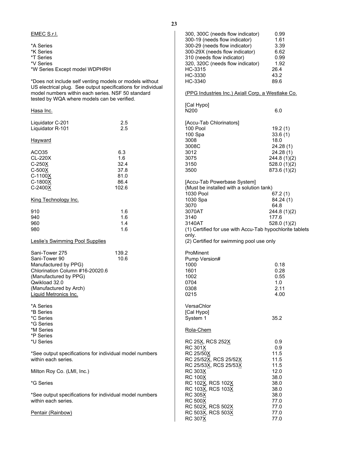| EMEC S.r.I.                                                                                      |                                                                                                                         | 300, 300C (needs flow indicator)                         | 0.99        |
|--------------------------------------------------------------------------------------------------|-------------------------------------------------------------------------------------------------------------------------|----------------------------------------------------------|-------------|
|                                                                                                  |                                                                                                                         | 300-19 (needs flow indicator)                            | 1.61        |
| *A Series                                                                                        |                                                                                                                         | 300-29 (needs flow indicator)                            | 3.39        |
| *K Series                                                                                        |                                                                                                                         | 300-29X (needs flow indicator)                           | 6.62        |
| *T Series                                                                                        |                                                                                                                         | 310 (needs flow indicator)                               | 0.99        |
| *V Series                                                                                        |                                                                                                                         | 320, 320C (needs flow indicator)                         | 1.92        |
| *W Series Except model WDPHRH                                                                    |                                                                                                                         | HC-3315                                                  | 26.4        |
|                                                                                                  |                                                                                                                         | HC-3330                                                  | 43.2        |
|                                                                                                  | *Does not include self venting models or models without<br>US electrical plug. See output specifications for individual | HC-3340                                                  | 89.6        |
| model numbers within each series. NSF 50 standard<br>tested by WQA where models can be verified. |                                                                                                                         | (PPG Industries Inc.) Axiall Corp, a Westlake Co.        |             |
|                                                                                                  |                                                                                                                         | [Cal Hypo]                                               |             |
| Hasa Inc.                                                                                        |                                                                                                                         | N200                                                     | 6.0         |
| Liquidator C-201                                                                                 | 2.5                                                                                                                     | [Accu-Tab Chlorinators]                                  |             |
| Liquidator R-101                                                                                 | 2.5                                                                                                                     | 100 Pool                                                 | 19.2(1)     |
|                                                                                                  |                                                                                                                         |                                                          | 33.6(1)     |
| Hayward                                                                                          |                                                                                                                         | 100 Spa<br>3008                                          |             |
|                                                                                                  |                                                                                                                         |                                                          | 18.0        |
|                                                                                                  |                                                                                                                         | 3008C                                                    | 24.28(1)    |
| ACO35                                                                                            | 6.3                                                                                                                     | 3012                                                     | 24.28(1)    |
| CL-220X                                                                                          | 1.6                                                                                                                     | 3075                                                     | 244.8(1)(2) |
| C-250X                                                                                           | 32.4                                                                                                                    | 3150                                                     | 528.0(1)(2) |
| $C-500X$                                                                                         | 37.8                                                                                                                    | 3500                                                     | 873.6(1)(2) |
| C-1100X                                                                                          | 81.0                                                                                                                    |                                                          |             |
| C-1800X                                                                                          | 86.4                                                                                                                    | [Accu-Tab Powerbase System]                              |             |
| C-2400X                                                                                          | 102.6                                                                                                                   | (Must be installed with a solution tank)                 |             |
|                                                                                                  |                                                                                                                         | 1030 Pool                                                | 67.2(1)     |
| King Technology Inc.                                                                             |                                                                                                                         | 1030 Spa                                                 | 84.24(1)    |
|                                                                                                  |                                                                                                                         | 3070                                                     | 64.8        |
|                                                                                                  |                                                                                                                         |                                                          |             |
| 910                                                                                              | 1.6                                                                                                                     | 3070AT                                                   | 244.8(1)(2) |
| 940                                                                                              | 1.6                                                                                                                     | 3140                                                     | 177.6       |
| 960                                                                                              | 1.4                                                                                                                     | 3140AT                                                   | 528.0(1)(2) |
| 980                                                                                              | 1.6                                                                                                                     | (1) Certified for use with Accu-Tab hypochlorite tablets |             |
|                                                                                                  |                                                                                                                         | only.                                                    |             |
| Leslie's Swimming Pool Supplies                                                                  |                                                                                                                         | (2) Certified for swimming pool use only                 |             |
| Sani-Tower 275                                                                                   | 139.2                                                                                                                   | ProMinent                                                |             |
| Sani-Tower 90                                                                                    |                                                                                                                         |                                                          |             |
|                                                                                                  | 10.6                                                                                                                    | Pump Version#                                            |             |
| Manufactured by PPG)                                                                             |                                                                                                                         | 1000                                                     | 0.18        |
| Chlorination Column #16-20020.6                                                                  |                                                                                                                         | 1601                                                     | 0.28        |
| (Manufactured by PPG)                                                                            |                                                                                                                         | 1002                                                     | 0.55        |
| Qwikload 32.0                                                                                    |                                                                                                                         | 0704                                                     | 1.0         |
| (Manufactured by Arch)                                                                           |                                                                                                                         | 0308                                                     | 2.11        |
| <u> Liquid Metronics Inc.</u>                                                                    |                                                                                                                         | 0215                                                     | 4.00        |
|                                                                                                  |                                                                                                                         |                                                          |             |
| *A Series                                                                                        |                                                                                                                         | VersaChlor                                               |             |
| *B Series                                                                                        |                                                                                                                         | [Cal Hypo]                                               |             |
| *C Series                                                                                        |                                                                                                                         | System 1                                                 | 35.2        |
| *G Series                                                                                        |                                                                                                                         |                                                          |             |
| *M Series                                                                                        |                                                                                                                         | Rola-Chem                                                |             |
| *P Series                                                                                        |                                                                                                                         |                                                          |             |
| *U Series                                                                                        |                                                                                                                         | RC 25X, RCS 252X                                         | 0.9         |
|                                                                                                  |                                                                                                                         | RC 301X                                                  | 0.9         |
|                                                                                                  | *See output specifications for individual model numbers                                                                 | RC 25/50X                                                | 11.5        |
| within each series.                                                                              |                                                                                                                         | RC 25/52X, RCS 25/52X                                    | 11.5        |
|                                                                                                  |                                                                                                                         | RC 25/53X, RCS 25/53X                                    | 11.5        |
|                                                                                                  |                                                                                                                         |                                                          |             |
| Milton Roy Co. (LMI, Inc.)                                                                       |                                                                                                                         | RC 303X                                                  | 12.0        |
|                                                                                                  |                                                                                                                         | RC 100X                                                  | 38.0        |
| *G Series                                                                                        |                                                                                                                         | RC 102X, RCS 102X                                        | 38.0        |
|                                                                                                  |                                                                                                                         | RC 103X, RCS 103X                                        | 38.0        |
|                                                                                                  | *See output specifications for individual model numbers                                                                 | RC 305X                                                  | 38.0        |
| within each series.                                                                              |                                                                                                                         | RC 500X                                                  | 77.0        |
|                                                                                                  |                                                                                                                         | RC 502X, RCS 502X                                        | 77.0        |
| <u> Pentair (Rainbow)</u>                                                                        |                                                                                                                         | RC 503X, RCS 503X                                        | 77.0        |
|                                                                                                  |                                                                                                                         | RC 307X                                                  | 77.0        |
|                                                                                                  |                                                                                                                         |                                                          |             |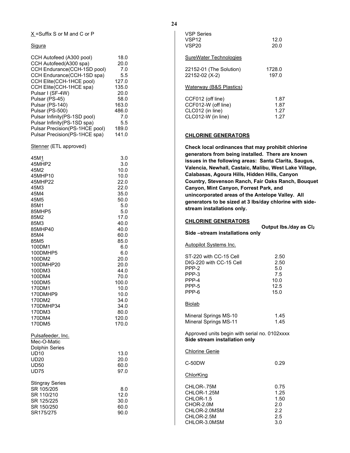$X$  = Suffix S or M and C or P

## **Sigura**

| CCH Autofeed (A300 pool)       | 18.0  |
|--------------------------------|-------|
| CCH Autofeed(A300 spa)         | 20.0  |
| CCH Endurance(CCH-1SD pool)    | 7.0   |
| CCH Endurance(CCH-1SD spa)     | 5.5   |
| CCH Elite(CCH-1HCE pool)       | 127.0 |
| CCH Elite(CCH-1HCE spa)        | 135.0 |
| Pulsar I (SF-4W)               | 20.0  |
| Pulsar (PS-45)                 | 58.0  |
| Pulsar (PS-140)                | 163.0 |
| Pulsar (PS-500)                | 486.0 |
| Pulsar Infinity(PS-1SD pool)   | 7.0   |
| Pulsar Infinity(PS-1SD spa)    | 5.5   |
| Pulsar Precision(PS-1HCE pool) | 189.0 |
| Pulsar Precision(PS-1HCE spa)  | 141.0 |
|                                |       |

Stenner (ETL approved)

| 45M1<br>45MHP2<br>45M2<br>45MHP10<br>45MHP22<br>45M3<br>45M4<br>45M5<br>85M1<br>85MHP5<br>85M2<br>85M3<br>85MHP40<br>85M4<br>85M5<br>100DM1<br>100DMHP5<br>100DM2<br>100DMHP20<br>100DM3<br>100DM4<br>100DM5<br>170DM1<br>170DMHP9<br>170DM2<br>170DMHP34<br>170DM3<br>170DM4<br>170DM5 | 3.0<br>3.0<br>10.0<br>10.0<br>22.0<br>22.0<br>35.0<br>50.0<br>5.0<br>5.0<br>17.0<br>40.0<br>40.0<br>60.0<br>85.0<br>6.0<br>6.0<br>20.0<br>20.0<br>44.0<br>70.0<br>100.0<br>10.0<br>10.0<br>34.0<br>34.0<br>80.0<br>120.0<br>170.0 |
|-----------------------------------------------------------------------------------------------------------------------------------------------------------------------------------------------------------------------------------------------------------------------------------------|-----------------------------------------------------------------------------------------------------------------------------------------------------------------------------------------------------------------------------------|
| Pulsafeeder, Inc.<br>Mec-O-Matic<br><b>Dolphin Series</b><br><b>UD10</b><br><b>UD20</b><br><b>UD50</b><br><b>UD75</b>                                                                                                                                                                   | 13.0<br>20.0<br>60.0<br>97.0                                                                                                                                                                                                      |
| <b>Stingray Series</b><br>SR 105/205<br>SR 110/210<br>SR 125/225<br>SR 150/250<br>SR175/275                                                                                                                                                                                             | 8.0<br>12.0<br>30.0<br>60.0<br>90.0                                                                                                                                                                                               |

| <b>VSP Series</b><br>VSP12<br>VSP20                                                | 12.0<br>20.0                 |
|------------------------------------------------------------------------------------|------------------------------|
| SureWater Technologies                                                             |                              |
| 22152-01 (The Solution)<br>22152-02 (X-2)                                          | 1728.0<br>197.0              |
| <u>Waterway (B&amp;S Plastics)</u>                                                 |                              |
| CCF012 (off line)<br>CCF012-W (off line)<br>CLC012 (in line)<br>CLC012-W (in line) | 1.87<br>1.87<br>1.27<br>1.27 |

## <span id="page-25-0"></span>**CHLORINE GENERATORS**

**Check local ordinances that may prohibit chlorine generators from being installed. There are known issues in the following areas: Santa Clarita, Saugus, Valencia, Newhall, Castaic, Malibu, West Lake Village, Calabasas, Agoura Hills, Hidden Hills, Canyon Country, Stevenson Ranch, Fair Oaks Ranch, Bouquet Canyon, Mint Canyon, Forrest Park, and unincorporated areas of the Antelope Valley. All generators to be sized at 3 lbs/day chlorine with side stream installations only.**

## **CHLORINE GENERATORS**

**Output lbs./day as Cl2** 

**Side –stream installations only**

Autopilot Systems Inc.

| ST-220 with CC-15 Cell                                                         | 2.50 |
|--------------------------------------------------------------------------------|------|
| DIG-220 with CC-15 Cell                                                        | 2.50 |
| PPP-2                                                                          | 5.0  |
| PPP-3                                                                          | 7.5  |
| PPP-4                                                                          | 10.0 |
| PPP-5                                                                          | 12.5 |
| PPP-6                                                                          | 15.0 |
| <b>Biolab</b>                                                                  |      |
| Mineral Springs MS-10                                                          | 1.45 |
| <b>Mineral Springs MS-11</b>                                                   | 1.45 |
| Approved units begin with serial no. 0102xxxx<br>Side stream installation only |      |

| <b>Chlorine Genie</b> |      |
|-----------------------|------|
| C-50DW                | 0.29 |

Chlor King

| CHLOR-.75M   | 0.75 |
|--------------|------|
| CHLOR-1.25M  | 1.25 |
| CHLOR-1.5    | 1.50 |
| CHOR-2.0M    | 2.0  |
| CHLOR-2.0MSM | 2.2  |
| CHLOR-2.5M   | 2.5  |
| CHLOR-3.0MSM | 3.0  |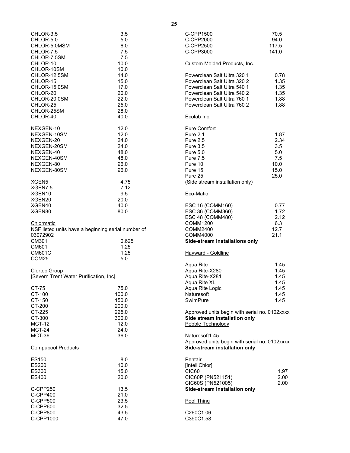| CHLOR-3.5<br>CHLOR-5.0<br>CHLOR-5.0MSM<br>CHLOR-7.5<br>CHLOR-7.5SM                                           | 3.5<br>5.0<br>6.0<br>7.5<br>7.5                              | C-CPP1500<br>C-CPP2000<br>C-CPP2500<br>C-CPP3000                                                                                                                                       | 70.5<br>94.0<br>117.5<br>141.0                            |
|--------------------------------------------------------------------------------------------------------------|--------------------------------------------------------------|----------------------------------------------------------------------------------------------------------------------------------------------------------------------------------------|-----------------------------------------------------------|
| CHLOR-10<br>CHLOR-10SM                                                                                       | 10.0<br>10.0                                                 | Custom Molded Products, Inc.                                                                                                                                                           |                                                           |
| CHLOR-12.5SM<br>CHLOR-15<br>CHLOR-15.0SM<br>CHLOR-20<br>CHLOR-20.0SM<br>CHLOR-25<br>CHLOR-25SM               | 14.0<br>15.0<br>17.0<br>20.0<br>22.0<br>25.0<br>28.0         | Powerclean Salt Ultra 320 1<br>Powerclean Salt Ultra 320 2<br>Powerclean Salt Ultra 540 1<br>Powerclean Salt Ultra 540 2<br>Powerclean Salt Ultra 760 1<br>Powerclean Salt Ultra 760 2 | 0.78<br>1.35<br>1.35<br>1.35<br>1.88<br>1.88              |
| CHLOR-40                                                                                                     | 40.0                                                         | Ecolab Inc.                                                                                                                                                                            |                                                           |
| NEXGEN-10<br>NEXGEN-10SM<br>NEXGEN-20<br>NEXGEN-20SM<br>NEXGEN-40<br>NEXGEN-40SM<br>NEXGEN-80<br>NEXGEN-80SM | 12.0<br>12.0<br>24.0<br>24.0<br>48.0<br>48.0<br>96.0<br>96.0 | <b>Pure Comfort</b><br><b>Pure 2.1</b><br>Pure 2.5<br><b>Pure 3.5</b><br><b>Pure 5.0</b><br><b>Pure 7.5</b><br>Pure 10<br>Pure 15<br>Pure 25                                           | 1.87<br>2.34<br>3.5<br>5.0<br>7.5<br>10.0<br>15.0<br>25.0 |
| XGEN <sub>5</sub>                                                                                            | 4.75                                                         | (Side stream installation only)                                                                                                                                                        |                                                           |
| XGEN7.5<br>XGEN10<br>XGEN20                                                                                  | 7.12<br>9.5<br>20.0                                          | Eco-Matic                                                                                                                                                                              |                                                           |
| XGEN40<br>XGEN80                                                                                             | 40.0<br>80.0                                                 | ESC 16 (COMM160)<br>ESC 36 (COMM360)<br>ESC 48 (COMM480)                                                                                                                               | 0.77<br>1.72<br>2.12                                      |
| <b>Chlormatic</b><br>NSF listed units have a beginning serial number of<br>03072902                          |                                                              | COMM1200<br>COMM2400<br>COMM4000                                                                                                                                                       | 6.3<br>12.7<br>21.1                                       |
| CM301<br>CM601                                                                                               | 0.625<br>1.25                                                | Side-stream installations only                                                                                                                                                         |                                                           |
| <b>CM601C</b><br>COM <sub>25</sub>                                                                           | 1.25<br>5.0                                                  | Hayward - Goldline                                                                                                                                                                     |                                                           |
| Clortec Group<br><b>Severn Trent Water Purification, Incl</b>                                                |                                                              | Aqua Rite<br>Aqua Rite-X280<br>Aqua Rite-X281<br>Aqua Rite XL                                                                                                                          | 1.45<br>1.45<br>1.45<br>1.45                              |
| CT-75<br>CT-100                                                                                              | 75.0<br>100.0                                                | Aqua Rite Logic<br>Naturesoft                                                                                                                                                          | 1.45<br>1.45                                              |
| CT-150<br>CT-200                                                                                             | 150.0<br>200.0                                               | SwimPure                                                                                                                                                                               | 1.45                                                      |
| CT-225<br>CT-300<br><b>MCT-12</b><br><b>MCT-24</b>                                                           | 225.0<br>300.0<br>12.0<br>24.0                               | Approved units begin with serial no. 0102xxxx<br>Side stream installation only<br>Pebble Technology                                                                                    |                                                           |
| <b>MCT-36</b><br><b>Compupool Products</b>                                                                   | 36.0                                                         | Naturesoft1.45<br>Approved units begin with serial no. 0102xxxx<br>Side-stream installation only                                                                                       |                                                           |
| ES150                                                                                                        | 8.0                                                          | Pentair                                                                                                                                                                                |                                                           |
| ES200                                                                                                        | 10.0                                                         | [IntelliChlor]                                                                                                                                                                         |                                                           |
| ES300<br>ES400                                                                                               | 15.0<br>20.0                                                 | CIC60<br>CIC60P (PN521151)                                                                                                                                                             | 1.97<br>2.00                                              |
| C-CPP250<br>C-CPP400                                                                                         | 13.5<br>21.0                                                 | CIC60S (PN521005)<br>Side-stream installation only                                                                                                                                     | 2.00                                                      |
| C-CPP500<br>C-CPP600                                                                                         | 23.5<br>32.5                                                 | Pool Thing                                                                                                                                                                             |                                                           |
| C-CPP800<br>C-CPP1000                                                                                        | 43.5<br>47.0                                                 | C260C1.06<br>C390C1.58                                                                                                                                                                 |                                                           |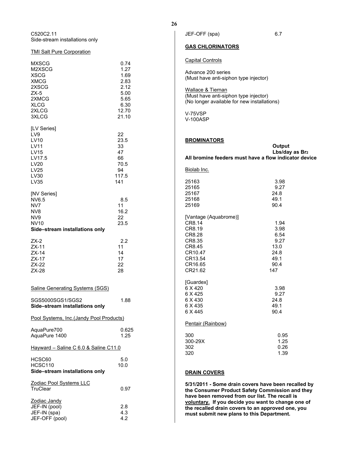C520C2.11 Side-stream installations only

## **TMI Salt Pure Corporation**

| <b>MXSCG</b><br>M2XSCG<br><b>XSCG</b><br><b>XMCG</b><br>2XSCG<br>$ZX-5$<br>2XMCG<br><b>XLCG</b><br>2XLCG<br>3XLCG | 0.74<br>1.27<br>1.69<br>2.83<br>2.12<br>5.00<br>5.65<br>6.30<br>12.70<br>21.10 |
|-------------------------------------------------------------------------------------------------------------------|--------------------------------------------------------------------------------|
| [LV Series]<br>LV9<br>LV10<br><b>LV11</b><br><b>LV15</b><br>LV17.5<br><b>LV20</b><br>LV25<br>LV30<br>LV35         | 22<br>23.5<br>33<br>47<br>66<br>70.5<br>94<br>117.5<br>141                     |
| [NV Series]<br>NV6.5<br>NV7<br>NV8<br>NV9<br><b>NV10</b><br>Side-stream installations only                        | 8.5<br>11<br>16.2<br>22<br>23.5                                                |
| $ZX-2$<br>$ZX-11$<br>$ZX-14$<br>$ZX-17$<br>ZX-22<br>$ZX-28$                                                       | 2.2<br>11<br>14<br>17<br>22<br>28                                              |
| <b>Saline Generating Systems (SGS)</b>                                                                            |                                                                                |
| SGS5000SGS1/SGS2<br>Side-stream installations only                                                                | 1.88                                                                           |
| Pool Systems, Inc.(Jandy Pool Products)                                                                           |                                                                                |
| AquaPure700<br>AquaPure 1400                                                                                      | 0.625<br>1.25                                                                  |
| Hayward - Saline C 6.0 & Saline C11.0                                                                             |                                                                                |
| HCSC60<br><b>HCSC110</b><br>Side-stream installations only                                                        | 5.0<br>10.0                                                                    |
| Zodiac Pool Systems LLC<br>TruClear                                                                               | 0.97                                                                           |
| Zodiac Jandy<br>JEF-IN (pool)<br>JEF-IN (spa)<br>JEF-OFF (pool)                                                   | 2.8<br>4.3<br>4.2                                                              |

JEF-OFF (spa) 6.7

## **GAS CHLORINATORS**

## Capital Controls

Advance 200 series (Must have anti-siphon type injector)

Wallace & Tiernan (Must have anti-siphon type injector) (No longer available for new installations)

V-75VSP V-100ASP

## <span id="page-27-1"></span>**BROMINATORS**

|                                                                                                                     | Output<br>Lbs/day as Br2<br>All bromine feeders must have a flow indicator device |
|---------------------------------------------------------------------------------------------------------------------|-----------------------------------------------------------------------------------|
| Biolab Inc.                                                                                                         |                                                                                   |
| 25163<br>25165<br>25167<br>25168<br>25169                                                                           | 3.98<br>9.27<br>24.8<br>49.1<br>90.4                                              |
| [Vantage (Aquabrome)]<br>CR8.14<br>CR8.19<br>CR8.28<br>CR8.35<br>CR8.45<br>CR10.47<br>CR13.54<br>CR16.65<br>CR21.62 | 1.94<br>3.98<br>6.54<br>9.27<br>13.0<br>24.8<br>49.1<br>90.4<br>147               |
| [Guardex]<br>6 X 420<br>6 X 425<br>6 X 430<br>6 X 435<br>6 X 445                                                    | 3.98<br>9.27<br>24.8<br>49.1<br>90.4                                              |
| Pentair (Rainbow)                                                                                                   |                                                                                   |
| 300<br>300-29X<br>302<br>320                                                                                        | 0.95<br>1.25<br>0.26<br>1.39                                                      |

## <span id="page-27-2"></span>**DRAIN COVERS**

<span id="page-27-0"></span>**5/31/2011 - Some drain covers have been recalled by the Consumer Product Safety Commission and they have been removed from our list. The recall is voluntary. If you decide you want to change one of the recalled drain covers to an approved one, you must submit new plans to this Department.**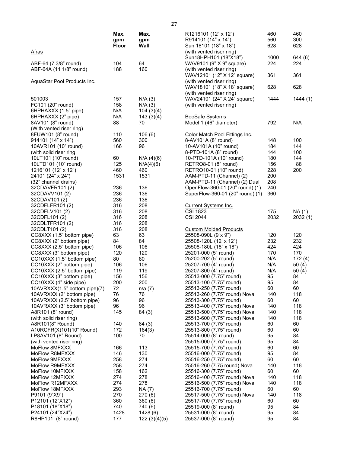|                               | Max.         | Max.         | R1216101 (12" x 12")             | 460  | 460      |
|-------------------------------|--------------|--------------|----------------------------------|------|----------|
|                               | gpm          | gpm          | R914101 (14" x 14")              | 560  | 300      |
|                               | <b>Floor</b> | Wall         | Sun 18101 (18" x 18")            | 628  | 628      |
| <u>Afras</u>                  |              |              | (with vented riser ring)         |      |          |
|                               |              |              | Sun18HPH101 (18"X18")            | 1000 | 644 (6)  |
| ABF-64 (7 3/8" round)         | 104          | 64           | WAV9101 (9" X 9" square)         | 224  | 224      |
| ABF-64A (11 1/8" round)       | 188          | 160          | (with vented riser ring)         |      |          |
|                               |              |              | WAV12101 (12" X 12" square)      | 361  | 361      |
| AquaStar Pool Products Inc.   |              |              | (with vented riser ring)         |      |          |
|                               |              |              | WAV18101 (18" X 18" square)      | 628  | 628      |
|                               |              |              | (with vented riser ring)         |      |          |
| 501003                        | 157          | N/A(3)       | WAV24101 (24" X 24" square)      | 1444 | 1444(1)  |
| FC101 (20" round)             | 158          | N/A(3)       | (with vented riser ring)         |      |          |
| 6HPHAXXX (1.5" pipe)          | N/A          | 104(3)(4)    |                                  |      |          |
| 6HPHAXXX (2" pipe)            | N/A          | 143(3)(4)    | <b>BeeSafe Systems</b>           |      |          |
| 8AV101 (8" round)             | 88           | 70           | Model 1 (46" diameter)           | 792  | N/A      |
| (With vented riser ring)      |              |              |                                  |      |          |
| 8FUW101 (8" round)            | 110          | 106(6)       | Color Match Pool Fittings Inc.   |      |          |
| 914101 (14" x 14")            | 560          | 300          | 8-AV101A (8" round)              | 148  | 100      |
| 10AVR101 (10" round)          | 166          | 96           | 10-AV101A (10" round)            | 184  | 144      |
| (with solid riser ring        |              |              | 8-PTD-101A (8" round)            | 144  | 100      |
| 10LT101 (10" round)           | 60           | N/A (4)(6)   | 10-PTD-101A (10" round)          | 180  | 144      |
| 10LTD101 (10" round)          | 125          | N/A(4)(6)    | RETRO8-01 (8" round)             | 156  | 88       |
| 1216101 (12" x 12")           | 460          | 460          | RETRO10-01 (10" round)           | 228  | 200      |
| 24101 (24" x 24")             | 1531         | 1531         | AAM-PTD-11 (Channel) (2)         | 200  |          |
| (32" channel drains)          |              |              | AAM-PTD-11 (Channel) (2) Dual    | 208  |          |
| 32CDAVFR101 (2)               | 236          | 136          | OpenFlow-360-01 (20" round) (1)  | 240  |          |
| 32CDAVV101 (2)                | 236          | 136          | SuperFlow-360-01 (20" round) (1) | 360  |          |
| 32CDAV101 (2)                 | 236          | 136          |                                  |      |          |
| 32CDFLFR101 (2)               | 316          | 208          | <b>Current Systems Inc.</b>      |      |          |
| 32CDFLV101 (2)                | 316          | 208          | <b>CSI 1823</b>                  | 175  | NA (1)   |
| 32CDFL101 (2)                 | 316          | 208          | <b>CSI 2044</b>                  | 2032 | 2032 (1) |
| 32CDLTFR101 (2)               | 316          | 208          |                                  |      |          |
| 32CDLT101 (2)                 | 316          | 208          | <b>Custom Molded Products</b>    |      |          |
| CC8XXX (1.5" bottom pipe)     | 63           | 63           | 25508-090L (9"x 9")              | 120  | 120      |
| CC8XXX (2" bottom pipe)       | 84           | 84           | 25508-120L (12' x 12")           | 232  | 232      |
| CC8XXX (2.5" bottom pipe)     | 106          | 106          | 25508-180L (18" x 18")           | 424  | 424      |
| CC8XXX (3" bottom pipe)       | 120          | 120          | 25201-000 (5" round)             | 170  | 170      |
| CC10XXX (1.5" bottom pipe)    | 80           | 80           | 25200-202 (5" round)             | N/A  | 172(4)   |
| CC10XXX (2" bottom pipe)      | 106          | 106          | 25207-700 (4" round)             | N/A  | 50 $(4)$ |
| CC10XXX (2.5" bottom pipe)    | 119          | 119          | 25207-800 (4" round)             | N/A  | 50(4)    |
| CC10XXX (3" bottom pipe)      | 156          | 156          | 25513-000 (7.75" round)          | 95   | 84       |
| CC10XXX (4" side pipe)        | 200          | 200          | 25513-100 (7.75" round)          | 95   | 84       |
| 10AVRXXX(1.5" bottom pipe)(7) | 72           | n/a(7)       | 25513-250 (7.75" round)          | 60   | 60       |
| 10AVRXXX (2" bottom pipe)     | 76           | 76           | 25513-260 (7.75" round) Nova     | 140  | 118      |
| 10AVRXXX (2.5" bottom pipe)   | 96           | 96           | 25513-300 (7.75" round)          | 60   | 60       |
| 10AVRXXX (3" bottom pipe)     | 96           | 96           | 25513-400 (7.75" round) Nova     | 140  | 118      |
| A8R101 (8" round)             | 145          | 84 (3)       | 25513-500 (7.75" round) Nova     | 140  | 118      |
| (with solid riser ring)       |              |              | 25513-600 (7.75" round) Nova     | 140  | 118      |
| A8R101(8" Round)              | 140          | 84 (3)       | 25513-700 (7.75" round)          | 60   | 60       |
| A10RCFR(X)101(10" Round)      | 172          | 164(3)       | 25513-800 (7.75" round)          | 60   | 60       |
| LP8AV101 (8" Round)           | 100          | 70           | 25514-000 (8" round)             | 95   | 84       |
| (with vented riser ring)      |              |              | 25515-000 (7.75" round)          | 95   | 84       |
| MoFlow 8MFXXX                 | 166          | 113          | 25515-700 (7.75" round)          | 60   | 60       |
| MoFlow R8MFXXX                | 146          | 130          | 25516-000 (7.75" round)          | 95   | 84       |
| MoFlow 9MFXXX                 | 258          | 274          | 25516-250 (7.75" round)          | 60   | 60       |
| MoFlow R9MFXXX                | 258          | 274          | 25516-260 (7.75 round) Nova      | 140  | 118      |
| MoFlow 10MFXXX                | 158          | 162          | 25516-300 (7.75" round)          | 60   | 60       |
| MoFlow 12MFXXX                | 274          | 278          | 25516-400 (7.75" round) Nova     | 140  | 118      |
| MoFlow R12MFXXX               | 274          | 278          | 25516-500 (7.75" round) Nova     | 140  | 118      |
| MoFlow 18MFXXX                | 293          | NA (7)       | 25516-700 (7.75" round)          | 60   | 60       |
| P9101 (9"X9")                 | 270          | 270 (6)      | 25517-500 (7.75" round) Nova     | 140  | 118      |
| P12101 (12"X12")              | 360          | 360(6)       | 25517-700 (7.75" round)          | 60   | 60       |
| P18101 (18"X18")              | 740          | 740 (6)      | 25519-000 (8" round)             | 95   | 84       |
| P24101 (24"X24")              | 1428         | 1428(6)      | 25531-000 (8" round)             | 95   | 84       |
| R8HP101 (8" round)            | 177          | 122(3)(4)(5) | 25537-000 (8" round)             | 95   | 84       |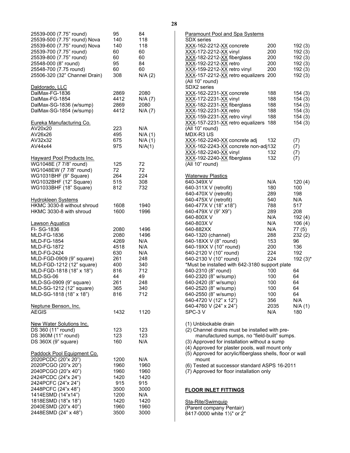| 25539-000 (7.75" round)<br>25539-500 (7.75" round) Nova<br>25539-600 (7.75" round) Nova<br>25539-700 (7.75" round)<br>25539-800 (7.75" round)<br>25548-000 (8" round)<br>25548-700 (7.75 round)<br>25506-320 (32" Channel Drain)                                                                                 | 95<br>140<br>140<br>60<br>60<br>95<br>60<br>308                                     | 84<br>118<br>118<br>60<br>60<br>84<br>60<br>N/A(2)                                |
|------------------------------------------------------------------------------------------------------------------------------------------------------------------------------------------------------------------------------------------------------------------------------------------------------------------|-------------------------------------------------------------------------------------|-----------------------------------------------------------------------------------|
| Daldorado, LLC<br>DalMax-FG-1836<br>DalMax-FG-1854<br>DalMax-SG-1836 (w/sump)<br>DalMax-SG-1854 (w/sump)                                                                                                                                                                                                         | 2869<br>4412<br>2869<br>4412                                                        | 2080<br>N/A(7)<br>2080<br>N/A(7)                                                  |
| Eureka Manufacturing Co.<br>AV20x20<br>AV26x26<br>AV32x32<br>AV44x44                                                                                                                                                                                                                                             | 223<br>495<br>675<br>975                                                            | N/A<br>N/A(1)<br>N/A(1)<br>N/A(1)                                                 |
| <b>Hayward Pool Products Inc.</b><br>WG1048E (7 7/8" round)<br>WG1048EW (7 7/8" round)<br>WG1031BHF (9" Square)<br>WG1032BHF (12" Square)<br>WG1033BHF (18" Square)                                                                                                                                              | 125<br>72<br>264<br>515<br>812                                                      | 72<br>72<br>224<br>308<br>732                                                     |
| <b>Hydrokleen Systems</b><br>HKMC 3030-8 without shroud<br>HKMC 3030-8 with shroud                                                                                                                                                                                                                               | 1608<br>1600                                                                        | 1940<br>1996                                                                      |
| <u>Lawson Aquatics</u><br>FI-SG-1836<br><b>MLD-FG-1836</b><br><b>MLD-FG-1854</b><br><b>MLD-FG-1872</b><br><b>MLD-FG-2424</b><br>MLD-FGD-0909 (9" square)<br>MLD-FGD-1212 (12" square)<br>MLD-FGD-1818 (18" x 18")<br>MLD-SG-06<br>MLD-SG-0909 (9" square)<br>MLD-SG-1212 (12" square)<br>MLD-SG-1818 (18" x 18") | 2080<br>2080<br>4269<br>4518<br>630<br>261<br>400<br>816<br>44<br>261<br>365<br>816 | 1496<br>1496<br>N/A<br>N/A<br>N/A<br>248<br>340<br>712<br>49<br>248<br>340<br>712 |
| <u>Neptune Benson, Inc.</u><br>AEGIS                                                                                                                                                                                                                                                                             | 1432                                                                                | 1120                                                                              |
| New Water Solutions Inc.<br>DS 360 (11" round)<br>DS 360M (11" round)<br>DS 360X (9" square)                                                                                                                                                                                                                     | 123<br>123<br>160                                                                   | 123<br>123<br>N/A                                                                 |
| Paddock Pool Equipment Co.<br>2020PCDC (20"x 20")<br>2020PCGO (20"x 20")<br>2040PCGO (20"x 40")<br>2424PCDC (24"x 24")<br>2424PCFC (24"x 24")<br>2448PCFC (24"x 48")<br>1414ESMD (14"x14")<br>1818ESMD (18"x 18")<br>2040ESMD (20"x 40")<br>2448ESMD (24" x 48")                                                 | 1200<br>1960<br>1960<br>1420<br>915<br>3500<br>1200<br>1420<br>1960<br>3500         | N/A<br>1960<br>1960<br>1420<br>915<br>3000<br>N/A<br>1420<br>1960<br>3000         |

| Paramount Pool and Spa Systems                            |       |              |
|-----------------------------------------------------------|-------|--------------|
| <b>SDX</b> series                                         |       |              |
| XXX-162-2212-XX concrete                                  | 200   | 192(3)       |
| XXX-172-2212-XX vinyl                                     | 200   | 192(3)       |
| XXX-182-2212-XX fiberglass                                | 200   | 192(3)       |
| <u>XXX</u> -192-2212- <u>XX</u> retro                     | 200   | 192 (3)      |
| XXX-159-2212-XX retro vinyl                               | 200   | 192(3)       |
| XXX-157-2212-XX retro equalizers                          | 200   | 192 (3)      |
| (All 10" round)                                           |       |              |
| SDX2 series                                               |       |              |
| <u>XXX</u> -162-2231-XX concrete                          | 188   | 154(3)       |
| XXX-172-2231-XX vinyl                                     | 188   | 154(3)       |
| XXX-182-2231-XX fiberglass                                | 188   | 154(3)       |
| <u>XXX</u> -192-2231- <u>XX</u> retro                     | 188   | 154(3)       |
| XXX-159-2231-XX retro vinyl                               | 188   | 154(3)       |
| <u>XXX</u> -157-2231-XX retro equalizers                  | 188   | 154(3)       |
| (All 10" round)                                           |       |              |
|                                                           |       |              |
| MDX-R3 US                                                 |       |              |
| XXX-162-2240-XX concrete adj                              | 132   | (7)          |
| XXX-162-2243-XX concrete non-adj132                       |       | (7)          |
| XXX-182-2240-XX vinyl                                     | 132   | (7)          |
| XXX-192-2240-XX fiberglass                                | 132   | (7)          |
| (All 10" round)                                           |       |              |
|                                                           |       |              |
| <u> Waterway Plastics</u>                                 |       |              |
| 640-349X V                                                | N/A   | 120(4)       |
| 640-311X V (retrofit)                                     | 180   | 100          |
| 640-470X V (retrofit)                                     | 289   | 198          |
| 640-475X V (retrofit)                                     | 540   | N/A          |
| 640-477X V (18" x18")                                     | 788   | 517          |
| 640-479X V (9" X9")                                       | 289   | 208          |
| 640-800XV                                                 | N/A   | 192(4)       |
| 640-803X V                                                | N/A   | 106(4)       |
| 640-882XX                                                 | N/A   | 77 (5)       |
| 640-1320 (channel)                                        | 288   | 232 (2)      |
| 640-18XX V (8" round)                                     | 153   | 96           |
| 640-19XX V (10" round)                                    | 200   | 136          |
| 640-2120 V (10" round)                                    | 224   | 192          |
| 640-2130 V (10" round)                                    | 224   | $192(3)^{*}$ |
| *Must be installed with 642-3180 support plate            |       |              |
| 640-2310 (8" round)                                       | 100   | 64           |
| 640-2320 (8" w/sump)                                      | 100   | 64           |
| 640-2420 (8" w/sump)                                      | 100   | 64           |
| 640-2520 (8" w/sump)                                      |       | 64           |
|                                                           | 100   |              |
| 640-2550 (8" w/sump)                                      | 100 - | 64           |
| 640-4720 V (12" x 12")                                    | 356   | N/A          |
| 640-4760 V (24" x 24")                                    | 2035  | N/A(1)       |
| SPC-3V                                                    | N/A   | 180          |
|                                                           |       |              |
| (1) Unblockable drain                                     |       |              |
| (2) Channel drains must be installed with pre-            |       |              |
| manufactured sumps, no "field-built" sumps.               |       |              |
| (3) Approved for installation without a sump              |       |              |
| (4) Approved for plaster pools, wall mount only           |       |              |
| (5) Approved for acrylic/fiberglass shells, floor or wall |       |              |
| mount                                                     |       |              |
| (6) Tested at successor standard ASPS 16-2011             |       |              |
| (7) Approved for floor installation only                  |       |              |
|                                                           |       |              |
|                                                           |       |              |
| <b>FLOOR INLET FITTINGS</b>                               |       |              |
|                                                           |       |              |

## <span id="page-29-0"></span>Sta-Rite/Swimquip

(Parent company Pentair) 8417-0000 white 1½" or 2"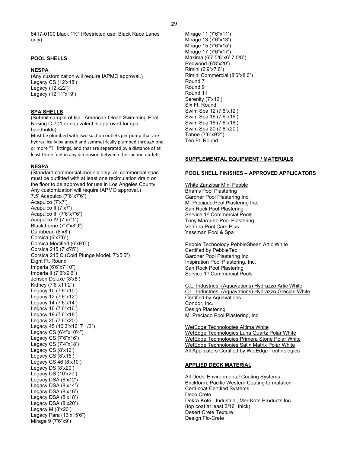8417-0100 black 1½" (Restricted use; Black Race Lanes only)

## <span id="page-30-0"></span>**POOL SHELLS**

## **NESPA**

(Any customization will require IAPMO approval.) Legacy CS (12'x18') Legacy (12'x22') Legacy (12'11"x19')

## **SPA SHELLS**

(Submit sample of tile. American Olean Swimming Pool Nosing C-701 or equivalent is approved for spa handholds)

Must be plumbed with two suction outlets per pump that are hydraulically balanced and symmetrically plumbed through one or more "T" fittings, and that are separated by a distance of at least three feet in any dimension between the suction outlets.

#### **NESPA**

(Standard commercial models only. All commercial spas must be outfitted with at least one recirculation drain on the floor to be approved for use in Los Angeles County. Any customization will require IAPMO approval.) 7.5' Acapulco (7'6"x7'6") Acapulco (7'x7') Acapulco II (7'x7') Acapulco III (7'6"x7'6") Acapulco IV (7'x7'1") Blackthorne (7'7"x8'9") Caribbean (8'x8') Corsica (6'x7'6") Corsica Modified (6'x9'6") Corsica 215 (7'x5'5") Corsica 215 C (Cold Plunge Model, 7'x5'5") Eight Ft. Round Imperia (6'6"x7'10") Imperia II (7'6"x9'6") Jensen Deluxe (8'x8') Kidney (7'6"x11'2") Legacy 10 (7'6"x10') Legacy 12 (7'6"x12') Legacy 14 (7'6"x14') Legacy 16 (7'6"x16') Legacy 18 (7'6"x18') Legacy 20 (7'6"x20') Legacy 45 (10'3"x16' 7 1/2") Legacy CS (6'4"x10'4") Legacy CS (7'6"x16') Legacy CS (7'4"x18') Legacy CS (8'x12') Legacy CS (8'x15') Legacy CS 46 (8'x10') Legacy DS (8'x20') Legacy DS (10'x20') Legacy DSA (8'x12') Legacy DSA (8'x14') Legacy DSA (8'x16') Legacy DSA (8'x18') Legacy DSA (8'x20') Legacy M (8'x20') Legacy Para (13'x15'6") Mirage 9 (7'6"x9')

Mirage 11 (7'6"x11') Mirage 13 (7'6"x13') Mirage 15 (7'6"x15') Mirage 17 (7'6"x17') Maxima (6'7 5/8"x6' 7 5/8") Redwood (6'8"x20') Rimini (6'9"x7'6") Rimini Commercial (8'6"x8'6") Round 7 Round 9 Round 11 Serenity (7'x12') Six Ft. Round Swim Spa 12 (7'6"x12') Swim Spa 16 (7'6"x16') Swim Spa 18 (7'6"x18') Swim Spa 20 (7'6"x20') Tahoe (7'6"x9'2") Ten Ft. Round

## <span id="page-30-1"></span>**SUPPLEMENTAL EQUIPMENT / MATERIALS**

## <span id="page-30-2"></span>**POOL SHELL FINISHES – APPROVED APPLICATORS**

White Zanzibar Mini Pebble Brian's Pool Plastering Gardner Pool Plastering Inc. M. Preciado Pool Plastering Inc. San Rock Pool Plastering Service 1<sup>st</sup> Commercial Pools Tony Marquez Pool Plastering Ventura Pool Care Plus Yessman Pool & Spa

Pebble Technology PebbleSheen Artic White Certified by PebbleTec Gardner Pool Plastering Inc. Inspiration Pool Plastering, Inc. San Rock Pool Plastering Service 1<sup>st</sup> Commercial Pools

C.L. Industries, (Aquavations) Hydrazzo Artic White C.L. Industries, (Aquavations) Hydrazzo Grecian White Certified by Aquavations Condor, Inc. Design Plastering M. Preciado Pool Plastering, Inc.

WetEdge Technologies Altima White WetEdge Technologies Luna Quartz Polar White WetEdge Technologies Primera Stone Polar White WetEdge Technologies Satin Matrix Polar White All Applicators Certified by WetEdge Technologies

## <span id="page-30-3"></span>**APPLIED DECK MATERIAL**

All Deck, Environmental Coating Systems Brickform, Pacific Western Coating formulation Certi-coat Certified Systems Deco Crete Dekra-Kote - Industrial, Mer-Kote Products Inc. (top coat at least 3/16" thick) Desert Crete Texture Design Flo-Crete